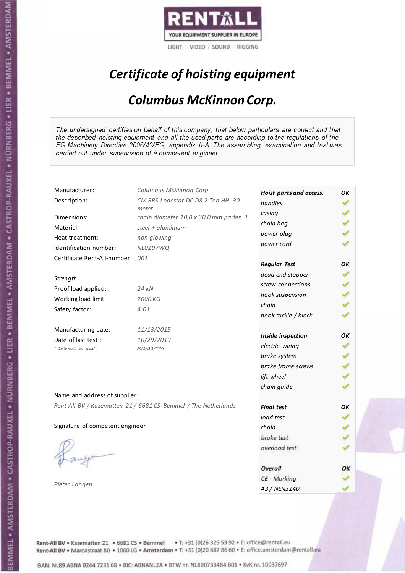

# Certificate of hoisting equipment

#### Columbus McKinnon Corp.

The undersigned certifies on behalf of this company, that below particulars are correct and that the described hoisting equipment and all the used parts are according to the regulations of the EG Machinery Directive 2006/42/EG, appendix II-A. The assembling, examination and test was carried out under supervision of à competent engineer.

| Manufacturer:                    | Columbus McKinnon Corp.                                        | Hoist parts and access. | OK |
|----------------------------------|----------------------------------------------------------------|-------------------------|----|
| Description:                     | CM RRS Lodestar DC D8 2 Ton HH. 30                             | handles                 |    |
| Dimensions:                      | meter<br>chain diameter 10,0 x 30,0 mm parten 1                | casing                  |    |
| Material:                        | steel + $aluminim$                                             | chain bag               |    |
|                                  |                                                                | power plug              |    |
| Heat treatment:                  | non glowing                                                    | power cord              |    |
| Identification number:           | NL0197WQ                                                       |                         |    |
| Certificate Rent-All-number: 001 |                                                                | <b>Regular Test</b>     | OK |
| Strength                         |                                                                | dead end stopper        |    |
| Proof load applied:              | 24 kN                                                          | screw connections       |    |
|                                  |                                                                | hook suspension         |    |
| Working load limit:              | 2000 KG                                                        | chain                   |    |
| Safety factor:                   | 4:01                                                           | hook tackle / block     |    |
| Manufacturing date:              | 11/13/2015                                                     |                         |    |
| Date of last test :              | 10/29/2019                                                     | Inside inspection       | OК |
| * Date notation used :           | MM/DD/YYYY                                                     | electric wiring         |    |
|                                  |                                                                | brake system            |    |
|                                  |                                                                | brake frame screws      |    |
|                                  |                                                                | lift wheel              |    |
|                                  |                                                                | chain guide             |    |
| Name and address of supplier:    |                                                                |                         |    |
|                                  | Rent-All BV / Kazematten 21 / 6681 CS Bemmel / The Netherlands | <b>Final test</b>       | OK |
|                                  |                                                                | load test               |    |
| Signature of competent engineer  |                                                                | chain                   |    |
|                                  |                                                                | brake test              |    |
|                                  |                                                                | overload test           |    |
|                                  |                                                                |                         |    |
|                                  |                                                                | Overall                 | ОΚ |
|                                  |                                                                | CE - Marking            |    |
| Pieter Langen                    |                                                                | A3 / NEN3140            |    |

Rent-All BV . Kazematten 21 . 6681 CS . Bemmel . T: +31 (0)26 325 53 92 . E: office@rentall.eu Rent-All BV · Maroastraat 80 · 1060 LG · Amsterdam · T: +31 (0)20 687 86 60 · E: office.amsterdam@rentall.eu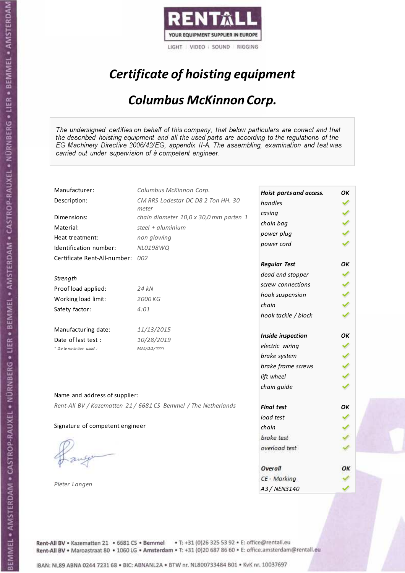

# Certificate of hoisting equipment

#### Columbus McKinnon Corp.

The undersigned certifies on behalf of this company, that below particulars are correct and that the described hoisting equipment and all the used parts are according to the regulations of the EG Machinery Directive 2006/42/EG, appendix II-A. The assembling, examination and test was carried out under supervision of à competent engineer.

| Manufacturer:                    | Columbus McKinnon Corp.                                        | Hoist parts and access. | OK |
|----------------------------------|----------------------------------------------------------------|-------------------------|----|
| Description:                     | CM RRS Lodestar DC D8 2 Ton HH. 30                             | handles                 |    |
|                                  | meter                                                          | casing                  |    |
| Dimensions:                      | chain diameter 10,0 x 30,0 mm parten 1                         | chain bag               |    |
| Material:                        | steel + aluminium                                              | power plug              |    |
| Heat treatment:                  | non glowing                                                    | power cord              |    |
| Identification number:           | NL0198WQ                                                       |                         |    |
| Certificate Rent-All-number: 002 |                                                                | <b>Regular Test</b>     | OК |
| Strength                         |                                                                | dead end stopper        |    |
| Proof load applied:              | 24 kN                                                          | screw connections       |    |
| Working load limit:              | 2000 KG                                                        | hook suspension         |    |
|                                  |                                                                | chain                   |    |
| Safety factor:                   | 4:01                                                           | hook tackle / block     |    |
| Manufacturing date:              | 11/13/2015                                                     |                         |    |
| Date of last test :              | 10/28/2019                                                     | Inside inspection       | OК |
| + Date notation used :           | MM/DD/YYYY                                                     | electric wiring         |    |
|                                  |                                                                | brake system            |    |
|                                  |                                                                | brake frame screws      |    |
|                                  |                                                                | lift wheel              |    |
| Name and address of supplier:    |                                                                | chain guide             |    |
|                                  | Rent-All BV / Kazematten 21 / 6681 CS Bemmel / The Netherlands |                         |    |
|                                  |                                                                | <b>Final test</b>       | OK |
|                                  |                                                                | load test               |    |
| Signature of competent engineer  |                                                                | chain                   |    |
|                                  |                                                                | brake test              |    |
|                                  |                                                                | overload test           |    |
|                                  |                                                                | Overall                 | ОΚ |
|                                  |                                                                | CE - Marking            |    |
| Pieter Langen                    |                                                                | A3 / NEN3140            |    |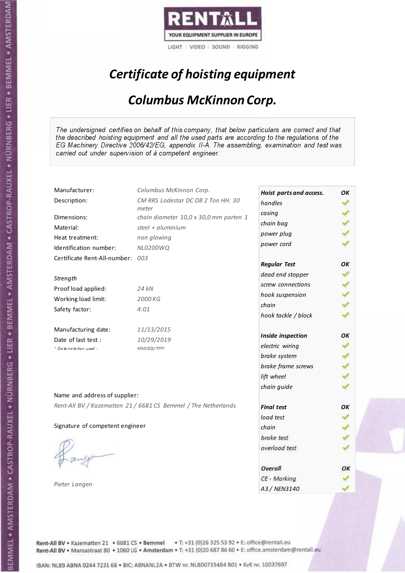

# Certificate of hoisting equipment

#### Columbus McKinnon Corp.

The undersigned certifies on behalf of this company, that below particulars are correct and that the described hoisting equipment and all the used parts are according to the regulations of the EG Machinery Directive 2006/42/EG, appendix II-A. The assembling, examination and test was carried out under supervision of à competent engineer.

| Manufacturer:                    | Columbus McKinnon Corp.                                        | Hoist parts and access. | OK |
|----------------------------------|----------------------------------------------------------------|-------------------------|----|
| Description:                     | CM RRS Lodestar DC D8 2 Ton HH. 30                             | handles                 |    |
|                                  | meter                                                          | casing                  |    |
| Dimensions:                      | chain diameter 10,0 x 30,0 mm parten 1                         | chain bag               |    |
| Material:                        | steel + aluminium                                              | power plug              |    |
| Heat treatment:                  | non glowing                                                    | power cord              |    |
| Identification number:           | NL0200WQ                                                       |                         |    |
| Certificate Rent-All-number: 003 |                                                                | <b>Regular Test</b>     | OК |
| Strength                         |                                                                | dead end stopper        |    |
| Proof load applied:              | 24 kN                                                          | screw connections       |    |
|                                  | 2000 KG                                                        | hook suspension         |    |
| Working load limit:              |                                                                | chain                   |    |
| Safety factor:                   | 4:01                                                           | hook tackle / block     |    |
| Manufacturing date:              | 11/13/2015                                                     |                         |    |
| Date of last test :              | 10/29/2019                                                     | Inside inspection       | OК |
| + Date notation used :           | MM/DD/YYYY                                                     | electric wiring         |    |
|                                  |                                                                | brake system            |    |
|                                  |                                                                | brake frame screws      |    |
|                                  |                                                                | lift wheel              |    |
|                                  |                                                                | chain guide             |    |
| Name and address of supplier:    |                                                                |                         |    |
|                                  | Rent-All BV / Kazematten 21 / 6681 CS Bemmel / The Netherlands | <b>Final test</b>       | OK |
|                                  |                                                                | load test               |    |
| Signature of competent engineer  |                                                                | chain                   |    |
|                                  |                                                                | brake test              |    |
|                                  |                                                                | overload test           |    |
|                                  |                                                                | Overall                 | ОΚ |
|                                  |                                                                | CE - Marking            |    |
| Pieter Langen                    |                                                                | A3 / NEN3140            |    |
|                                  |                                                                |                         |    |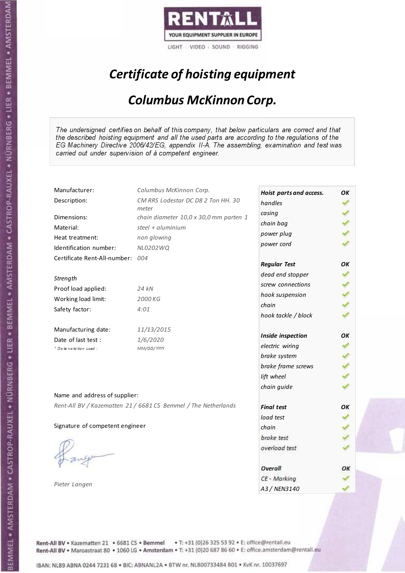

# Certificate of hoisting equipment

#### Columbus McKinnon Corp.

The undersigned certifies on behalf of this company, that below particulars are correct and that the described hoisting equipment and all the used parts are according to the regulations of the EG Machinery Directive 2006/42/EG, appendix II-A. The assembling, examination and test was carried out under supervision of à competent engineer.

| Manufacturer:                   | Columbus McKinnon Corp.                                        | Hoist parts and access. | OK |
|---------------------------------|----------------------------------------------------------------|-------------------------|----|
| Description:                    | CM RRS Lodestar DC D8 2 Ton HH. 30                             | handles                 |    |
| Dimensions:                     | meter<br>chain diameter 10,0 x 30,0 mm parten 1                | casing                  |    |
| Material:                       | steel + $aluminim$                                             | chain bag               |    |
|                                 |                                                                | power plug              |    |
| Heat treatment:                 | non glowing                                                    | power cord              |    |
| Identification number:          | NL0202WQ                                                       |                         |    |
| Certificate Rent-All-number:    | 004                                                            | <b>Regular Test</b>     | OK |
| Strength                        |                                                                | dead end stopper        |    |
| Proof load applied:             | 24 kN                                                          | screw connections       |    |
|                                 |                                                                | hook suspension         |    |
| Working load limit:             | 2000 KG                                                        | chain                   |    |
| Safety factor:                  | 4:01                                                           | hook tackle / block     |    |
| Manufacturing date:             | 11/13/2015                                                     |                         |    |
| Date of last test :             | 1/6/2020                                                       | Inside inspection       | OK |
| + Date notation used:           | MM/DD/YYYY                                                     | electric wiring         |    |
|                                 |                                                                | brake system            |    |
|                                 |                                                                | brake frame screws      |    |
|                                 |                                                                | lift wheel              |    |
|                                 |                                                                | chain guide             |    |
| Name and address of supplier:   |                                                                |                         |    |
|                                 | Rent-All BV / Kazematten 21 / 6681 CS Bemmel / The Netherlands | <b>Final test</b>       | OK |
|                                 |                                                                | load test               |    |
| Signature of competent engineer |                                                                | chain                   |    |
|                                 |                                                                | brake test              |    |
|                                 |                                                                | overload test           |    |
|                                 |                                                                |                         |    |
|                                 |                                                                | Overall                 | ОΚ |
|                                 |                                                                | CE - Marking            |    |
| Pieter Langen                   |                                                                | A3 / NEN3140            |    |

Rent-All BV . Kazematten 21 . 6681 CS . Bemmel . T: +31 (0)26 325 53 92 . E: office@rentall.eu Rent-All BV · Maroastraat 80 · 1060 LG · Amsterdam · T: +31 (0)20 687 86 60 · E: office.amsterdam@rentall.eu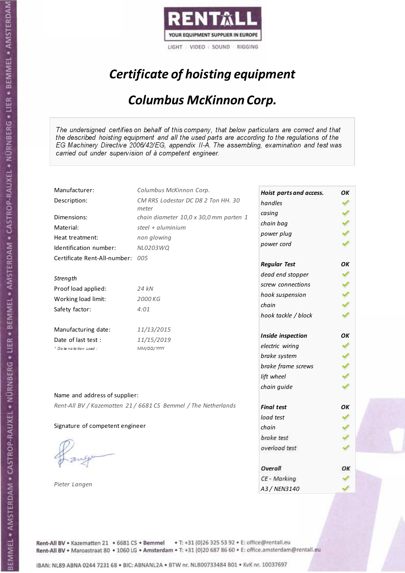

# Certificate of hoisting equipment

#### Columbus McKinnon Corp.

The undersigned certifies on behalf of this company, that below particulars are correct and that the described hoisting equipment and all the used parts are according to the regulations of the EG Machinery Directive 2006/42/EG, appendix II-A. The assembling, examination and test was carried out under supervision of à competent engineer.

| Manufacturer:                    | Columbus McKinnon Corp.                                        | Hoist parts and access. | OK |
|----------------------------------|----------------------------------------------------------------|-------------------------|----|
| Description:                     | CM RRS Lodestar DC D8 2 Ton HH. 30                             | handles                 |    |
| Dimensions:                      | meter                                                          | casing                  |    |
|                                  | chain diameter 10,0 x 30,0 mm parten 1                         | chain bag               |    |
| Material:                        | steel + $aluminim$                                             | power plug              |    |
| Heat treatment:                  | non glowing                                                    | power cord              |    |
| Identification number:           | NL0203WQ                                                       |                         |    |
| Certificate Rent-All-number: 005 |                                                                | <b>Regular Test</b>     | OK |
| Strength                         |                                                                | dead end stopper        |    |
| Proof load applied:              | 24 kN                                                          | screw connections       |    |
|                                  |                                                                | hook suspension         |    |
| Working load limit:              | 2000 KG                                                        | chain                   |    |
| Safety factor:                   | 4:01                                                           | hook tackle / block     |    |
| Manufacturing date:              | 11/13/2015                                                     |                         |    |
| Date of last test :              | 11/15/2019                                                     | Inside inspection       | OK |
| * Date notation used :           | MM/DD/YYYY                                                     | electric wiring         |    |
|                                  |                                                                | brake system            |    |
|                                  |                                                                | brake frame screws      |    |
|                                  |                                                                | lift wheel              |    |
|                                  |                                                                | chain guide             |    |
| Name and address of supplier:    |                                                                |                         |    |
|                                  | Rent-All BV / Kazematten 21 / 6681 CS Bemmel / The Netherlands | <b>Final test</b>       | OK |
|                                  |                                                                | load test               |    |
| Signature of competent engineer  |                                                                | chain                   |    |
|                                  |                                                                | brake test              |    |
|                                  |                                                                | overload test           |    |
|                                  |                                                                |                         |    |
|                                  |                                                                | Overall                 | ОΚ |
| Pieter Langen                    |                                                                | CE - Marking            |    |
|                                  |                                                                | A3 / NEN3140            |    |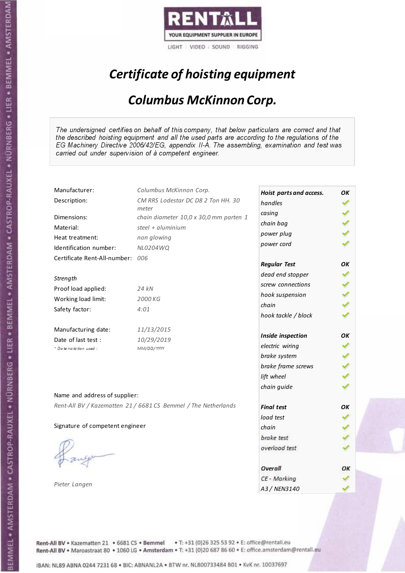

# Certificate of hoisting equipment

#### Columbus McKinnon Corp.

The undersigned certifies on behalf of this company, that below particulars are correct and that the described hoisting equipment and all the used parts are according to the regulations of the EG Machinery Directive 2006/42/EG, appendix II-A. The assembling, examination and test was carried out under supervision of à competent engineer.

| Manufacturer:                    | Columbus McKinnon Corp.                                        | Hoist parts and access. | OK |
|----------------------------------|----------------------------------------------------------------|-------------------------|----|
| Description:                     | CM RRS Lodestar DC D8 2 Ton HH. 30                             | handles                 |    |
|                                  | meter                                                          | casing                  |    |
| Dimensions:                      | chain diameter 10,0 x 30,0 mm parten 1                         | chain bag               |    |
| Material:                        | steel + $aluminium$                                            | power plug              |    |
| Heat treatment:                  | non glowing                                                    | power cord              |    |
| Identification number:           | NL0204WQ                                                       |                         |    |
| Certificate Rent-All-number: 006 |                                                                | <b>Regular Test</b>     | OК |
| Strength                         |                                                                | dead end stopper        |    |
| Proof load applied:              | 24 kN                                                          | screw connections       |    |
| Working load limit:              | 2000 KG                                                        | hook suspension         |    |
|                                  |                                                                | chain                   |    |
| Safety factor:                   | 4:01                                                           | hook tackle / block     |    |
| Manufacturing date:              | 11/13/2015                                                     |                         |    |
| Date of last test:               | 10/29/2019                                                     | Inside inspection       | OK |
| * Date notation used :           | MM/DD/YYYY                                                     | electric wiring         |    |
|                                  |                                                                | brake system            |    |
|                                  |                                                                | brake frame screws      |    |
|                                  |                                                                | lift wheel              |    |
|                                  |                                                                | chain guide             |    |
| Name and address of supplier:    |                                                                |                         |    |
|                                  | Rent-All BV / Kazematten 21 / 6681 CS Bemmel / The Netherlands | <b>Final test</b>       | OK |
|                                  |                                                                | load test               |    |
| Signature of competent engineer  |                                                                | chain                   |    |
|                                  |                                                                | brake test              |    |
|                                  |                                                                | overload test           |    |
|                                  |                                                                | Overall                 | ОΚ |
|                                  |                                                                | CE - Marking            |    |
| Pieter Langen                    |                                                                | A3 / NEN3140            |    |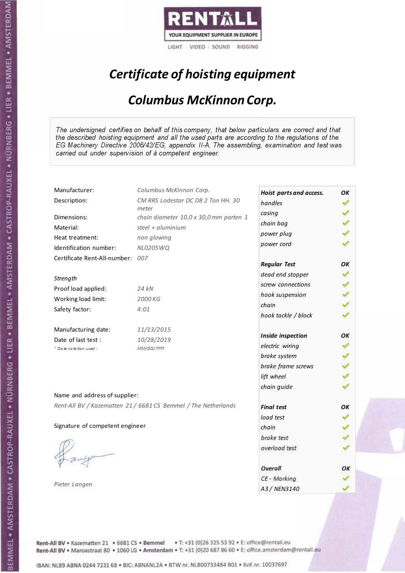

# Certificate of hoisting equipment

#### Columbus McKinnon Corp.

The undersigned certifies on behalf of this company, that below particulars are correct and that the described hoisting equipment and all the used parts are according to the regulations of the EG Machinery Directive 2006/42/EG, appendix II-A. The assembling, examination and test was carried out under supervision of à competent engineer.

| Manufacturer:                    | Columbus McKinnon Corp.                                        | Hoist parts and access. | OK |
|----------------------------------|----------------------------------------------------------------|-------------------------|----|
| Description:                     | CM RRS Lodestar DC D8 2 Ton HH. 30                             | handles                 |    |
|                                  | meter                                                          | casing                  |    |
| Dimensions:                      | chain diameter 10,0 x 30,0 mm parten 1                         | chain bag               |    |
| Material:                        | steel + $aluminium$                                            | power plug              |    |
| Heat treatment:                  | non glowing                                                    | power cord              |    |
| Identification number:           | NL0205WQ                                                       |                         |    |
| Certificate Rent-All-number: 007 |                                                                | <b>Regular Test</b>     | OК |
| Strength                         |                                                                | dead end stopper        |    |
| Proof load applied:              | 24 kN                                                          | screw connections       |    |
| Working load limit:              | 2000 KG                                                        | hook suspension         |    |
|                                  |                                                                | chain                   |    |
| Safety factor:                   | 4:01                                                           | hook tackle / block     |    |
| Manufacturing date:              | 11/13/2015                                                     |                         |    |
| Date of last test:               | 10/28/2019                                                     | Inside inspection       | OK |
| * Date notation used :           | MM/DD/YYYY                                                     | electric wiring         |    |
|                                  |                                                                | brake system            |    |
|                                  |                                                                | brake frame screws      |    |
|                                  |                                                                | lift wheel              |    |
|                                  |                                                                | chain guide             |    |
| Name and address of supplier:    |                                                                |                         |    |
|                                  | Rent-All BV / Kazematten 21 / 6681 CS Bemmel / The Netherlands | <b>Final test</b>       | OK |
|                                  |                                                                | load test               |    |
| Signature of competent engineer  |                                                                | chain                   |    |
|                                  |                                                                | brake test              |    |
|                                  |                                                                | overload test           |    |
|                                  |                                                                | Overall                 | ОΚ |
|                                  |                                                                | CE - Marking            |    |
| Pieter Langen                    |                                                                | A3 / NEN3140            |    |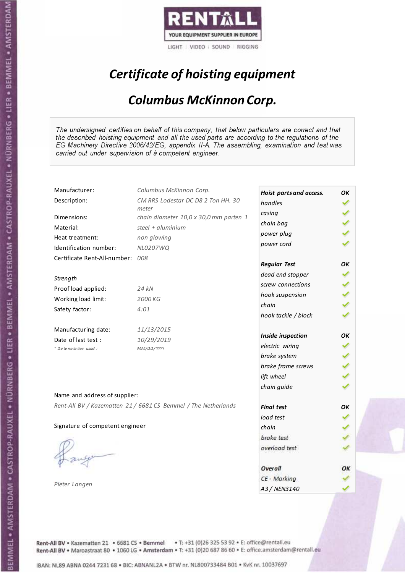

# Certificate of hoisting equipment

#### Columbus McKinnon Corp.

The undersigned certifies on behalf of this company, that below particulars are correct and that the described hoisting equipment and all the used parts are according to the regulations of the EG Machinery Directive 2006/42/EG, appendix II-A. The assembling, examination and test was carried out under supervision of à competent engineer.

| Manufacturer:                    | Columbus McKinnon Corp.                                        | Hoist parts and access. | OK |
|----------------------------------|----------------------------------------------------------------|-------------------------|----|
| Description:                     | CM RRS Lodestar DC D8 2 Ton HH. 30                             | handles                 |    |
|                                  | meter                                                          | casing                  |    |
| Dimensions:                      | chain diameter 10,0 x 30,0 mm parten 1                         | chain bag               |    |
| Material:                        | steel + aluminium                                              | power plug              |    |
| Heat treatment:                  | non glowing                                                    | power cord              |    |
| Identification number:           | NL0207WQ                                                       |                         |    |
| Certificate Rent-All-number: 008 |                                                                | <b>Regular Test</b>     | OК |
| Strength                         |                                                                | dead end stopper        |    |
| Proof load applied:              | 24 kN                                                          | screw connections       |    |
|                                  | 2000 KG                                                        | hook suspension         |    |
| Working load limit:              |                                                                | chain                   |    |
| Safety factor:                   | 4:01                                                           | hook tackle / block     |    |
| Manufacturing date:              | 11/13/2015                                                     |                         |    |
| Date of last test :              | 10/29/2019                                                     | Inside inspection       | OК |
| + Date notation used :           | MM/DD/YYYY                                                     | electric wiring         |    |
|                                  |                                                                | brake system            |    |
|                                  |                                                                | brake frame screws      |    |
|                                  |                                                                | lift wheel              |    |
|                                  |                                                                | chain guide             |    |
| Name and address of supplier:    |                                                                |                         |    |
|                                  | Rent-All BV / Kazematten 21 / 6681 CS Bemmel / The Netherlands | <b>Final test</b>       | OK |
|                                  |                                                                | load test               |    |
| Signature of competent engineer  |                                                                | chain                   |    |
|                                  |                                                                | brake test              |    |
|                                  |                                                                | overload test           |    |
|                                  |                                                                | Overall                 | ОΚ |
|                                  |                                                                | CE - Marking            |    |
| Pieter Langen                    |                                                                | A3 / NEN3140            |    |
|                                  |                                                                |                         |    |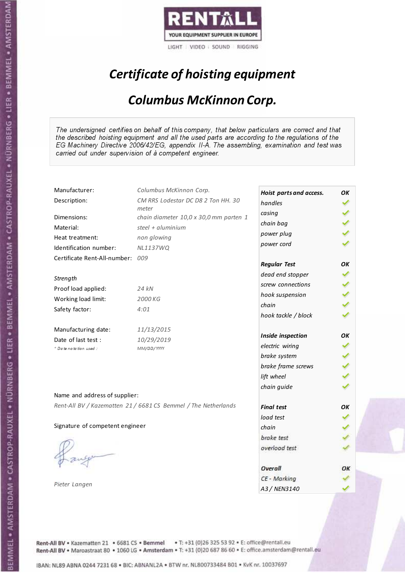

# Certificate of hoisting equipment

#### Columbus McKinnon Corp.

The undersigned certifies on behalf of this company, that below particulars are correct and that the described hoisting equipment and all the used parts are according to the regulations of the EG Machinery Directive 2006/42/EG, appendix II-A. The assembling, examination and test was carried out under supervision of à competent engineer.

| Manufacturer:                   | Columbus McKinnon Corp.                                        | Hoist parts and access. | OK |
|---------------------------------|----------------------------------------------------------------|-------------------------|----|
| Description:                    | CM RRS Lodestar DC D8 2 Ton HH. 30                             | handles                 |    |
| Dimensions:                     | meter<br>chain diameter 10,0 x 30,0 mm parten 1                | casing                  |    |
| Material:                       | steel + $aluminim$                                             | chain bag               |    |
|                                 |                                                                | power plug              |    |
| Heat treatment:                 | non glowing                                                    | power cord              |    |
| Identification number:          | <b>NL1137WQ</b>                                                |                         |    |
| Certificate Rent-All-number:    | 009                                                            | <b>Regular Test</b>     | OK |
| Strength                        |                                                                | dead end stopper        |    |
| Proof load applied:             | 24 kN                                                          | screw connections       |    |
|                                 |                                                                | hook suspension         |    |
| Working load limit:             | 2000 KG                                                        | chain                   |    |
| Safety factor:                  | 4:01                                                           | hook tackle / block     |    |
| Manufacturing date:             | 11/13/2015                                                     |                         |    |
| Date of last test :             | 10/29/2019                                                     | Inside inspection       | OК |
| * Date notation used :          | MM/DD/YYYY                                                     | electric wiring         |    |
|                                 |                                                                | brake system            |    |
|                                 |                                                                | brake frame screws      |    |
|                                 |                                                                | lift wheel              |    |
|                                 |                                                                | chain guide             |    |
| Name and address of supplier:   |                                                                |                         |    |
|                                 | Rent-All BV / Kazematten 21 / 6681 CS Bemmel / The Netherlands | <b>Final test</b>       | OK |
|                                 |                                                                | load test               |    |
| Signature of competent engineer |                                                                | chain                   |    |
|                                 |                                                                | brake test              |    |
|                                 |                                                                | overload test           |    |
|                                 |                                                                |                         |    |
|                                 |                                                                | Overall                 | ОΚ |
|                                 |                                                                | CE - Marking            |    |
| Pieter Langen                   |                                                                | A3 / NEN3140            |    |

Rent-All BV . Kazematten 21 . 6681 CS . Bemmel . T: +31 (0)26 325 53 92 . E: office@rentall.eu Rent-All BV · Maroastraat 80 · 1060 LG · Amsterdam · T: +31 (0)20 687 86 60 · E: office.amsterdam@rentall.eu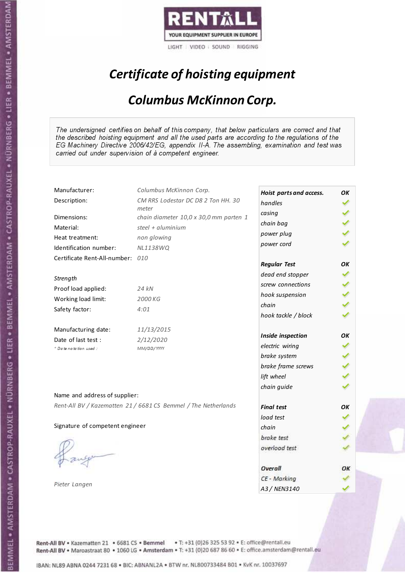

# Certificate of hoisting equipment

#### Columbus McKinnon Corp.

The undersigned certifies on behalf of this company, that below particulars are correct and that the described hoisting equipment and all the used parts are according to the regulations of the EG Machinery Directive 2006/42/EG, appendix II-A. The assembling, examination and test was carried out under supervision of à competent engineer.

| Manufacturer:                    | Columbus McKinnon Corp.                                        | Hoist parts and access. | OK |
|----------------------------------|----------------------------------------------------------------|-------------------------|----|
| Description:                     | CM RRS Lodestar DC D8 2 Ton HH. 30                             | handles                 |    |
| Dimensions:                      | meter<br>chain diameter 10,0 x 30,0 mm parten 1                | casing                  |    |
| Material:                        | steel + $aluminim$                                             | chain bag               |    |
| Heat treatment:                  | non glowing                                                    | power plug              |    |
| Identification number:           | <b>NL1138WQ</b>                                                | power cord              |    |
| Certificate Rent-All-number: 010 |                                                                |                         |    |
|                                  |                                                                | <b>Regular Test</b>     | OК |
| Strength                         |                                                                | dead end stopper        |    |
| Proof load applied:              | 24 kN                                                          | screw connections       |    |
| Working load limit:              | 2000 KG                                                        | hook suspension         |    |
| Safety factor:                   | 4:01                                                           | chain                   |    |
|                                  |                                                                | hook tackle / block     |    |
| Manufacturing date:              | 11/13/2015                                                     |                         |    |
| Date of last test :              | 2/12/2020                                                      | Inside inspection       | OK |
| * Date notation used:            | MM/DD/YYYY                                                     | electric wiring         |    |
|                                  |                                                                | brake system            |    |
|                                  |                                                                | brake frame screws      |    |
|                                  |                                                                | lift wheel              |    |
|                                  |                                                                | chain guide             |    |
| Name and address of supplier:    |                                                                |                         |    |
|                                  | Rent-All BV / Kazematten 21 / 6681 CS Bemmel / The Netherlands | <b>Final test</b>       | OK |
|                                  |                                                                | load test               |    |
| Signature of competent engineer  |                                                                | chain                   |    |
|                                  |                                                                | brake test              |    |
|                                  |                                                                | overload test           |    |
|                                  |                                                                |                         |    |
|                                  |                                                                | Overall                 | ОΚ |
| Pieter Langen                    |                                                                | CE - Marking            |    |
|                                  |                                                                | A3 / NEN3140            |    |

Rent-All BV . Kazematten 21 . 6681 CS . Bemmel . T: +31 (0)26 325 53 92 . E: office@rentall.eu Rent-All BV · Maroastraat 80 · 1060 LG · Amsterdam · T: +31 (0)20 687 86 60 · E: office.amsterdam@rentall.eu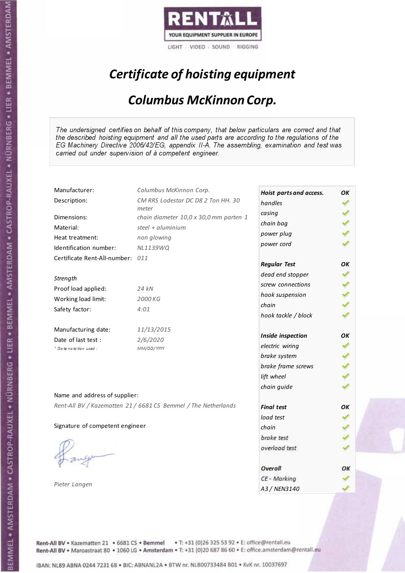

# Certificate of hoisting equipment

#### Columbus McKinnon Corp.

The undersigned certifies on behalf of this company, that below particulars are correct and that the described hoisting equipment and all the used parts are according to the regulations of the EG Machinery Directive 2006/42/EG, appendix II-A. The assembling, examination and test was carried out under supervision of à competent engineer.

| Manufacturer:                    | Columbus McKinnon Corp.                                        | Hoist parts and access. | OK |
|----------------------------------|----------------------------------------------------------------|-------------------------|----|
| Description:                     | CM RRS Lodestar DC D8 2 Ton HH. 30                             | handles                 |    |
| Dimensions:                      | meter<br>chain diameter 10,0 x 30,0 mm parten 1                | casing                  |    |
| Material:                        | steel + $aluminim$                                             | chain bag               |    |
| Heat treatment:                  | non glowing                                                    | power plug              |    |
| Identification number:           | NL1139WQ                                                       | power cord              |    |
| Certificate Rent-All-number: 011 |                                                                |                         |    |
|                                  |                                                                | <b>Regular Test</b>     | OК |
| Strength                         |                                                                | dead end stopper        |    |
| Proof load applied:              | 24 kN                                                          | screw connections       |    |
| Working load limit:              | 2000 KG                                                        | hook suspension         |    |
|                                  | 4:01                                                           | chain                   |    |
| Safety factor:                   |                                                                | hook tackle / block     |    |
| Manufacturing date:              | 11/13/2015                                                     |                         |    |
| Date of last test :              | 2/6/2020                                                       | Inside inspection       | OK |
| * Date notation used:            | MM/DD/YYYY                                                     | electric wiring         |    |
|                                  |                                                                | brake system            |    |
|                                  |                                                                | brake frame screws      |    |
|                                  |                                                                | lift wheel              |    |
|                                  |                                                                | chain guide             |    |
| Name and address of supplier:    |                                                                |                         |    |
|                                  | Rent-All BV / Kazematten 21 / 6681 CS Bemmel / The Netherlands | <b>Final test</b>       | OK |
|                                  |                                                                | load test               |    |
| Signature of competent engineer  |                                                                | chain                   |    |
|                                  |                                                                | brake test              |    |
|                                  |                                                                | overload test           |    |
|                                  |                                                                |                         |    |
|                                  |                                                                | Overall                 | ОΚ |
| Pieter Langen                    |                                                                | CE - Marking            |    |
|                                  |                                                                | A3 / NEN3140            |    |

Rent-All BV . Kazematten 21 . 6681 CS . Bemmel . T: +31 (0)26 325 53 92 . E: office@rentall.eu Rent-All BV · Maroastraat 80 · 1060 LG · Amsterdam · T: +31 (0)20 687 86 60 · E: office.amsterdam@rentall.eu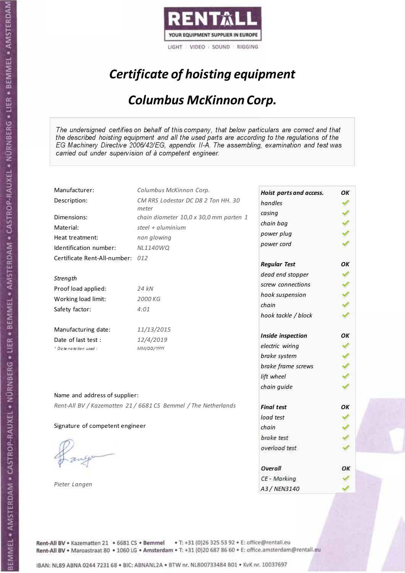

# Certificate of hoisting equipment

#### Columbus McKinnon Corp.

The undersigned certifies on behalf of this company, that below particulars are correct and that the described hoisting equipment and all the used parts are according to the regulations of the EG Machinery Directive 2006/42/EG, appendix II-A. The assembling, examination and test was carried out under supervision of à competent engineer.

| Manufacturer:                    | Columbus McKinnon Corp.                                        | Hoist parts and access. | OK |
|----------------------------------|----------------------------------------------------------------|-------------------------|----|
| Description:                     | CM RRS Lodestar DC D8 2 Ton HH. 30                             | handles                 |    |
| Dimensions:                      | meter                                                          | casing                  |    |
|                                  | chain diameter 10,0 x 30,0 mm parten 1<br>steel + $aluminim$   | chain bag               |    |
| Material:                        |                                                                | power plug              |    |
| Heat treatment:                  | non glowing                                                    | power cord              |    |
| Identification number:           | <b>NL1140WQ</b>                                                |                         |    |
| Certificate Rent-All-number: 012 |                                                                | <b>Regular Test</b>     | OK |
| Strength                         |                                                                | dead end stopper        |    |
|                                  |                                                                | screw connections       |    |
| Proof load applied:              | 24 kN                                                          | hook suspension         |    |
| Working load limit:              | 2000 KG                                                        | chain                   |    |
| Safety factor:                   | 4:01                                                           | hook tackle / block     |    |
| Manufacturing date:              | 11/13/2015                                                     |                         |    |
| Date of last test :              | 12/4/2019                                                      | Inside inspection       | OК |
| * Date notation used :           | MM/DD/YYYY                                                     | electric wiring         |    |
|                                  |                                                                | brake system            |    |
|                                  |                                                                | brake frame screws      |    |
|                                  |                                                                | lift wheel              |    |
|                                  |                                                                | chain guide             |    |
| Name and address of supplier:    |                                                                |                         |    |
|                                  | Rent-All BV / Kazematten 21 / 6681 CS Bemmel / The Netherlands | <b>Final test</b>       | OK |
|                                  |                                                                | load test               |    |
| Signature of competent engineer  |                                                                | chain                   |    |
|                                  |                                                                | brake test              |    |
|                                  |                                                                | overload test           |    |
|                                  |                                                                |                         |    |
|                                  |                                                                | Overall                 | ОΚ |
|                                  |                                                                | CE - Marking            |    |
| Pieter Langen                    |                                                                | A3 / NEN3140            |    |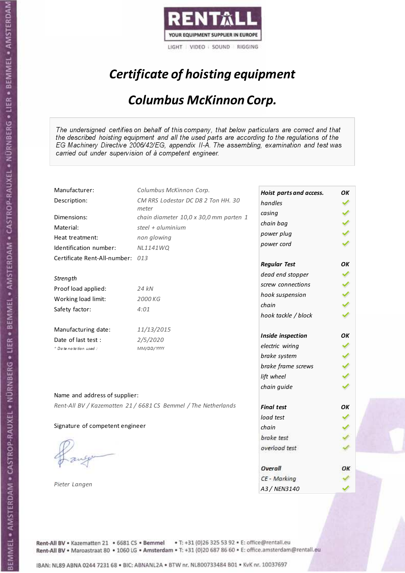

# Certificate of hoisting equipment

#### Columbus McKinnon Corp.

The undersigned certifies on behalf of this company, that below particulars are correct and that the described hoisting equipment and all the used parts are according to the regulations of the EG Machinery Directive 2006/42/EG, appendix II-A. The assembling, examination and test was carried out under supervision of à competent engineer.

| Manufacturer:                    | Columbus McKinnon Corp.                                        | Hoist parts and access. | OK |
|----------------------------------|----------------------------------------------------------------|-------------------------|----|
| Description:                     | CM RRS Lodestar DC D8 2 Ton HH. 30                             | handles                 |    |
| Dimensions:                      | meter<br>chain diameter 10,0 x 30,0 mm parten 1                | casing                  |    |
| Material:                        | steel + $aluminim$                                             | chain bag               |    |
| Heat treatment:                  | non glowing                                                    | power plug              |    |
| Identification number:           | <b>NL1141WQ</b>                                                | power cord              |    |
| Certificate Rent-All-number: 013 |                                                                |                         |    |
|                                  |                                                                | <b>Regular Test</b>     | OК |
| Strength                         |                                                                | dead end stopper        |    |
| Proof load applied:              | 24 kN                                                          | screw connections       |    |
| Working load limit:              | 2000 KG                                                        | hook suspension         |    |
|                                  | 4:01                                                           | chain                   |    |
| Safety factor:                   |                                                                | hook tackle / block     |    |
| Manufacturing date:              | 11/13/2015                                                     |                         |    |
| Date of last test :              | 2/5/2020                                                       | Inside inspection       | OK |
| * Date notation used:            | MM/DD/YYYY                                                     | electric wiring         |    |
|                                  |                                                                | brake system            |    |
|                                  |                                                                | brake frame screws      |    |
|                                  |                                                                | lift wheel              |    |
|                                  |                                                                | chain guide             |    |
| Name and address of supplier:    |                                                                |                         |    |
|                                  | Rent-All BV / Kazematten 21 / 6681 CS Bemmel / The Netherlands | <b>Final test</b>       | OK |
|                                  |                                                                | load test               |    |
| Signature of competent engineer  |                                                                | chain                   |    |
|                                  |                                                                | brake test              |    |
|                                  |                                                                | overload test           |    |
|                                  |                                                                |                         |    |
|                                  |                                                                | Overall                 | ОΚ |
| Pieter Langen                    |                                                                | CE - Marking            |    |
|                                  |                                                                | A3 / NEN3140            |    |

Rent-All BV . Kazematten 21 . 6681 CS . Bemmel . T: +31 (0)26 325 53 92 . E: office@rentall.eu Rent-All BV · Maroastraat 80 · 1060 LG · Amsterdam · T: +31 (0)20 687 86 60 · E: office.amsterdam@rentall.eu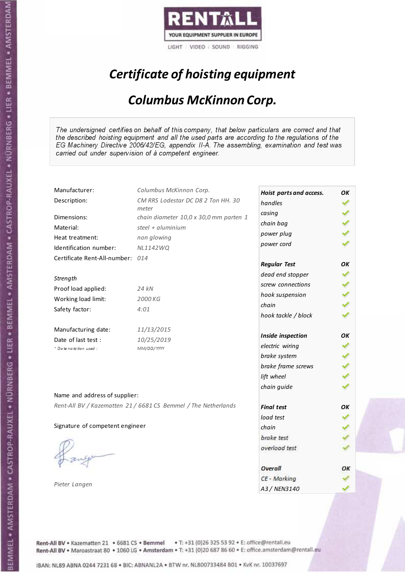

# Certificate of hoisting equipment

#### Columbus McKinnon Corp.

The undersigned certifies on behalf of this company, that below particulars are correct and that the described hoisting equipment and all the used parts are according to the regulations of the EG Machinery Directive 2006/42/EG, appendix II-A. The assembling, examination and test was carried out under supervision of à competent engineer.

| Manufacturer:                    | Columbus McKinnon Corp.                                        | Hoist parts and access. | OK |
|----------------------------------|----------------------------------------------------------------|-------------------------|----|
| Description:                     | CM RRS Lodestar DC D8 2 Ton HH. 30                             | handles                 |    |
| Dimensions:                      | meter<br>chain diameter 10,0 x 30,0 mm parten 1                | casing                  |    |
| Material:                        | steel + aluminium                                              | chain bag               |    |
| Heat treatment:                  | non glowing                                                    | power plug              |    |
| Identification number:           | <b>NL1142WQ</b>                                                | power cord              |    |
| Certificate Rent-All-number: 014 |                                                                |                         |    |
|                                  |                                                                | <b>Regular Test</b>     | OК |
|                                  |                                                                | dead end stopper        |    |
| Strength                         |                                                                | screw connections       |    |
| Proof load applied:              | 24 kN                                                          | hook suspension         |    |
| Working load limit:              | 2000 KG                                                        | chain                   |    |
| Safety factor:                   | 4:01                                                           | hook tackle / block     |    |
| Manufacturing date:              | 11/13/2015                                                     |                         |    |
| Date of last test :              | 10/25/2019                                                     | Inside inspection       | OК |
| * Date notation used :           | MM/DD/YYYY                                                     | electric wiring         |    |
|                                  |                                                                | brake system            |    |
|                                  |                                                                | brake frame screws      |    |
|                                  |                                                                | lift wheel              |    |
|                                  |                                                                | chain guide             |    |
| Name and address of supplier:    |                                                                |                         |    |
|                                  | Rent-All BV / Kazematten 21 / 6681 CS Bemmel / The Netherlands | <b>Final test</b>       | OK |
|                                  |                                                                | load test               |    |
| Signature of competent engineer  |                                                                | chain                   |    |
|                                  |                                                                | brake test              |    |
|                                  |                                                                | overload test           |    |
|                                  |                                                                | Overall                 | ОΚ |
|                                  |                                                                | CE - Marking            |    |
| Pieter Langen                    |                                                                | A3 / NEN3140            |    |

Rent-All BV . Kazematten 21 . 6681 CS . Bemmel . T: +31 (0)26 325 53 92 . E: office@rentall.eu Rent-All BV · Maroastraat 80 · 1060 LG · Amsterdam · T: +31 (0)20 687 86 60 · E: office.amsterdam@rentall.eu

IBAN: NL89 ABNA 0244 7231 68 . BIC: ABNANL2A . BTW nr. NL800733484 B01 . KvK nr. 10037697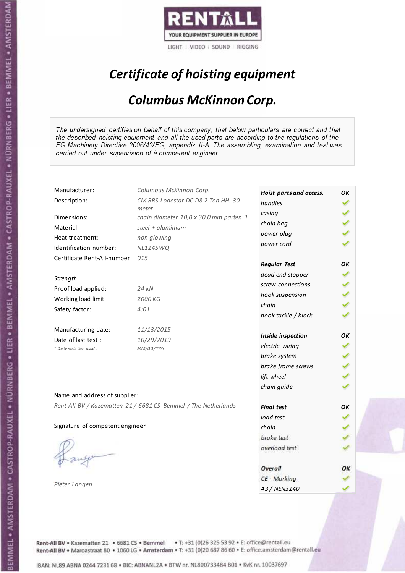

# Certificate of hoisting equipment

#### Columbus McKinnon Corp.

The undersigned certifies on behalf of this company, that below particulars are correct and that the described hoisting equipment and all the used parts are according to the regulations of the EG Machinery Directive 2006/42/EG, appendix II-A. The assembling, examination and test was carried out under supervision of à competent engineer.

| Manufacturer:                    | Columbus McKinnon Corp.                                        | Hoist parts and access. | OK |
|----------------------------------|----------------------------------------------------------------|-------------------------|----|
| Description:                     | CM RRS Lodestar DC D8 2 Ton HH. 30                             | handles                 |    |
|                                  | meter                                                          | casing                  |    |
| Dimensions:                      | chain diameter 10,0 x 30,0 mm parten 1                         | chain bag               |    |
| Material:                        | steel + $aluminim$                                             | power plug              |    |
| Heat treatment:                  | non glowing                                                    | power cord              |    |
| Identification number:           | <b>NL1145WQ</b>                                                |                         |    |
| Certificate Rent-All-number: 015 |                                                                | <b>Regular Test</b>     | OК |
| Strength                         |                                                                | dead end stopper        |    |
| Proof load applied:              | 24 kN                                                          | screw connections       |    |
|                                  |                                                                | hook suspension         |    |
| Working load limit:              | 2000 KG                                                        | chain                   |    |
| Safety factor:                   | 4:01                                                           | hook tackle / block     |    |
| Manufacturing date:              | 11/13/2015                                                     |                         |    |
| Date of last test :              | 10/29/2019                                                     | Inside inspection       | OK |
| + Date notation used :           | MM/DD/YYYY                                                     | electric wiring         |    |
|                                  |                                                                | brake system            |    |
|                                  |                                                                | brake frame screws      |    |
|                                  |                                                                | lift wheel              |    |
|                                  |                                                                | chain guide             |    |
| Name and address of supplier:    |                                                                |                         |    |
|                                  | Rent-All BV / Kazematten 21 / 6681 CS Bemmel / The Netherlands | <b>Final test</b>       | OK |
|                                  |                                                                | load test               |    |
| Signature of competent engineer  |                                                                | chain                   |    |
|                                  |                                                                | brake test              |    |
|                                  |                                                                | overload test           |    |
|                                  |                                                                | Overall                 | ОΚ |
|                                  |                                                                | CE - Marking            |    |
| Pieter Langen                    |                                                                | A3 / NEN3140            |    |

Rent-All BV . Kazematten 21 . 6681 CS . Bemmel . T: +31 (0)26 325 53 92 . E: office@rentall.eu Rent-All BV · Maroastraat 80 · 1060 LG · Amsterdam · T: +31 (0)20 687 86 60 · E: office.amsterdam@rentall.eu

IBAN: NL89 ABNA 0244 7231 68 . BIC: ABNANL2A . BTW nr. NL800733484 B01 . KvK nr. 10037697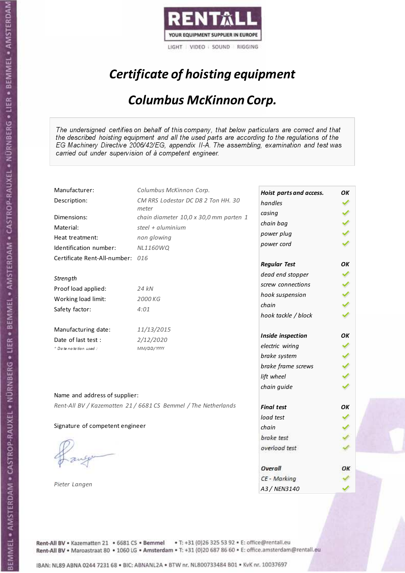

# Certificate of hoisting equipment

#### Columbus McKinnon Corp.

The undersigned certifies on behalf of this company, that below particulars are correct and that the described hoisting equipment and all the used parts are according to the regulations of the EG Machinery Directive 2006/42/EG, appendix II-A. The assembling, examination and test was carried out under supervision of à competent engineer.

| Manufacturer:                    | Columbus McKinnon Corp.                                        | Hoist parts and access. | OK |
|----------------------------------|----------------------------------------------------------------|-------------------------|----|
| Description:                     | CM RRS Lodestar DC D8 2 Ton HH. 30                             | handles                 |    |
| Dimensions:                      | meter<br>chain diameter 10,0 x 30,0 mm parten 1                | casing                  |    |
| Material:                        | steel + $aluminim$                                             | chain bag               |    |
|                                  |                                                                | power plug              |    |
| Heat treatment:                  | non glowing                                                    | power cord              |    |
| Identification number:           | <b>NL1160WQ</b>                                                |                         |    |
| Certificate Rent-All-number: 016 |                                                                | <b>Regular Test</b>     | OK |
| Strength                         |                                                                | dead end stopper        |    |
| Proof load applied:              | 24 kN                                                          | screw connections       |    |
|                                  |                                                                | hook suspension         |    |
| Working load limit:              | 2000 KG                                                        | chain                   |    |
| Safety factor:                   | 4:01                                                           | hook tackle / block     |    |
| Manufacturing date:              | 11/13/2015                                                     |                         |    |
| Date of last test :              | 2/12/2020                                                      | Inside inspection       | OK |
| + Date notation used:            | MM/DD/YYYY                                                     | electric wiring         |    |
|                                  |                                                                | brake system            |    |
|                                  |                                                                | brake frame screws      |    |
|                                  |                                                                | lift wheel              |    |
|                                  |                                                                | chain guide             |    |
| Name and address of supplier:    |                                                                |                         |    |
|                                  | Rent-All BV / Kazematten 21 / 6681 CS Bemmel / The Netherlands | <b>Final test</b>       | OK |
|                                  |                                                                | load test               |    |
| Signature of competent engineer  |                                                                | chain                   |    |
|                                  |                                                                | brake test              |    |
|                                  |                                                                | overload test           |    |
|                                  |                                                                |                         |    |
|                                  |                                                                | Overall                 | ОΚ |
|                                  |                                                                | CE - Marking            |    |
| Pieter Langen                    |                                                                | A3 / NEN3140            |    |

Rent-All BV . Kazematten 21 . 6681 CS . Bemmel . T: +31 (0)26 325 53 92 . E: office@rentall.eu Rent-All BV · Maroastraat 80 · 1060 LG · Amsterdam · T: +31 (0)20 687 86 60 · E: office.amsterdam@rentall.eu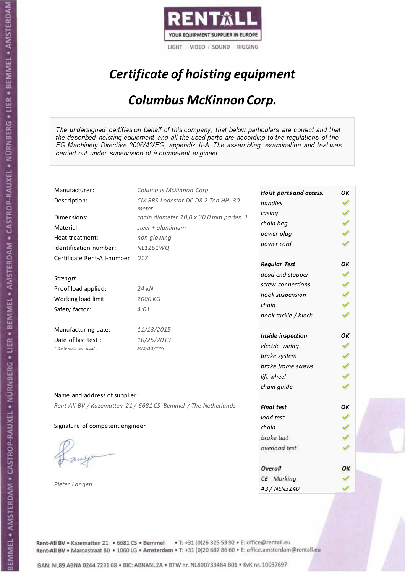

# Certificate of hoisting equipment

#### Columbus McKinnon Corp.

The undersigned certifies on behalf of this company, that below particulars are correct and that the described hoisting equipment and all the used parts are according to the regulations of the EG Machinery Directive 2006/42/EG, appendix II-A. The assembling, examination and test was carried out under supervision of à competent engineer.

| Manufacturer:                    | Columbus McKinnon Corp.                                        | Hoist parts and access. | OK |
|----------------------------------|----------------------------------------------------------------|-------------------------|----|
| Description:                     | CM RRS Lodestar DC D8 2 Ton HH. 30                             | handles                 |    |
|                                  | meter                                                          | casing                  |    |
| Dimensions:                      | chain diameter 10,0 x 30,0 mm parten 1                         | chain bag               |    |
| Material:                        | steel + aluminium                                              | power plug              |    |
| Heat treatment:                  | non glowing                                                    | power cord              |    |
| Identification number:           | <b>NL1161WQ</b>                                                |                         |    |
| Certificate Rent-All-number: 017 |                                                                | <b>Regular Test</b>     | OК |
| Strength                         |                                                                | dead end stopper        |    |
|                                  | 24 kN                                                          | screw connections       |    |
| Proof load applied:              |                                                                | hook suspension         |    |
| Working load limit:              | 2000 KG                                                        | chain                   |    |
| Safety factor:                   | 4:01                                                           | hook tackle / block     |    |
| Manufacturing date:              | 11/13/2015                                                     |                         |    |
| Date of last test :              | 10/25/2019                                                     | Inside inspection       | OК |
| * Date notation used :           | MM/DD/YYYY                                                     | electric wiring         |    |
|                                  |                                                                | brake system            |    |
|                                  |                                                                | brake frame screws      |    |
|                                  |                                                                | lift wheel              |    |
|                                  |                                                                | chain guide             |    |
| Name and address of supplier:    |                                                                |                         |    |
|                                  | Rent-All BV / Kazematten 21 / 6681 CS Bemmel / The Netherlands | <b>Final test</b>       | OK |
|                                  |                                                                | load test               |    |
| Signature of competent engineer  |                                                                | chain                   |    |
|                                  |                                                                | brake test              |    |
|                                  |                                                                | overload test           |    |
|                                  |                                                                | Overall                 | ОΚ |
|                                  |                                                                | CE - Marking            |    |
| Pieter Langen                    |                                                                | A3 / NEN3140            |    |

Rent-All BV . Kazematten 21 . 6681 CS . Bemmel . T: +31 (0)26 325 53 92 . E: office@rentall.eu Rent-All BV · Maroastraat 80 · 1060 LG · Amsterdam · T: +31 (0)20 687 86 60 · E: office.amsterdam@rentall.eu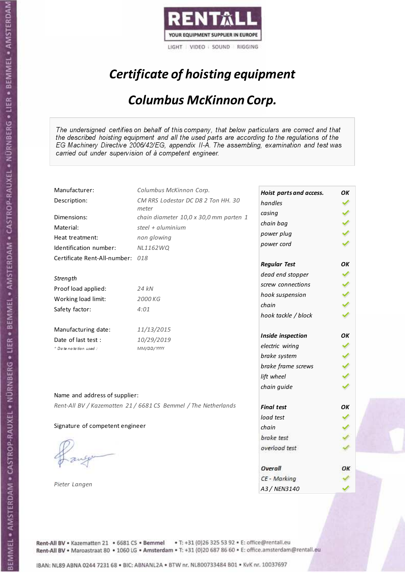

# Certificate of hoisting equipment

#### Columbus McKinnon Corp.

The undersigned certifies on behalf of this company, that below particulars are correct and that the described hoisting equipment and all the used parts are according to the regulations of the EG Machinery Directive 2006/42/EG, appendix II-A. The assembling, examination and test was carried out under supervision of à competent engineer.

| Manufacturer:                    | Columbus McKinnon Corp.                                        | Hoist parts and access. | OK |
|----------------------------------|----------------------------------------------------------------|-------------------------|----|
| Description:                     | CM RRS Lodestar DC D8 2 Ton HH. 30                             | handles                 |    |
| Dimensions:                      | meter<br>chain diameter 10,0 x 30,0 mm parten 1                | casing                  |    |
| Material:                        | steel + $aluminim$                                             | chain bag               |    |
|                                  |                                                                | power plug              |    |
| Heat treatment:                  | non glowing                                                    | power cord              |    |
| Identification number:           | <b>NL1162WQ</b>                                                |                         |    |
| Certificate Rent-All-number: 018 |                                                                | <b>Regular Test</b>     | OK |
| Strength                         |                                                                | dead end stopper        |    |
|                                  |                                                                | screw connections       |    |
| Proof load applied:              | 24 kN                                                          | hook suspension         |    |
| Working load limit:              | 2000 KG                                                        | chain                   |    |
| Safety factor:                   | 4:01                                                           | hook tackle / block     |    |
| Manufacturing date:              | 11/13/2015                                                     |                         |    |
| Date of last test :              | 10/29/2019                                                     | Inside inspection       | OК |
| * Date notation used :           | MM/DD/YYYY                                                     | electric wiring         |    |
|                                  |                                                                | brake system            |    |
|                                  |                                                                | brake frame screws      |    |
|                                  |                                                                | lift wheel              |    |
|                                  |                                                                | chain guide             |    |
| Name and address of supplier:    |                                                                |                         |    |
|                                  | Rent-All BV / Kazematten 21 / 6681 CS Bemmel / The Netherlands | <b>Final test</b>       | OK |
|                                  |                                                                | load test               |    |
| Signature of competent engineer  |                                                                | chain                   |    |
|                                  |                                                                | brake test              |    |
|                                  |                                                                | overload test           |    |
|                                  |                                                                |                         |    |
|                                  |                                                                | Overall                 | ОΚ |
|                                  |                                                                | CE - Marking            |    |
| Pieter Langen                    |                                                                | A3 / NEN3140            |    |

Rent-All BV . Kazematten 21 . 6681 CS . Bemmel . T: +31 (0)26 325 53 92 . E: office@rentall.eu Rent-All BV · Maroastraat 80 · 1060 LG · Amsterdam · T: +31 (0)20 687 86 60 · E: office.amsterdam@rentall.eu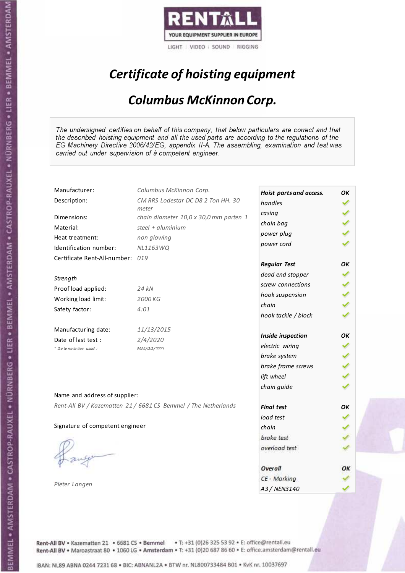

# Certificate of hoisting equipment

#### Columbus McKinnon Corp.

The undersigned certifies on behalf of this company, that below particulars are correct and that the described hoisting equipment and all the used parts are according to the regulations of the EG Machinery Directive 2006/42/EG, appendix II-A. The assembling, examination and test was carried out under supervision of à competent engineer.

| Manufacturer:                    | Columbus McKinnon Corp.                                        | Hoist parts and access. | OK |
|----------------------------------|----------------------------------------------------------------|-------------------------|----|
| Description:                     | CM RRS Lodestar DC D8 2 Ton HH. 30                             | handles                 |    |
| Dimensions:                      | meter<br>chain diameter 10,0 x 30,0 mm parten 1                | casing                  |    |
| Material:                        | steel + $aluminim$                                             | chain bag               |    |
| Heat treatment:                  | non glowing                                                    | power plug              |    |
| Identification number:           | NL1163WQ                                                       | power cord              |    |
| Certificate Rent-All-number: 019 |                                                                |                         |    |
|                                  |                                                                | <b>Regular Test</b>     | OК |
| Strength                         |                                                                | dead end stopper        |    |
|                                  | 24 kN                                                          | screw connections       |    |
| Proof load applied:              |                                                                | hook suspension         |    |
| Working load limit:              | 2000 KG                                                        | chain                   |    |
| Safety factor:                   | 4:01                                                           | hook tackle / block     |    |
| Manufacturing date:              | 11/13/2015                                                     |                         |    |
| Date of last test :              | 2/4/2020                                                       | Inside inspection       | OK |
| * Date notation used:            | MM/DD/YYYY                                                     | electric wiring         |    |
|                                  |                                                                | brake system            |    |
|                                  |                                                                | brake frame screws      |    |
|                                  |                                                                | lift wheel              |    |
|                                  |                                                                | chain guide             |    |
| Name and address of supplier:    |                                                                |                         |    |
|                                  | Rent-All BV / Kazematten 21 / 6681 CS Bemmel / The Netherlands | <b>Final test</b>       | OK |
|                                  |                                                                | load test               |    |
| Signature of competent engineer  |                                                                | chain                   |    |
|                                  |                                                                | brake test              |    |
|                                  |                                                                | overload test           |    |
|                                  |                                                                |                         |    |
|                                  |                                                                | Overall                 | ОΚ |
| Pieter Langen                    |                                                                | CE - Marking            |    |
|                                  |                                                                | A3 / NEN3140            |    |

Rent-All BV . Kazematten 21 . 6681 CS . Bemmel . T: +31 (0)26 325 53 92 . E: office@rentall.eu Rent-All BV · Maroastraat 80 · 1060 LG · Amsterdam · T: +31 (0)20 687 86 60 · E: office.amsterdam@rentall.eu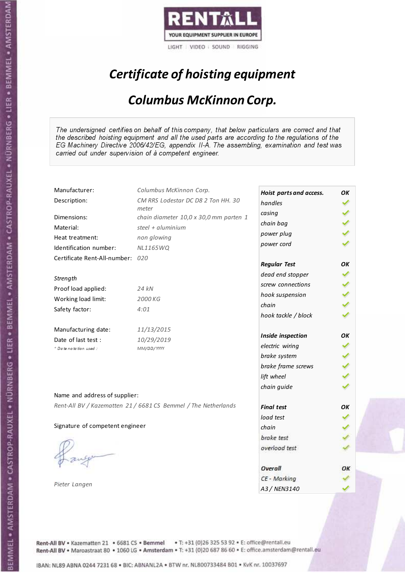

# Certificate of hoisting equipment

#### Columbus McKinnon Corp.

The undersigned certifies on behalf of this company, that below particulars are correct and that the described hoisting equipment and all the used parts are according to the regulations of the EG Machinery Directive 2006/42/EG, appendix II-A. The assembling, examination and test was carried out under supervision of à competent engineer.

| Manufacturer:                    | Columbus McKinnon Corp.                                        | Hoist parts and access. | OK |
|----------------------------------|----------------------------------------------------------------|-------------------------|----|
| Description:                     | CM RRS Lodestar DC D8 2 Ton HH. 30                             | handles                 |    |
| Dimensions:                      | meter<br>chain diameter 10,0 x 30,0 mm parten 1                | casing                  |    |
| Material:                        | steel + $aluminim$                                             | chain bag               |    |
|                                  |                                                                | power plug              |    |
| Heat treatment:                  | non glowing                                                    | power cord              |    |
| Identification number:           | <b>NL1165WQ</b>                                                |                         |    |
| Certificate Rent-All-number: 020 |                                                                | <b>Regular Test</b>     | OK |
| Strength                         |                                                                | dead end stopper        |    |
| Proof load applied:              | 24 kN                                                          | screw connections       |    |
|                                  |                                                                | hook suspension         |    |
| Working load limit:              | 2000 KG                                                        | chain                   |    |
| Safety factor:                   | 4:01                                                           | hook tackle / block     |    |
| Manufacturing date:              | 11/13/2015                                                     |                         |    |
| Date of last test :              | 10/29/2019                                                     | Inside inspection       | OК |
| * Date notation used :           | MM/DD/YYYY                                                     | electric wiring         |    |
|                                  |                                                                | brake system            |    |
|                                  |                                                                | brake frame screws      |    |
|                                  |                                                                | lift wheel              |    |
|                                  |                                                                | chain guide             |    |
| Name and address of supplier:    |                                                                |                         |    |
|                                  | Rent-All BV / Kazematten 21 / 6681 CS Bemmel / The Netherlands | <b>Final test</b>       | OK |
|                                  |                                                                | load test               |    |
| Signature of competent engineer  |                                                                | chain                   |    |
|                                  |                                                                | brake test              |    |
|                                  |                                                                | overload test           |    |
|                                  |                                                                |                         |    |
|                                  |                                                                | Overall                 | ОΚ |
|                                  |                                                                | CE - Marking            |    |
| Pieter Langen                    |                                                                | A3 / NEN3140            |    |

Rent-All BV . Kazematten 21 . 6681 CS . Bemmel . T: +31 (0)26 325 53 92 . E: office@rentall.eu Rent-All BV · Maroastraat 80 · 1060 LG · Amsterdam · T: +31 (0)20 687 86 60 · E: office.amsterdam@rentall.eu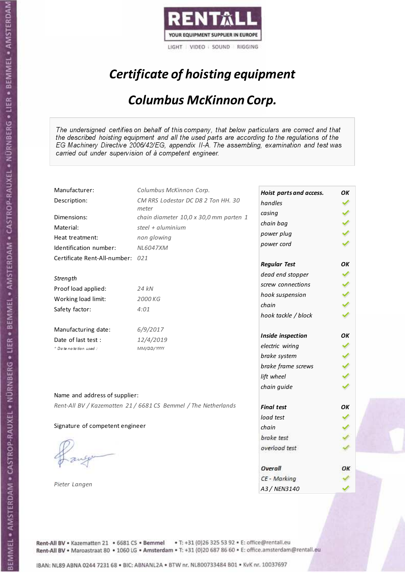

# Certificate of hoisting equipment

#### Columbus McKinnon Corp.

The undersigned certifies on behalf of this company, that below particulars are correct and that the described hoisting equipment and all the used parts are according to the regulations of the EG Machinery Directive 2006/42/EG, appendix II-A. The assembling, examination and test was carried out under supervision of à competent engineer.

| Manufacturer:                    | Columbus McKinnon Corp.                                        | Hoist parts and access. | OK |
|----------------------------------|----------------------------------------------------------------|-------------------------|----|
| Description:                     | CM RRS Lodestar DC D8 2 Ton HH. 30                             | handles                 |    |
| Dimensions:                      | meter<br>chain diameter 10,0 x 30,0 mm parten 1                | casing                  |    |
| Material:                        | steel + $aluminim$                                             | chain bag               |    |
|                                  |                                                                | power plug              |    |
| Heat treatment:                  | non glowing                                                    | power cord              |    |
| Identification number:           | <b>NL6047XM</b>                                                |                         |    |
| Certificate Rent-All-number: 021 |                                                                | <b>Regular Test</b>     | OK |
| Strength                         |                                                                | dead end stopper        |    |
| Proof load applied:              | 24 kN                                                          | screw connections       |    |
|                                  |                                                                | hook suspension         |    |
| Working load limit:              | 2000 KG                                                        | chain                   |    |
| Safety factor:                   | 4:01                                                           | hook tackle / block     |    |
| Manufacturing date:              | 6/9/2017                                                       |                         |    |
| Date of last test :              | 12/4/2019                                                      | Inside inspection       | OK |
| + Date notation used:            | MM/DD/YYYY                                                     | electric wiring         |    |
|                                  |                                                                | brake system            |    |
|                                  |                                                                | brake frame screws      |    |
|                                  |                                                                | lift wheel              |    |
|                                  |                                                                | chain guide             |    |
| Name and address of supplier:    |                                                                |                         |    |
|                                  | Rent-All BV / Kazematten 21 / 6681 CS Bemmel / The Netherlands | <b>Final test</b>       | OK |
|                                  |                                                                | load test               |    |
| Signature of competent engineer  |                                                                | chain                   |    |
|                                  |                                                                | brake test              |    |
|                                  |                                                                | overload test           |    |
|                                  |                                                                |                         |    |
|                                  |                                                                | Overall                 | ОΚ |
|                                  |                                                                | CE - Marking            |    |
| Pieter Langen                    |                                                                | A3 / NEN3140            |    |

Rent-All BV . Kazematten 21 . 6681 CS . Bemmel . T: +31 (0)26 325 53 92 . E: office@rentall.eu Rent-All BV · Maroastraat 80 · 1060 LG · Amsterdam · T: +31 (0)20 687 86 60 · E: office.amsterdam@rentall.eu

IBAN: NL89 ABNA 0244 7231 68 . BIC: ABNANL2A . BTW nr. NL800733484 B01 . KvK nr. 10037697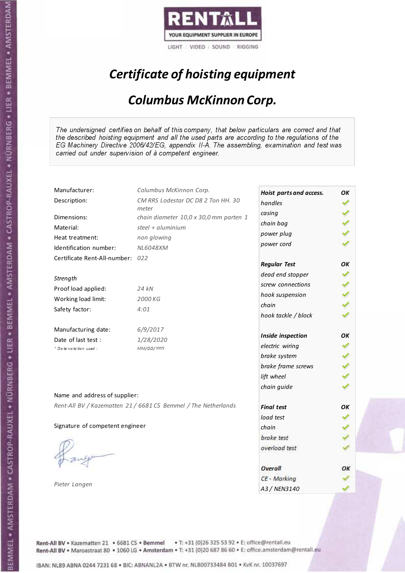

# Certificate of hoisting equipment

#### Columbus McKinnon Corp.

The undersigned certifies on behalf of this company, that below particulars are correct and that the described hoisting equipment and all the used parts are according to the regulations of the EG Machinery Directive 2006/42/EG, appendix II-A. The assembling, examination and test was carried out under supervision of à competent engineer.

| Manufacturer:                    | Columbus McKinnon Corp.                                        | Hoist parts and access. | OK |
|----------------------------------|----------------------------------------------------------------|-------------------------|----|
| Description:                     | CM RRS Lodestar DC D8 2 Ton HH. 30                             | handles                 |    |
| Dimensions:                      | meter<br>chain diameter 10,0 x 30,0 mm parten 1                | casing                  |    |
| Material:                        | steel + $aluminim$                                             | chain bag               |    |
|                                  |                                                                | power plug              |    |
| Heat treatment:                  | non glowing                                                    | power cord              |    |
| Identification number:           | <b>NL6048XM</b>                                                |                         |    |
| Certificate Rent-All-number: 022 |                                                                | <b>Regular Test</b>     | OK |
| Strength                         |                                                                | dead end stopper        |    |
| Proof load applied:              | 24 kN                                                          | screw connections       |    |
|                                  |                                                                | hook suspension         |    |
| Working load limit:              | 2000 KG                                                        | chain                   |    |
| Safety factor:                   | 4:01                                                           | hook tackle / block     |    |
| Manufacturing date:              | 6/9/2017                                                       |                         |    |
| Date of last test :              | 1/28/2020                                                      | Inside inspection       | OK |
| + Date notation used:            | MM/DD/YYYY                                                     | electric wiring         |    |
|                                  |                                                                | brake system            |    |
|                                  |                                                                | brake frame screws      |    |
|                                  |                                                                | lift wheel              |    |
|                                  |                                                                | chain guide             |    |
| Name and address of supplier:    |                                                                |                         |    |
|                                  | Rent-All BV / Kazematten 21 / 6681 CS Bemmel / The Netherlands | <b>Final test</b>       | OK |
|                                  |                                                                | load test               |    |
| Signature of competent engineer  |                                                                | chain                   |    |
|                                  |                                                                | brake test              |    |
|                                  |                                                                | overload test           |    |
|                                  |                                                                |                         |    |
|                                  |                                                                | Overall                 | ОΚ |
|                                  |                                                                | CE - Marking            |    |
| Pieter Langen                    |                                                                | A3 / NEN3140            |    |

Rent-All BV . Kazematten 21 . 6681 CS . Bemmel . T: +31 (0)26 325 53 92 . E: office@rentall.eu Rent-All BV · Maroastraat 80 · 1060 LG · Amsterdam · T: +31 (0)20 687 86 60 · E: office.amsterdam@rentall.eu

IBAN: NL89 ABNA 0244 7231 68 . BIC: ABNANL2A . BTW nr. NL800733484 B01 . KvK nr. 10037697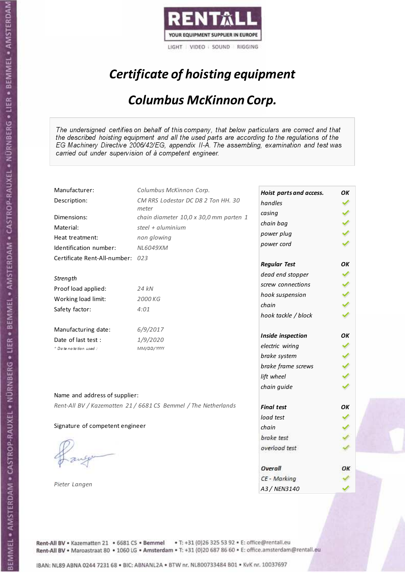

# Certificate of hoisting equipment

#### Columbus McKinnon Corp.

The undersigned certifies on behalf of this company, that below particulars are correct and that the described hoisting equipment and all the used parts are according to the regulations of the EG Machinery Directive 2006/42/EG, appendix II-A. The assembling, examination and test was carried out under supervision of à competent engineer.

| Manufacturer:                    | Columbus McKinnon Corp.                                        | Hoist parts and access. | OK |
|----------------------------------|----------------------------------------------------------------|-------------------------|----|
| Description:                     | CM RRS Lodestar DC D8 2 Ton HH. 30                             | handles                 |    |
| Dimensions:                      | meter                                                          | casing                  |    |
|                                  | chain diameter 10,0 x 30,0 mm parten 1<br>steel + $aluminim$   | chain bag               |    |
| Material:                        |                                                                | power plug              |    |
| Heat treatment:                  | non glowing                                                    | power cord              |    |
| Identification number:           | NL6049XM                                                       |                         |    |
| Certificate Rent-All-number: 023 |                                                                | <b>Regular Test</b>     | OK |
| Strength                         |                                                                | dead end stopper        |    |
|                                  |                                                                | screw connections       |    |
| Proof load applied:              | 24 kN                                                          | hook suspension         |    |
| Working load limit:              | 2000 KG                                                        | chain                   |    |
| Safety factor:                   | 4:01                                                           | hook tackle / block     |    |
| Manufacturing date:              | 6/9/2017                                                       |                         |    |
| Date of last test :              | 1/9/2020                                                       | Inside inspection       | OК |
| * Date notation used :           | MM/DD/YYYY                                                     | electric wiring         |    |
|                                  |                                                                | brake system            |    |
|                                  |                                                                | brake frame screws      |    |
|                                  |                                                                | lift wheel              |    |
|                                  |                                                                | chain guide             |    |
| Name and address of supplier:    |                                                                |                         |    |
|                                  | Rent-All BV / Kazematten 21 / 6681 CS Bemmel / The Netherlands | <b>Final test</b>       | OK |
|                                  |                                                                | load test               |    |
| Signature of competent engineer  |                                                                | chain                   |    |
|                                  |                                                                | brake test              |    |
|                                  |                                                                | overload test           |    |
|                                  |                                                                |                         |    |
|                                  |                                                                | Overall                 | ОΚ |
|                                  |                                                                | CE - Marking            |    |
| Pieter Langen                    |                                                                | A3 / NEN3140            |    |

Rent-All BV . Kazematten 21 . 6681 CS . Bemmel . T: +31 (0)26 325 53 92 . E: office@rentall.eu Rent-All BV · Maroastraat 80 · 1060 LG · Amsterdam · T: +31 (0)20 687 86 60 · E: office.amsterdam@rentall.eu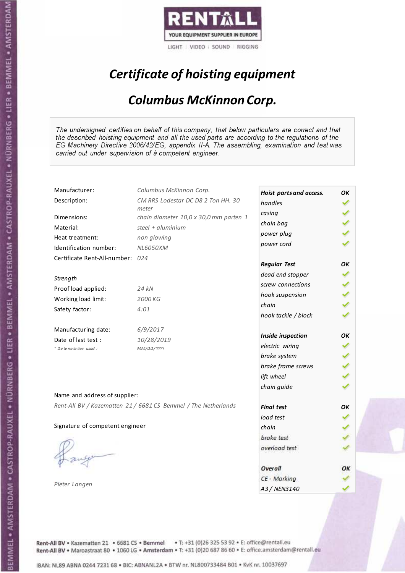

# Certificate of hoisting equipment

#### Columbus McKinnon Corp.

The undersigned certifies on behalf of this company, that below particulars are correct and that the described hoisting equipment and all the used parts are according to the regulations of the EG Machinery Directive 2006/42/EG, appendix II-A. The assembling, examination and test was carried out under supervision of à competent engineer.

| Manufacturer:                    | Columbus McKinnon Corp.                                        | Hoist parts and access. | OK |
|----------------------------------|----------------------------------------------------------------|-------------------------|----|
| Description:                     | CM RRS Lodestar DC D8 2 Ton HH. 30                             | handles                 |    |
| Dimensions:                      | meter<br>chain diameter 10,0 x 30,0 mm parten 1                | casing                  |    |
| Material:                        | steel + $aluminim$                                             | chain bag               |    |
|                                  |                                                                | power plug              |    |
| Heat treatment:                  | non glowing                                                    | power cord              |    |
| Identification number:           | <b>NL6050XM</b>                                                |                         |    |
| Certificate Rent-All-number: 024 |                                                                | <b>Regular Test</b>     | OK |
| Strength                         |                                                                | dead end stopper        |    |
| Proof load applied:              | 24 kN                                                          | screw connections       |    |
|                                  |                                                                | hook suspension         |    |
| Working load limit:              | 2000 KG                                                        | chain                   |    |
| Safety factor:                   | 4:01                                                           | hook tackle / block     |    |
| Manufacturing date:              | 6/9/2017                                                       |                         |    |
| Date of last test :              | 10/28/2019                                                     | Inside inspection       | OK |
| + Date notation used:            | MM/DD/YYYY                                                     | electric wiring         |    |
|                                  |                                                                | brake system            |    |
|                                  |                                                                | brake frame screws      |    |
|                                  |                                                                | lift wheel              |    |
|                                  |                                                                | chain guide             |    |
| Name and address of supplier:    |                                                                |                         |    |
|                                  | Rent-All BV / Kazematten 21 / 6681 CS Bemmel / The Netherlands | <b>Final test</b>       | OK |
|                                  |                                                                | load test               |    |
| Signature of competent engineer  |                                                                | chain                   |    |
|                                  |                                                                | brake test              |    |
|                                  |                                                                | overload test           |    |
|                                  |                                                                |                         |    |
|                                  |                                                                | Overall                 | ОΚ |
|                                  |                                                                | CE - Marking            |    |
| Pieter Langen                    |                                                                | A3 / NEN3140            |    |

Rent-All BV . Kazematten 21 . 6681 CS . Bemmel . T: +31 (0)26 325 53 92 . E: office@rentall.eu Rent-All BV · Maroastraat 80 · 1060 LG · Amsterdam · T: +31 (0)20 687 86 60 · E: office.amsterdam@rentall.eu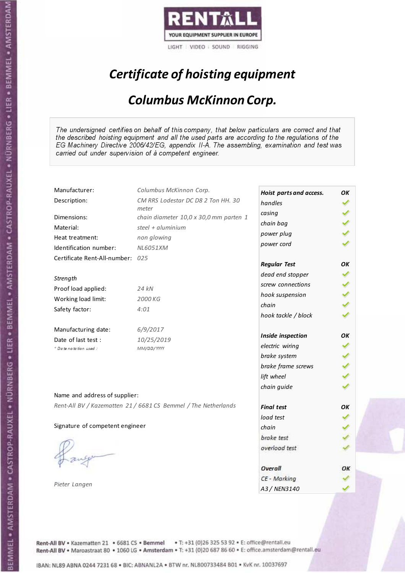

# Certificate of hoisting equipment

#### Columbus McKinnon Corp.

The undersigned certifies on behalf of this company, that below particulars are correct and that the described hoisting equipment and all the used parts are according to the regulations of the EG Machinery Directive 2006/42/EG, appendix II-A. The assembling, examination and test was carried out under supervision of à competent engineer.

| Manufacturer:                    | Columbus McKinnon Corp.                                        | Hoist parts and access. | OK |
|----------------------------------|----------------------------------------------------------------|-------------------------|----|
| Description:                     | CM RRS Lodestar DC D8 2 Ton HH. 30                             | handles                 |    |
| Dimensions:                      | meter<br>chain diameter 10,0 x 30,0 mm parten 1                | casing                  |    |
| Material:                        | steel + $aluminim$                                             | chain bag               |    |
|                                  |                                                                | power plug              |    |
| Heat treatment:                  | non glowing                                                    | power cord              |    |
| Identification number:           | NL6051XM                                                       |                         |    |
| Certificate Rent-All-number: 025 |                                                                | <b>Regular Test</b>     | OK |
| Strength                         |                                                                | dead end stopper        |    |
| Proof load applied:              | 24 kN                                                          | screw connections       |    |
|                                  |                                                                | hook suspension         |    |
| Working load limit:              | 2000 KG                                                        | chain                   |    |
| Safety factor:                   | 4:01                                                           | hook tackle / block     |    |
| Manufacturing date:              | 6/9/2017                                                       |                         |    |
| Date of last test :              | 10/25/2019                                                     | Inside inspection       | OK |
| + Date notation used:            | MM/DD/YYYY                                                     | electric wiring         |    |
|                                  |                                                                | brake system            |    |
|                                  |                                                                | brake frame screws      |    |
|                                  |                                                                | lift wheel              |    |
|                                  |                                                                | chain guide             |    |
| Name and address of supplier:    |                                                                |                         |    |
|                                  | Rent-All BV / Kazematten 21 / 6681 CS Bemmel / The Netherlands | <b>Final test</b>       | OK |
|                                  |                                                                | load test               |    |
| Signature of competent engineer  |                                                                | chain                   |    |
|                                  |                                                                | brake test              |    |
|                                  |                                                                | overload test           |    |
|                                  |                                                                |                         |    |
|                                  |                                                                | Overall                 | ОΚ |
|                                  |                                                                | CE - Marking            |    |
| Pieter Langen                    |                                                                | A3 / NEN3140            |    |

Rent-All BV . Kazematten 21 . 6681 CS . Bemmel . T: +31 (0)26 325 53 92 . E: office@rentall.eu Rent-All BV · Maroastraat 80 · 1060 LG · Amsterdam · T: +31 (0)20 687 86 60 · E: office.amsterdam@rentall.eu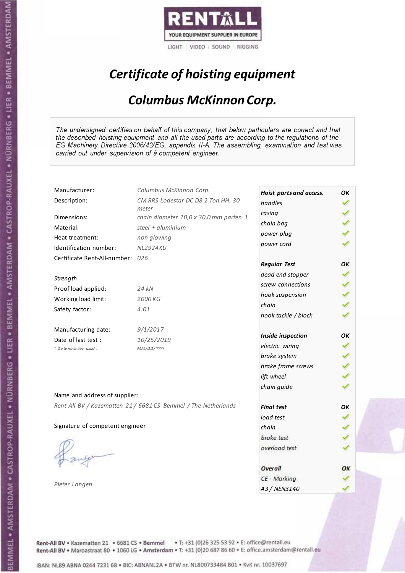

# Certificate of hoisting equipment

#### Columbus McKinnon Corp.

The undersigned certifies on behalf of this company, that below particulars are correct and that the described hoisting equipment and all the used parts are according to the regulations of the EG Machinery Directive 2006/42/EG, appendix II-A. The assembling, examination and test was carried out under supervision of à competent engineer.

| Hoist parts and access.<br>CM RRS Lodestar DC D8 2 Ton HH. 30<br>Description:<br>handles<br>meter<br>casing<br>Dimensions:<br>chain diameter 10,0 x 30,0 mm parten 1<br>chain bag<br>Material:<br>steel + aluminium<br>power plug<br>non glowing<br>Heat treatment:<br>power cord<br>Identification number:<br><b>NL2924XU</b><br>Certificate Rent-All-number: 026<br><b>Regular Test</b><br>OK<br>dead end stopper<br>Strength<br>screw connections<br>Proof load applied:<br>24 kN<br>hook suspension<br>Working load limit:<br>2000 KG<br>chain<br>Safety factor:<br>4:01<br>hook tackle / block<br>Manufacturing date:<br>9/1/2017<br>OK<br>Inside inspection<br>Date of last test :<br>10/25/2019<br>electric wiring<br>+ Date notation used:<br>MM/DD/YYYY<br>brake system<br>brake frame screws<br>lift wheel<br>chain guide<br>Name and address of supplier:<br>Rent-All BV / Kazematten 21 / 6681 CS Bemmel / The Netherlands<br><b>Final test</b><br>OK<br>load test<br>Signature of competent engineer<br>chain | OK |
|----------------------------------------------------------------------------------------------------------------------------------------------------------------------------------------------------------------------------------------------------------------------------------------------------------------------------------------------------------------------------------------------------------------------------------------------------------------------------------------------------------------------------------------------------------------------------------------------------------------------------------------------------------------------------------------------------------------------------------------------------------------------------------------------------------------------------------------------------------------------------------------------------------------------------------------------------------------------------------------------------------------------------|----|
|                                                                                                                                                                                                                                                                                                                                                                                                                                                                                                                                                                                                                                                                                                                                                                                                                                                                                                                                                                                                                            |    |
|                                                                                                                                                                                                                                                                                                                                                                                                                                                                                                                                                                                                                                                                                                                                                                                                                                                                                                                                                                                                                            |    |
|                                                                                                                                                                                                                                                                                                                                                                                                                                                                                                                                                                                                                                                                                                                                                                                                                                                                                                                                                                                                                            |    |
|                                                                                                                                                                                                                                                                                                                                                                                                                                                                                                                                                                                                                                                                                                                                                                                                                                                                                                                                                                                                                            |    |
|                                                                                                                                                                                                                                                                                                                                                                                                                                                                                                                                                                                                                                                                                                                                                                                                                                                                                                                                                                                                                            |    |
|                                                                                                                                                                                                                                                                                                                                                                                                                                                                                                                                                                                                                                                                                                                                                                                                                                                                                                                                                                                                                            |    |
|                                                                                                                                                                                                                                                                                                                                                                                                                                                                                                                                                                                                                                                                                                                                                                                                                                                                                                                                                                                                                            |    |
|                                                                                                                                                                                                                                                                                                                                                                                                                                                                                                                                                                                                                                                                                                                                                                                                                                                                                                                                                                                                                            |    |
|                                                                                                                                                                                                                                                                                                                                                                                                                                                                                                                                                                                                                                                                                                                                                                                                                                                                                                                                                                                                                            |    |
|                                                                                                                                                                                                                                                                                                                                                                                                                                                                                                                                                                                                                                                                                                                                                                                                                                                                                                                                                                                                                            |    |
|                                                                                                                                                                                                                                                                                                                                                                                                                                                                                                                                                                                                                                                                                                                                                                                                                                                                                                                                                                                                                            |    |
|                                                                                                                                                                                                                                                                                                                                                                                                                                                                                                                                                                                                                                                                                                                                                                                                                                                                                                                                                                                                                            |    |
|                                                                                                                                                                                                                                                                                                                                                                                                                                                                                                                                                                                                                                                                                                                                                                                                                                                                                                                                                                                                                            |    |
|                                                                                                                                                                                                                                                                                                                                                                                                                                                                                                                                                                                                                                                                                                                                                                                                                                                                                                                                                                                                                            |    |
|                                                                                                                                                                                                                                                                                                                                                                                                                                                                                                                                                                                                                                                                                                                                                                                                                                                                                                                                                                                                                            |    |
|                                                                                                                                                                                                                                                                                                                                                                                                                                                                                                                                                                                                                                                                                                                                                                                                                                                                                                                                                                                                                            |    |
|                                                                                                                                                                                                                                                                                                                                                                                                                                                                                                                                                                                                                                                                                                                                                                                                                                                                                                                                                                                                                            |    |
|                                                                                                                                                                                                                                                                                                                                                                                                                                                                                                                                                                                                                                                                                                                                                                                                                                                                                                                                                                                                                            |    |
|                                                                                                                                                                                                                                                                                                                                                                                                                                                                                                                                                                                                                                                                                                                                                                                                                                                                                                                                                                                                                            |    |
|                                                                                                                                                                                                                                                                                                                                                                                                                                                                                                                                                                                                                                                                                                                                                                                                                                                                                                                                                                                                                            |    |
|                                                                                                                                                                                                                                                                                                                                                                                                                                                                                                                                                                                                                                                                                                                                                                                                                                                                                                                                                                                                                            |    |
|                                                                                                                                                                                                                                                                                                                                                                                                                                                                                                                                                                                                                                                                                                                                                                                                                                                                                                                                                                                                                            |    |
|                                                                                                                                                                                                                                                                                                                                                                                                                                                                                                                                                                                                                                                                                                                                                                                                                                                                                                                                                                                                                            |    |
|                                                                                                                                                                                                                                                                                                                                                                                                                                                                                                                                                                                                                                                                                                                                                                                                                                                                                                                                                                                                                            |    |
| brake test                                                                                                                                                                                                                                                                                                                                                                                                                                                                                                                                                                                                                                                                                                                                                                                                                                                                                                                                                                                                                 |    |
| overload test                                                                                                                                                                                                                                                                                                                                                                                                                                                                                                                                                                                                                                                                                                                                                                                                                                                                                                                                                                                                              |    |
|                                                                                                                                                                                                                                                                                                                                                                                                                                                                                                                                                                                                                                                                                                                                                                                                                                                                                                                                                                                                                            |    |
| Overall<br>ОΚ                                                                                                                                                                                                                                                                                                                                                                                                                                                                                                                                                                                                                                                                                                                                                                                                                                                                                                                                                                                                              |    |
| CE - Marking                                                                                                                                                                                                                                                                                                                                                                                                                                                                                                                                                                                                                                                                                                                                                                                                                                                                                                                                                                                                               |    |
| Pieter Langen<br>A3 / NEN3140                                                                                                                                                                                                                                                                                                                                                                                                                                                                                                                                                                                                                                                                                                                                                                                                                                                                                                                                                                                              |    |

Rent-All BV . Kazematten 21 . 6681 CS . Bemmel . T: +31 (0)26 325 53 92 . E: office@rentall.eu Rent-All BV · Maroastraat 80 · 1060 LG · Amsterdam · T: +31 (0)20 687 86 60 · E: office.amsterdam@rentall.eu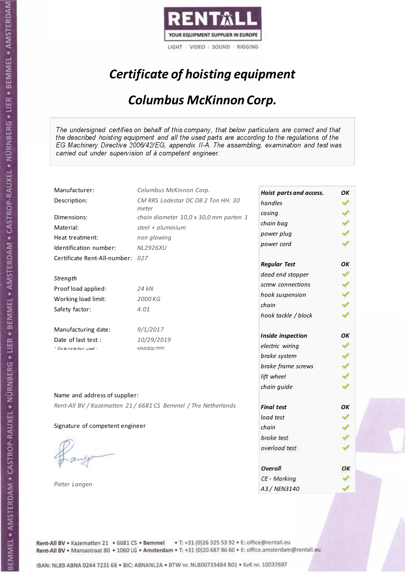

# Certificate of hoisting equipment

#### Columbus McKinnon Corp.

The undersigned certifies on behalf of this company, that below particulars are correct and that the described hoisting equipment and all the used parts are according to the regulations of the EG Machinery Directive 2006/42/EG, appendix II-A. The assembling, examination and test was carried out under supervision of à competent engineer.

| Hoist parts and access.<br>CM RRS Lodestar DC D8 2 Ton HH. 30<br>Description:<br>handles<br>meter<br>casing<br>Dimensions:<br>chain diameter 10,0 x 30,0 mm parten 1<br>chain bag<br>Material:<br>steel + aluminium<br>power plug<br>non glowing<br>Heat treatment:<br>power cord<br>Identification number:<br><b>NL2926XU</b><br>Certificate Rent-All-number: 027<br><b>Regular Test</b><br>OK<br>dead end stopper<br>Strength<br>screw connections<br>Proof load applied:<br>24 kN<br>hook suspension<br>Working load limit:<br>2000 KG<br>chain<br>Safety factor:<br>4:01<br>hook tackle / block<br>Manufacturing date:<br>9/1/2017<br>OK<br>Inside inspection<br>Date of last test :<br>10/29/2019<br>electric wiring<br>+ Date notation used:<br>MM/DD/YYYY<br>brake system<br>brake frame screws<br>lift wheel<br>chain guide<br>Name and address of supplier: |    |
|----------------------------------------------------------------------------------------------------------------------------------------------------------------------------------------------------------------------------------------------------------------------------------------------------------------------------------------------------------------------------------------------------------------------------------------------------------------------------------------------------------------------------------------------------------------------------------------------------------------------------------------------------------------------------------------------------------------------------------------------------------------------------------------------------------------------------------------------------------------------|----|
|                                                                                                                                                                                                                                                                                                                                                                                                                                                                                                                                                                                                                                                                                                                                                                                                                                                                      |    |
|                                                                                                                                                                                                                                                                                                                                                                                                                                                                                                                                                                                                                                                                                                                                                                                                                                                                      |    |
|                                                                                                                                                                                                                                                                                                                                                                                                                                                                                                                                                                                                                                                                                                                                                                                                                                                                      |    |
|                                                                                                                                                                                                                                                                                                                                                                                                                                                                                                                                                                                                                                                                                                                                                                                                                                                                      |    |
|                                                                                                                                                                                                                                                                                                                                                                                                                                                                                                                                                                                                                                                                                                                                                                                                                                                                      |    |
|                                                                                                                                                                                                                                                                                                                                                                                                                                                                                                                                                                                                                                                                                                                                                                                                                                                                      |    |
|                                                                                                                                                                                                                                                                                                                                                                                                                                                                                                                                                                                                                                                                                                                                                                                                                                                                      |    |
|                                                                                                                                                                                                                                                                                                                                                                                                                                                                                                                                                                                                                                                                                                                                                                                                                                                                      |    |
|                                                                                                                                                                                                                                                                                                                                                                                                                                                                                                                                                                                                                                                                                                                                                                                                                                                                      |    |
|                                                                                                                                                                                                                                                                                                                                                                                                                                                                                                                                                                                                                                                                                                                                                                                                                                                                      |    |
|                                                                                                                                                                                                                                                                                                                                                                                                                                                                                                                                                                                                                                                                                                                                                                                                                                                                      |    |
|                                                                                                                                                                                                                                                                                                                                                                                                                                                                                                                                                                                                                                                                                                                                                                                                                                                                      |    |
|                                                                                                                                                                                                                                                                                                                                                                                                                                                                                                                                                                                                                                                                                                                                                                                                                                                                      |    |
|                                                                                                                                                                                                                                                                                                                                                                                                                                                                                                                                                                                                                                                                                                                                                                                                                                                                      |    |
|                                                                                                                                                                                                                                                                                                                                                                                                                                                                                                                                                                                                                                                                                                                                                                                                                                                                      |    |
|                                                                                                                                                                                                                                                                                                                                                                                                                                                                                                                                                                                                                                                                                                                                                                                                                                                                      |    |
|                                                                                                                                                                                                                                                                                                                                                                                                                                                                                                                                                                                                                                                                                                                                                                                                                                                                      |    |
|                                                                                                                                                                                                                                                                                                                                                                                                                                                                                                                                                                                                                                                                                                                                                                                                                                                                      |    |
|                                                                                                                                                                                                                                                                                                                                                                                                                                                                                                                                                                                                                                                                                                                                                                                                                                                                      |    |
|                                                                                                                                                                                                                                                                                                                                                                                                                                                                                                                                                                                                                                                                                                                                                                                                                                                                      |    |
|                                                                                                                                                                                                                                                                                                                                                                                                                                                                                                                                                                                                                                                                                                                                                                                                                                                                      |    |
| Rent-All BV / Kazematten 21 / 6681 CS Bemmel / The Netherlands<br><b>Final test</b>                                                                                                                                                                                                                                                                                                                                                                                                                                                                                                                                                                                                                                                                                                                                                                                  | OK |
| load test                                                                                                                                                                                                                                                                                                                                                                                                                                                                                                                                                                                                                                                                                                                                                                                                                                                            |    |
| Signature of competent engineer<br>chain                                                                                                                                                                                                                                                                                                                                                                                                                                                                                                                                                                                                                                                                                                                                                                                                                             |    |
| brake test                                                                                                                                                                                                                                                                                                                                                                                                                                                                                                                                                                                                                                                                                                                                                                                                                                                           |    |
| overload test                                                                                                                                                                                                                                                                                                                                                                                                                                                                                                                                                                                                                                                                                                                                                                                                                                                        |    |
|                                                                                                                                                                                                                                                                                                                                                                                                                                                                                                                                                                                                                                                                                                                                                                                                                                                                      |    |
| Overall                                                                                                                                                                                                                                                                                                                                                                                                                                                                                                                                                                                                                                                                                                                                                                                                                                                              | ОΚ |
| CE - Marking                                                                                                                                                                                                                                                                                                                                                                                                                                                                                                                                                                                                                                                                                                                                                                                                                                                         |    |
| Pieter Langen<br>A3 / NEN3140                                                                                                                                                                                                                                                                                                                                                                                                                                                                                                                                                                                                                                                                                                                                                                                                                                        |    |

Rent-All BV . Kazematten 21 . 6681 CS . Bemmel . T: +31 (0)26 325 53 92 . E: office@rentall.eu Rent-All BV · Maroastraat 80 · 1060 LG · Amsterdam · T: +31 (0)20 687 86 60 · E: office.amsterdam@rentall.eu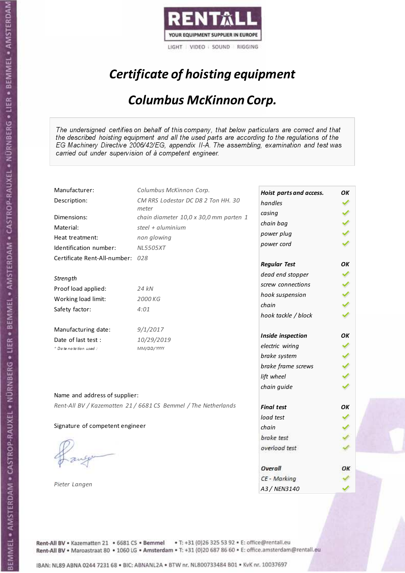

# Certificate of hoisting equipment

#### Columbus McKinnon Corp.

The undersigned certifies on behalf of this company, that below particulars are correct and that the described hoisting equipment and all the used parts are according to the regulations of the EG Machinery Directive 2006/42/EG, appendix II-A. The assembling, examination and test was carried out under supervision of à competent engineer.

| Manufacturer:                    | Columbus McKinnon Corp.                                        | Hoist parts and access. | OK |
|----------------------------------|----------------------------------------------------------------|-------------------------|----|
| Description:                     | CM RRS Lodestar DC D8 2 Ton HH. 30                             | handles                 |    |
| Dimensions:                      | meter<br>chain diameter 10,0 x 30,0 mm parten 1                | casing                  |    |
| Material:                        | steel + aluminium                                              | chain bag               |    |
|                                  |                                                                | power plug              |    |
| Heat treatment:                  | non glowing                                                    | power cord              |    |
| Identification number:           | <b>NL5505XT</b>                                                |                         |    |
| Certificate Rent-All-number: 028 |                                                                | <b>Regular Test</b>     | OK |
|                                  |                                                                | dead end stopper        |    |
| Strength                         |                                                                | screw connections       |    |
| Proof load applied:              | 24 kN                                                          | hook suspension         |    |
| Working load limit:              | 2000 KG                                                        | chain                   |    |
| Safety factor:                   | 4:01                                                           |                         |    |
|                                  |                                                                | hook tackle / block     |    |
| Manufacturing date:              | 9/1/2017                                                       |                         |    |
| Date of last test :              | 10/29/2019                                                     | Inside inspection       | OK |
| + Date notation used:            | MM/DD/YYYY                                                     | electric wiring         |    |
|                                  |                                                                | brake system            |    |
|                                  |                                                                | brake frame screws      |    |
|                                  |                                                                | lift wheel              |    |
|                                  |                                                                | chain guide             |    |
| Name and address of supplier:    |                                                                |                         |    |
|                                  | Rent-All BV / Kazematten 21 / 6681 CS Bemmel / The Netherlands | <b>Final test</b>       | OK |
|                                  |                                                                | load test               |    |
| Signature of competent engineer  |                                                                | chain                   |    |
|                                  |                                                                | brake test              |    |
|                                  |                                                                | overload test           |    |
|                                  |                                                                |                         |    |
|                                  |                                                                | Overall                 | ОΚ |
|                                  |                                                                | CE - Marking            |    |
| Pieter Langen                    |                                                                | A3 / NEN3140            |    |

Rent-All BV . Kazematten 21 . 6681 CS . Bemmel . T: +31 (0)26 325 53 92 . E: office@rentall.eu Rent-All BV · Maroastraat 80 · 1060 LG · Amsterdam · T: +31 (0)20 687 86 60 · E: office.amsterdam@rentall.eu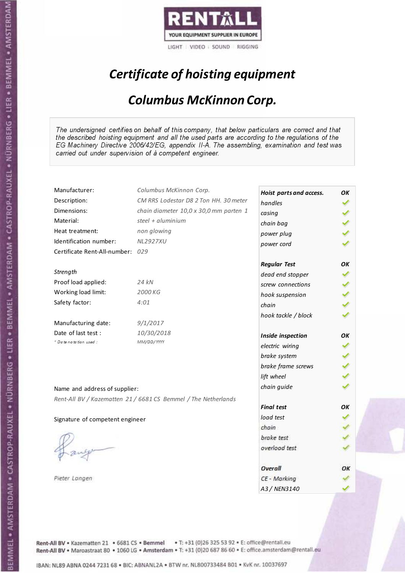

# Certificate of hoisting equipment

#### Columbus McKinnon Corp.

The undersigned certifies on behalf of this company, that below particulars are correct and that the described hoisting equipment and all the used parts are according to the regulations of the EG Machinery Directive 2006/42/EG, appendix II-A. The assembling, examination and test was carried out under supervision of à competent engineer.

| Manufacturer:                    | Columbus McKinnon Corp.                                        | Hoist parts and access. | OK |
|----------------------------------|----------------------------------------------------------------|-------------------------|----|
| Description:                     | CM RRS Lodestar D8 2 Ton HH. 30 meter                          | handles                 |    |
| Dimensions:                      | chain diameter 10,0 x 30,0 mm parten 1                         | casing                  |    |
| Material:                        | steel + $aluminim$                                             | chain bag               |    |
| Heat treatment:                  | non glowing                                                    | power plug              |    |
| Identification number:           | <b>NL2927XU</b>                                                | power cord              |    |
| Certificate Rent-All-number: 029 |                                                                |                         |    |
|                                  |                                                                | <b>Regular Test</b>     | OK |
| Strength                         |                                                                | dead end stopper        |    |
| Proof load applied:              | 24 kN                                                          | screw connections       |    |
| Working load limit:              | 2000 KG                                                        | hook suspension         |    |
| Safety factor:                   | 4:01                                                           | chain                   |    |
|                                  |                                                                | hook tackle / block     |    |
| Manufacturing date:              | 9/1/2017                                                       |                         |    |
| Date of last test :              | 10/30/2018                                                     | Inside inspection       | ОΚ |
| + Date notation used:            | MM/DD/YYYY                                                     | electric wiring         |    |
|                                  |                                                                | brake system            |    |
|                                  |                                                                | brake frame screws      |    |
|                                  |                                                                | lift wheel              |    |
|                                  |                                                                | chain guide             |    |
| Name and address of supplier:    |                                                                |                         |    |
|                                  | Rent-All BV / Kazematten 21 / 6681 CS Bemmel / The Netherlands | <b>Final test</b>       | OK |
|                                  |                                                                | load test               |    |
| Signature of competent engineer  |                                                                | chain                   |    |
|                                  |                                                                | brake test              |    |
|                                  |                                                                |                         |    |
|                                  |                                                                | overload test           |    |
|                                  |                                                                |                         |    |
|                                  |                                                                | Overall                 | OK |
| Pieter Langen                    |                                                                | CE - Marking            |    |
|                                  |                                                                | A3 / NEN3140            |    |

Rent-All BV . Kazematten 21 . 6681 CS . Bemmel . T: +31 (0)26 325 53 92 . E: office@rentall.eu Rent-All BV · Maroastraat 80 · 1060 LG · Amsterdam · T: +31 (0)20 687 86 60 · E: office.amsterdam@rentall.eu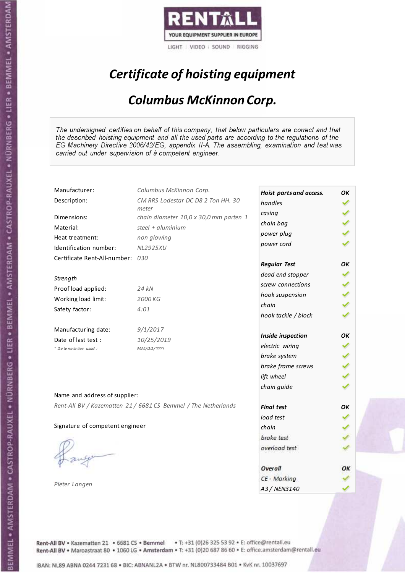

# Certificate of hoisting equipment

#### Columbus McKinnon Corp.

The undersigned certifies on behalf of this company, that below particulars are correct and that the described hoisting equipment and all the used parts are according to the regulations of the EG Machinery Directive 2006/42/EG, appendix II-A. The assembling, examination and test was carried out under supervision of à competent engineer.

| Manufacturer:                    | Columbus McKinnon Corp.                                        | Hoist parts and access. | OK |
|----------------------------------|----------------------------------------------------------------|-------------------------|----|
| Description:                     | CM RRS Lodestar DC D8 2 Ton HH. 30                             | handles                 |    |
| Dimensions:                      | meter<br>chain diameter 10,0 x 30,0 mm parten 1                | casing                  |    |
| Material:                        | steel + $aluminim$                                             | chain bag               |    |
|                                  |                                                                | power plug              |    |
| Heat treatment:                  | non glowing                                                    | power cord              |    |
| Identification number:           | <b>NL2925XU</b>                                                |                         |    |
| Certificate Rent-All-number: 030 |                                                                | <b>Regular Test</b>     | OK |
|                                  |                                                                | dead end stopper        |    |
| Strength                         |                                                                | screw connections       |    |
| Proof load applied:              | 24 kN                                                          | hook suspension         |    |
| Working load limit:              | 2000 KG                                                        | chain                   |    |
| Safety factor:                   | 4:01                                                           | hook tackle / block     |    |
|                                  |                                                                |                         |    |
| Manufacturing date:              | 9/1/2017                                                       |                         |    |
| Date of last test :              | 10/25/2019                                                     | Inside inspection       | OK |
| + Date notation used:            | MM/DD/YYYY                                                     | electric wiring         |    |
|                                  |                                                                | brake system            |    |
|                                  |                                                                | brake frame screws      |    |
|                                  |                                                                | lift wheel              |    |
|                                  |                                                                | chain guide             |    |
| Name and address of supplier:    |                                                                |                         |    |
|                                  | Rent-All BV / Kazematten 21 / 6681 CS Bemmel / The Netherlands | <b>Final test</b>       | OK |
|                                  |                                                                | load test               |    |
| Signature of competent engineer  |                                                                | chain                   |    |
|                                  |                                                                | brake test              |    |
|                                  |                                                                | overload test           |    |
|                                  |                                                                |                         |    |
|                                  |                                                                | Overall                 | ОΚ |
|                                  |                                                                | CE - Marking            |    |
| Pieter Langen                    |                                                                | A3 / NEN3140            |    |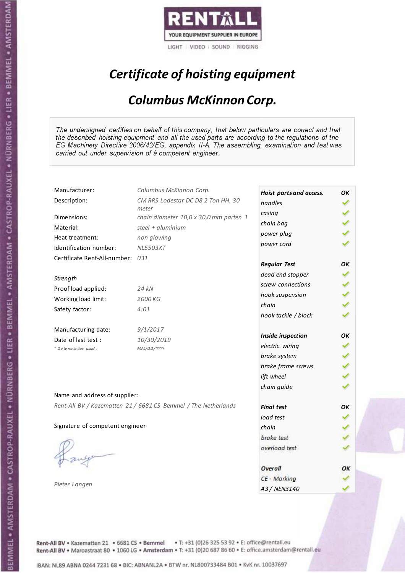

# Certificate of hoisting equipment

#### Columbus McKinnon Corp.

The undersigned certifies on behalf of this company, that below particulars are correct and that the described hoisting equipment and all the used parts are according to the regulations of the EG Machinery Directive 2006/42/EG, appendix II-A. The assembling, examination and test was carried out under supervision of à competent engineer.

| Manufacturer:                    | Columbus McKinnon Corp.                                        | Hoist parts and access. | OK |
|----------------------------------|----------------------------------------------------------------|-------------------------|----|
| Description:                     | CM RRS Lodestar DC D8 2 Ton HH. 30                             | handles                 |    |
| Dimensions:                      | meter<br>chain diameter 10,0 x 30,0 mm parten 1                | casing                  |    |
| Material:                        | steel + $aluminim$                                             | chain bag               |    |
| Heat treatment:                  | non glowing                                                    | power plug              |    |
| Identification number:           | <b>NL5503XT</b>                                                | power cord              |    |
| Certificate Rent-All-number: 031 |                                                                |                         |    |
|                                  |                                                                | <b>Regular Test</b>     | OK |
| Strength                         |                                                                | dead end stopper        |    |
| Proof load applied:              | 24 kN                                                          | screw connections       |    |
| Working load limit:              | 2000 KG                                                        | hook suspension         |    |
| Safety factor:                   | 4:01                                                           | chain                   |    |
|                                  |                                                                | hook tackle / block     |    |
| Manufacturing date:              | 9/1/2017                                                       |                         |    |
| Date of last test:               | 10/30/2019                                                     | Inside inspection       | OK |
| * Date notation used :           | MM/DD/YYYY                                                     | electric wiring         |    |
|                                  |                                                                | brake system            |    |
|                                  |                                                                | brake frame screws      |    |
|                                  |                                                                | lift wheel              |    |
|                                  |                                                                | chain guide             |    |
| Name and address of supplier:    |                                                                |                         |    |
|                                  | Rent-All BV / Kazematten 21 / 6681 CS Bemmel / The Netherlands | <b>Final test</b>       | OK |
|                                  |                                                                | load test               |    |
| Signature of competent engineer  |                                                                | chain                   |    |
|                                  |                                                                | brake test              |    |
|                                  |                                                                | overload test           |    |
|                                  |                                                                |                         |    |
|                                  |                                                                | Overall                 | ОΚ |
| Pieter Langen                    |                                                                | CE - Marking            |    |
|                                  |                                                                | A3 / NEN3140            |    |

Rent-All BV . Kazematten 21 . 6681 CS . Bemmel . T: +31 (0)26 325 53 92 . E: office@rentall.eu Rent-All BV · Maroastraat 80 · 1060 LG · Amsterdam · T: +31 (0)20 687 86 60 · E: office.amsterdam@rentall.eu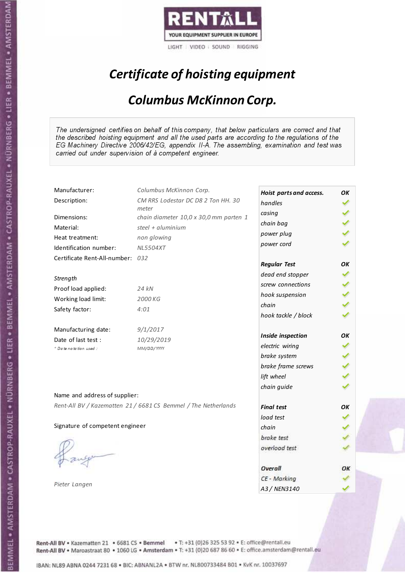

# Certificate of hoisting equipment

#### Columbus McKinnon Corp.

The undersigned certifies on behalf of this company, that below particulars are correct and that the described hoisting equipment and all the used parts are according to the regulations of the EG Machinery Directive 2006/42/EG, appendix II-A. The assembling, examination and test was carried out under supervision of à competent engineer.

| Manufacturer:                    | Columbus McKinnon Corp.                                        | Hoist parts and access. | OK |
|----------------------------------|----------------------------------------------------------------|-------------------------|----|
| Description:                     | CM RRS Lodestar DC D8 2 Ton HH. 30                             | handles                 |    |
| Dimensions:                      | meter<br>chain diameter 10,0 x 30,0 mm parten 1                | casing                  |    |
| Material:                        | steel + $aluminim$                                             | chain bag               |    |
| Heat treatment:                  |                                                                | power plug              |    |
|                                  | non glowing                                                    | power cord              |    |
| Identification number:           | <b>NL5504XT</b>                                                |                         |    |
| Certificate Rent-All-number: 032 |                                                                | <b>Regular Test</b>     | OK |
|                                  |                                                                | dead end stopper        |    |
| Strength                         |                                                                | screw connections       |    |
| Proof load applied:              | 24 kN                                                          | hook suspension         |    |
| Working load limit:              | 2000 KG                                                        | chain                   |    |
| Safety factor:                   | 4:01                                                           | hook tackle / block     |    |
|                                  |                                                                |                         |    |
| Manufacturing date:              | 9/1/2017                                                       | Inside inspection       | OK |
| Date of last test :              | 10/29/2019                                                     | electric wiring         |    |
| + Date notation used:            | MM/DD/YYYY                                                     | brake system            |    |
|                                  |                                                                | brake frame screws      |    |
|                                  |                                                                |                         |    |
|                                  |                                                                | lift wheel              |    |
| Name and address of supplier:    |                                                                | chain guide             |    |
|                                  | Rent-All BV / Kazematten 21 / 6681 CS Bemmel / The Netherlands |                         |    |
|                                  |                                                                | <b>Final test</b>       | OK |
|                                  |                                                                | load test               |    |
| Signature of competent engineer  |                                                                | chain                   |    |
|                                  |                                                                | brake test              |    |
|                                  |                                                                | overload test           |    |
|                                  |                                                                |                         |    |
|                                  |                                                                | Overall                 | ОΚ |
| Pieter Langen                    |                                                                | CE - Marking            |    |
|                                  |                                                                | A3 / NEN3140            |    |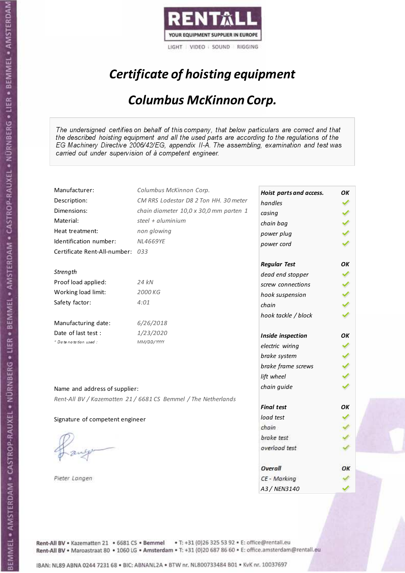

# Certificate of hoisting equipment

#### Columbus McKinnon Corp.

The undersigned certifies on behalf of this company, that below particulars are correct and that the described hoisting equipment and all the used parts are according to the regulations of the EG Machinery Directive 2006/42/EG, appendix II-A. The assembling, examination and test was carried out under supervision of à competent engineer.

| Manufacturer:                    | Columbus McKinnon Corp.                                        | Hoist parts and access. | OK |
|----------------------------------|----------------------------------------------------------------|-------------------------|----|
| Description:                     | CM RRS Lodestar D8 2 Ton HH. 30 meter                          | handles                 |    |
| Dimensions:                      | chain diameter 10,0 x 30,0 mm parten 1                         | casing                  |    |
| Material:                        | steel + $\alpha$ luminium                                      | chain bag               |    |
| Heat treatment:                  | non glowing                                                    | power plug              |    |
| Identification number:           | <b>NL4669YE</b>                                                | power cord              |    |
| Certificate Rent-All-number: 033 |                                                                |                         |    |
|                                  |                                                                | <b>Regular Test</b>     | OK |
| Strength                         |                                                                | dead end stopper        |    |
| Proof load applied:              | 24 kN                                                          | screw connections       |    |
| Working load limit:              | 2000 KG                                                        | hook suspension         |    |
| Safety factor:                   | 4:01                                                           | chain                   |    |
|                                  |                                                                | hook tackle / block     |    |
| Manufacturing date:              | 6/26/2018                                                      |                         |    |
| Date of last test :              | 1/23/2020                                                      | Inside inspection       | OK |
| * Date notation used :           | MM/DD/YYYY                                                     | electric wiring         |    |
|                                  |                                                                | brake system            |    |
|                                  |                                                                | brake frame screws      |    |
|                                  |                                                                | lift wheel              |    |
| Name and address of supplier:    |                                                                | chain guide             |    |
|                                  | Rent-All BV / Kazematten 21 / 6681 CS Bemmel / The Netherlands |                         |    |
|                                  |                                                                | <b>Final test</b>       | OK |
| Signature of competent engineer  |                                                                | load test               |    |
|                                  |                                                                | chain                   |    |
|                                  |                                                                | brake test              |    |
|                                  |                                                                | overload test           |    |
|                                  |                                                                |                         |    |
|                                  |                                                                | <b>Overall</b>          | ОΚ |
| Pieter Langen                    |                                                                | CE - Marking            |    |
|                                  |                                                                | A3 / NEN3140            |    |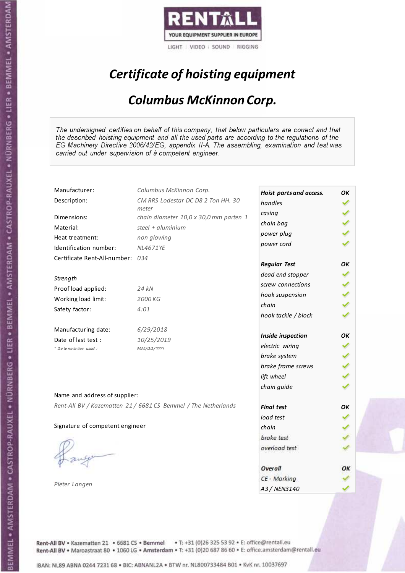

# Certificate of hoisting equipment

#### Columbus McKinnon Corp.

The undersigned certifies on behalf of this company, that below particulars are correct and that the described hoisting equipment and all the used parts are according to the regulations of the EG Machinery Directive 2006/42/EG, appendix II-A. The assembling, examination and test was carried out under supervision of à competent engineer.

| CM RRS Lodestar DC D8 2 Ton HH. 30<br>handles<br>meter<br>casing<br>Dimensions:<br>chain diameter 10,0 x 30,0 mm parten 1<br>chain bag<br>steel + aluminium<br>Material:<br>power plug<br>Heat treatment:<br>non glowing<br>power cord<br>Identification number:<br><b>NL4671YE</b><br>Certificate Rent-All-number: 034<br><b>Regular Test</b><br>OK<br>dead end stopper<br>Strength<br>screw connections<br>Proof load applied:<br>24 kN<br>hook suspension<br>Working load limit:<br>2000 KG<br>chain<br>Safety factor:<br>4:01<br>hook tackle / block<br>6/29/2018<br>OK<br>Inside inspection<br>10/25/2019<br>electric wiring<br>+ Date notation used:<br>MM/DD/YYYY<br>brake system<br>brake frame screws<br>lift wheel<br>chain guide<br>Name and address of supplier:<br>Rent-All BV / Kazematten 21 / 6681 CS Bemmel / The Netherlands<br><b>Final test</b><br>OK<br>load test<br>Signature of competent engineer<br>chain<br>brake test<br>overload test<br>Overall<br>ОΚ<br>CE - Marking | Manufacturer:       | Columbus McKinnon Corp. | Hoist parts and access. | OK |
|----------------------------------------------------------------------------------------------------------------------------------------------------------------------------------------------------------------------------------------------------------------------------------------------------------------------------------------------------------------------------------------------------------------------------------------------------------------------------------------------------------------------------------------------------------------------------------------------------------------------------------------------------------------------------------------------------------------------------------------------------------------------------------------------------------------------------------------------------------------------------------------------------------------------------------------------------------------------------------------------------|---------------------|-------------------------|-------------------------|----|
|                                                                                                                                                                                                                                                                                                                                                                                                                                                                                                                                                                                                                                                                                                                                                                                                                                                                                                                                                                                                    | Description:        |                         |                         |    |
|                                                                                                                                                                                                                                                                                                                                                                                                                                                                                                                                                                                                                                                                                                                                                                                                                                                                                                                                                                                                    |                     |                         |                         |    |
|                                                                                                                                                                                                                                                                                                                                                                                                                                                                                                                                                                                                                                                                                                                                                                                                                                                                                                                                                                                                    |                     |                         |                         |    |
|                                                                                                                                                                                                                                                                                                                                                                                                                                                                                                                                                                                                                                                                                                                                                                                                                                                                                                                                                                                                    |                     |                         |                         |    |
|                                                                                                                                                                                                                                                                                                                                                                                                                                                                                                                                                                                                                                                                                                                                                                                                                                                                                                                                                                                                    |                     |                         |                         |    |
|                                                                                                                                                                                                                                                                                                                                                                                                                                                                                                                                                                                                                                                                                                                                                                                                                                                                                                                                                                                                    |                     |                         |                         |    |
|                                                                                                                                                                                                                                                                                                                                                                                                                                                                                                                                                                                                                                                                                                                                                                                                                                                                                                                                                                                                    |                     |                         |                         |    |
|                                                                                                                                                                                                                                                                                                                                                                                                                                                                                                                                                                                                                                                                                                                                                                                                                                                                                                                                                                                                    |                     |                         |                         |    |
|                                                                                                                                                                                                                                                                                                                                                                                                                                                                                                                                                                                                                                                                                                                                                                                                                                                                                                                                                                                                    |                     |                         |                         |    |
|                                                                                                                                                                                                                                                                                                                                                                                                                                                                                                                                                                                                                                                                                                                                                                                                                                                                                                                                                                                                    |                     |                         |                         |    |
|                                                                                                                                                                                                                                                                                                                                                                                                                                                                                                                                                                                                                                                                                                                                                                                                                                                                                                                                                                                                    |                     |                         |                         |    |
|                                                                                                                                                                                                                                                                                                                                                                                                                                                                                                                                                                                                                                                                                                                                                                                                                                                                                                                                                                                                    |                     |                         |                         |    |
|                                                                                                                                                                                                                                                                                                                                                                                                                                                                                                                                                                                                                                                                                                                                                                                                                                                                                                                                                                                                    |                     |                         |                         |    |
|                                                                                                                                                                                                                                                                                                                                                                                                                                                                                                                                                                                                                                                                                                                                                                                                                                                                                                                                                                                                    | Manufacturing date: |                         |                         |    |
|                                                                                                                                                                                                                                                                                                                                                                                                                                                                                                                                                                                                                                                                                                                                                                                                                                                                                                                                                                                                    | Date of last test : |                         |                         |    |
|                                                                                                                                                                                                                                                                                                                                                                                                                                                                                                                                                                                                                                                                                                                                                                                                                                                                                                                                                                                                    |                     |                         |                         |    |
|                                                                                                                                                                                                                                                                                                                                                                                                                                                                                                                                                                                                                                                                                                                                                                                                                                                                                                                                                                                                    |                     |                         |                         |    |
|                                                                                                                                                                                                                                                                                                                                                                                                                                                                                                                                                                                                                                                                                                                                                                                                                                                                                                                                                                                                    |                     |                         |                         |    |
|                                                                                                                                                                                                                                                                                                                                                                                                                                                                                                                                                                                                                                                                                                                                                                                                                                                                                                                                                                                                    |                     |                         |                         |    |
|                                                                                                                                                                                                                                                                                                                                                                                                                                                                                                                                                                                                                                                                                                                                                                                                                                                                                                                                                                                                    |                     |                         |                         |    |
|                                                                                                                                                                                                                                                                                                                                                                                                                                                                                                                                                                                                                                                                                                                                                                                                                                                                                                                                                                                                    |                     |                         |                         |    |
|                                                                                                                                                                                                                                                                                                                                                                                                                                                                                                                                                                                                                                                                                                                                                                                                                                                                                                                                                                                                    |                     |                         |                         |    |
|                                                                                                                                                                                                                                                                                                                                                                                                                                                                                                                                                                                                                                                                                                                                                                                                                                                                                                                                                                                                    |                     |                         |                         |    |
|                                                                                                                                                                                                                                                                                                                                                                                                                                                                                                                                                                                                                                                                                                                                                                                                                                                                                                                                                                                                    |                     |                         |                         |    |
|                                                                                                                                                                                                                                                                                                                                                                                                                                                                                                                                                                                                                                                                                                                                                                                                                                                                                                                                                                                                    |                     |                         |                         |    |
|                                                                                                                                                                                                                                                                                                                                                                                                                                                                                                                                                                                                                                                                                                                                                                                                                                                                                                                                                                                                    |                     |                         |                         |    |
|                                                                                                                                                                                                                                                                                                                                                                                                                                                                                                                                                                                                                                                                                                                                                                                                                                                                                                                                                                                                    |                     |                         |                         |    |
|                                                                                                                                                                                                                                                                                                                                                                                                                                                                                                                                                                                                                                                                                                                                                                                                                                                                                                                                                                                                    |                     |                         |                         |    |
|                                                                                                                                                                                                                                                                                                                                                                                                                                                                                                                                                                                                                                                                                                                                                                                                                                                                                                                                                                                                    |                     |                         |                         |    |
|                                                                                                                                                                                                                                                                                                                                                                                                                                                                                                                                                                                                                                                                                                                                                                                                                                                                                                                                                                                                    | Pieter Langen       |                         | A3 / NEN3140            |    |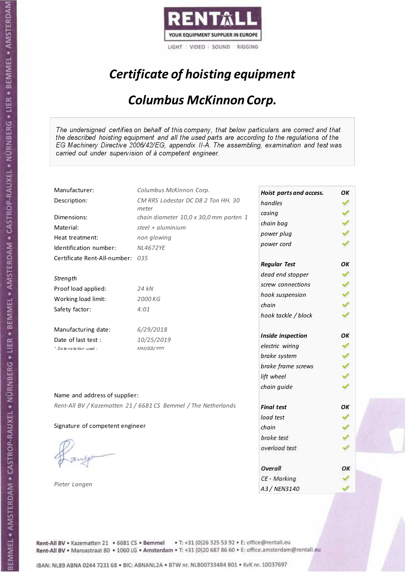

# Certificate of hoisting equipment

#### Columbus McKinnon Corp.

The undersigned certifies on behalf of this company, that below particulars are correct and that the described hoisting equipment and all the used parts are according to the regulations of the EG Machinery Directive 2006/42/EG, appendix II-A. The assembling, examination and test was carried out under supervision of à competent engineer.

| Manufacturer:                    | Columbus McKinnon Corp.                                        | Hoist parts and access. | OK |
|----------------------------------|----------------------------------------------------------------|-------------------------|----|
| Description:                     | CM RRS Lodestar DC D8 2 Ton HH. 30                             | handles                 |    |
| Dimensions:                      | meter                                                          | casing                  |    |
|                                  | chain diameter 10,0 x 30,0 mm parten 1<br>steel + $aluminim$   | chain bag               |    |
| Material:                        |                                                                | power plug              |    |
| Heat treatment:                  | non glowing                                                    | power cord              |    |
| Identification number:           | <b>NL4672YE</b>                                                |                         |    |
| Certificate Rent-All-number: 035 |                                                                | <b>Regular Test</b>     | OK |
| Strength                         |                                                                | dead end stopper        |    |
| Proof load applied:              | 24 kN                                                          | screw connections       |    |
|                                  |                                                                | hook suspension         |    |
| Working load limit:              | 2000 KG                                                        | chain                   |    |
| Safety factor:                   | 4:01                                                           | hook tackle / block     |    |
| Manufacturing date:              | 6/29/2018                                                      |                         |    |
| Date of last test :              | 10/25/2019                                                     | Inside inspection       | OK |
| + Date notation used:            | MM/DD/YYYY                                                     | electric wiring         |    |
|                                  |                                                                | brake system            |    |
|                                  |                                                                | brake frame screws      |    |
|                                  |                                                                | lift wheel              |    |
|                                  |                                                                | chain guide             |    |
| Name and address of supplier:    |                                                                |                         |    |
|                                  | Rent-All BV / Kazematten 21 / 6681 CS Bemmel / The Netherlands | <b>Final test</b>       | OK |
|                                  |                                                                | load test               |    |
| Signature of competent engineer  |                                                                | chain                   |    |
|                                  |                                                                | brake test              |    |
|                                  |                                                                | overload test           |    |
|                                  |                                                                | Overall                 | ОΚ |
|                                  |                                                                | CE - Marking            |    |
| Pieter Langen                    |                                                                |                         |    |
|                                  |                                                                | A3 / NEN3140            |    |

Rent-All BV . Kazematten 21 . 6681 CS . Bemmel . T: +31 (0)26 325 53 92 . E: office@rentall.eu Rent-All BV · Maroastraat 80 · 1060 LG · Amsterdam · T: +31 (0)20 687 86 60 · E: office.amsterdam@rentall.eu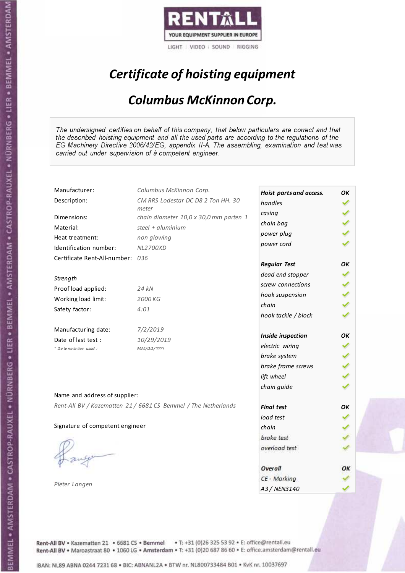

# Certificate of hoisting equipment

#### Columbus McKinnon Corp.

The undersigned certifies on behalf of this company, that below particulars are correct and that the described hoisting equipment and all the used parts are according to the regulations of the EG Machinery Directive 2006/42/EG, appendix II-A. The assembling, examination and test was carried out under supervision of à competent engineer.

| Manufacturer:                    | Columbus McKinnon Corp.                                        | Hoist parts and access. | OK |
|----------------------------------|----------------------------------------------------------------|-------------------------|----|
| Description:                     | CM RRS Lodestar DC D8 2 Ton HH. 30                             | handles                 |    |
| Dimensions:                      | meter<br>chain diameter 10,0 x 30,0 mm parten 1                | casing                  |    |
| Material:                        | steel + aluminium                                              | chain bag               |    |
| Heat treatment:                  | non glowing                                                    | power plug              |    |
| Identification number:           | <b>NL2700XD</b>                                                | power cord              |    |
| Certificate Rent-All-number: 036 |                                                                |                         |    |
|                                  |                                                                | <b>Regular Test</b>     | OК |
| Strength                         |                                                                | dead end stopper        |    |
| Proof load applied:              | 24 kN                                                          | screw connections       |    |
| Working load limit:              | 2000 KG                                                        | hook suspension         |    |
| Safety factor:                   | 4:01                                                           | chain                   |    |
|                                  |                                                                | hook tackle / block     |    |
| Manufacturing date:              | 7/2/2019                                                       |                         |    |
| Date of last test :              | 10/29/2019                                                     | Inside inspection       | OK |
| + Date notation used:            | MM/DD/YYYY                                                     | electric wiring         |    |
|                                  |                                                                | brake system            |    |
|                                  |                                                                | brake frame screws      |    |
|                                  |                                                                | lift wheel              |    |
|                                  |                                                                | chain guide             |    |
| Name and address of supplier:    |                                                                |                         |    |
|                                  | Rent-All BV / Kazematten 21 / 6681 CS Bemmel / The Netherlands | <b>Final test</b>       | OK |
|                                  |                                                                | load test               |    |
| Signature of competent engineer  |                                                                | chain                   |    |
|                                  |                                                                | brake test              |    |
|                                  |                                                                | overload test           |    |
|                                  |                                                                |                         |    |
|                                  |                                                                | Overall                 | ОΚ |
|                                  |                                                                | CE - Marking            |    |
| Pieter Langen                    |                                                                | A3 / NEN3140            |    |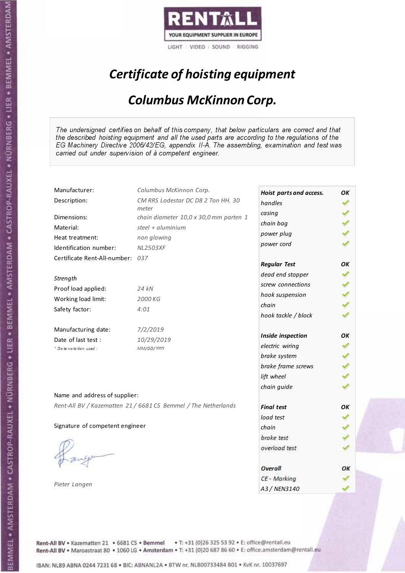

# Certificate of hoisting equipment

#### Columbus McKinnon Corp.

The undersigned certifies on behalf of this company, that below particulars are correct and that the described hoisting equipment and all the used parts are according to the regulations of the EG Machinery Directive 2006/42/EG, appendix II-A. The assembling, examination and test was carried out under supervision of à competent engineer.

| Manufacturer:                    | Columbus McKinnon Corp.                                        | Hoist parts and access. | OK |
|----------------------------------|----------------------------------------------------------------|-------------------------|----|
| Description:                     | CM RRS Lodestar DC D8 2 Ton HH. 30                             | handles                 |    |
| Dimensions:                      | meter<br>chain diameter 10,0 x 30,0 mm parten 1                | casing                  |    |
| Material:                        | steel + $aluminim$                                             | chain bag               |    |
| Heat treatment:                  | non glowing                                                    | power plug              |    |
| Identification number:           | <b>NL2503XF</b>                                                | power cord              |    |
| Certificate Rent-All-number: 037 |                                                                |                         |    |
|                                  |                                                                | <b>Regular Test</b>     | OK |
| Strength                         |                                                                | dead end stopper        |    |
| Proof load applied:              | 24 kN                                                          | screw connections       |    |
| Working load limit:              | 2000 KG                                                        | hook suspension         |    |
|                                  | 4:01                                                           | chain                   |    |
| Safety factor:                   |                                                                | hook tackle / block     |    |
| Manufacturing date:              | 7/2/2019                                                       |                         |    |
| Date of last test:               | 10/29/2019                                                     | Inside inspection       | OK |
| * Date notation used :           | MM/DD/YYYY                                                     | electric wiring         |    |
|                                  |                                                                | brake system            |    |
|                                  |                                                                | brake frame screws      |    |
|                                  |                                                                | lift wheel              |    |
|                                  |                                                                | chain guide             |    |
| Name and address of supplier:    |                                                                |                         |    |
|                                  | Rent-All BV / Kazematten 21 / 6681 CS Bemmel / The Netherlands | <b>Final test</b>       | OK |
|                                  |                                                                | load test               |    |
| Signature of competent engineer  |                                                                | chain                   |    |
|                                  |                                                                | brake test              |    |
|                                  |                                                                | overload test           |    |
|                                  |                                                                |                         |    |
|                                  |                                                                | Overall                 | ОΚ |
| Pieter Langen                    |                                                                | CE - Marking            |    |
|                                  |                                                                | A3 / NEN3140            |    |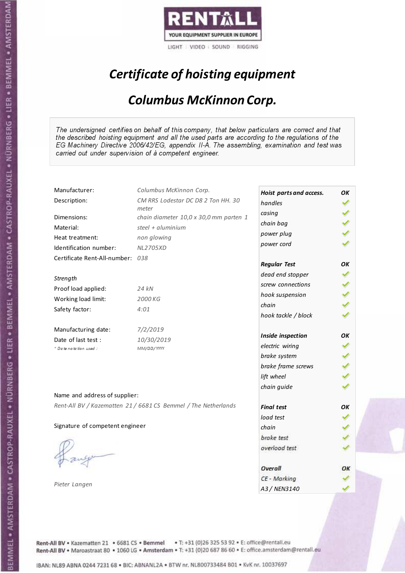

# Certificate of hoisting equipment

#### Columbus McKinnon Corp.

The undersigned certifies on behalf of this company, that below particulars are correct and that the described hoisting equipment and all the used parts are according to the regulations of the EG Machinery Directive 2006/42/EG, appendix II-A. The assembling, examination and test was carried out under supervision of à competent engineer.

| Manufacturer:                    | Columbus McKinnon Corp.                                        | Hoist parts and access. | OK |
|----------------------------------|----------------------------------------------------------------|-------------------------|----|
| Description:                     | CM RRS Lodestar DC D8 2 Ton HH. 30                             | handles                 |    |
| Dimensions:                      | meter<br>chain diameter 10,0 x 30,0 mm parten 1                | casing                  |    |
| Material:                        | steel + aluminium                                              | chain bag               |    |
| Heat treatment:                  | non glowing                                                    | power plug              |    |
| Identification number:           | <b>NL2705XD</b>                                                | power cord              |    |
| Certificate Rent-All-number: 038 |                                                                |                         |    |
|                                  |                                                                | <b>Regular Test</b>     | OΚ |
| Strength                         |                                                                | dead end stopper        |    |
| Proof load applied:              | 24 kN                                                          | screw connections       |    |
| Working load limit:              | 2000 KG                                                        | hook suspension         |    |
| Safety factor:                   | 4:01                                                           | chain                   |    |
|                                  |                                                                | hook tackle / block     |    |
| Manufacturing date:              | 7/2/2019                                                       |                         |    |
| Date of last test :              | 10/30/2019                                                     | Inside inspection       | OK |
| * Date notation used :           | MM/DD/YYYY                                                     | electric wiring         |    |
|                                  |                                                                | brake system            |    |
|                                  |                                                                | brake frame screws      |    |
|                                  |                                                                | lift wheel              |    |
|                                  |                                                                | chain guide             |    |
| Name and address of supplier:    |                                                                |                         |    |
|                                  | Rent-All BV / Kazematten 21 / 6681 CS Bemmel / The Netherlands | <b>Final test</b>       | OK |
|                                  |                                                                | load test               |    |
| Signature of competent engineer  |                                                                | chain                   |    |
|                                  |                                                                | brake test              |    |
|                                  |                                                                | overload test           |    |
|                                  |                                                                |                         |    |
|                                  |                                                                | Overall                 | ОΚ |
|                                  |                                                                | CE - Marking            |    |
| Pieter Langen                    |                                                                | A3 / NEN3140            |    |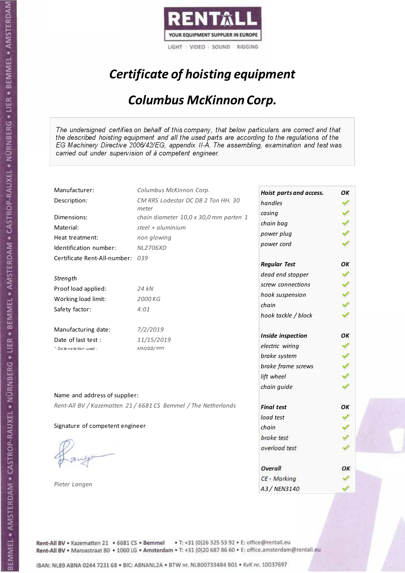

# Certificate of hoisting equipment

#### Columbus McKinnon Corp.

The undersigned certifies on behalf of this company, that below particulars are correct and that the described hoisting equipment and all the used parts are according to the regulations of the EG Machinery Directive 2006/42/EG, appendix II-A. The assembling, examination and test was carried out under supervision of à competent engineer.

| Manufacturer:                   | Columbus McKinnon Corp.                                        | Hoist parts and access. | OK |
|---------------------------------|----------------------------------------------------------------|-------------------------|----|
| Description:                    | CM RRS Lodestar DC D8 2 Ton HH. 30                             | handles                 |    |
| Dimensions:                     | meter<br>chain diameter 10,0 x 30,0 mm parten 1                | casing                  |    |
| Material:                       | steel + $aluminim$                                             | chain bag               |    |
| Heat treatment:                 | non glowing                                                    | power plug              |    |
| Identification number:          | <b>NL2706XD</b>                                                | power cord              |    |
| Certificate Rent-All-number:    | 039                                                            |                         |    |
|                                 |                                                                | <b>Regular Test</b>     | OK |
| Strength                        |                                                                | dead end stopper        |    |
| Proof load applied:             | 24 kN                                                          | screw connections       |    |
| Working load limit:             | 2000 KG                                                        | hook suspension         |    |
| Safety factor:                  | 4:01                                                           | chain                   |    |
|                                 |                                                                | hook tackle / block     |    |
| Manufacturing date:             | 7/2/2019                                                       |                         |    |
| Date of last test :             | 11/15/2019                                                     | Inside inspection       | OК |
| * Date notation used :          | MM/DD/YYYY                                                     | electric wiring         |    |
|                                 |                                                                | brake system            |    |
|                                 |                                                                | brake frame screws      |    |
|                                 |                                                                | lift wheel              |    |
|                                 |                                                                | chain guide             |    |
| Name and address of supplier:   |                                                                |                         |    |
|                                 | Rent-All BV / Kazematten 21 / 6681 CS Bemmel / The Netherlands | <b>Final test</b>       | OK |
|                                 |                                                                | load test               |    |
| Signature of competent engineer |                                                                | chain                   |    |
|                                 |                                                                | brake test              |    |
|                                 |                                                                | overload test           |    |
|                                 |                                                                |                         |    |
|                                 |                                                                | Overall                 | ОΚ |
|                                 |                                                                | CE - Marking            |    |
| Pieter Langen                   |                                                                | A3 / NEN3140            |    |

Rent-All BV . Kazematten 21 . 6681 CS . Bemmel . T: +31 (0)26 325 53 92 . E: office@rentall.eu Rent-All BV · Maroastraat 80 · 1060 LG · Amsterdam · T: +31 (0)20 687 86 60 · E: office.amsterdam@rentall.eu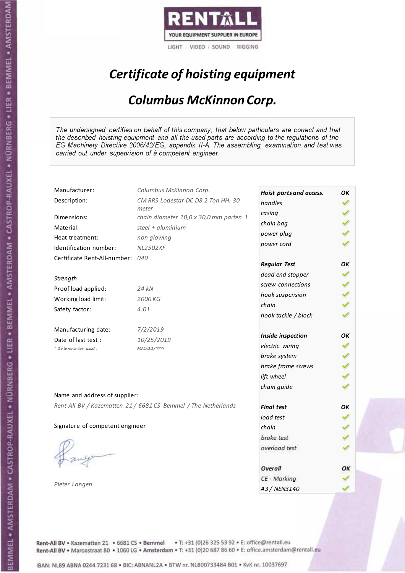

# Certificate of hoisting equipment

#### Columbus McKinnon Corp.

The undersigned certifies on behalf of this company, that below particulars are correct and that the described hoisting equipment and all the used parts are according to the regulations of the EG Machinery Directive 2006/42/EG, appendix II-A. The assembling, examination and test was carried out under supervision of à competent engineer.

| Manufacturer:                   | Columbus McKinnon Corp.                                        | Hoist parts and access. | OK |
|---------------------------------|----------------------------------------------------------------|-------------------------|----|
| Description:                    | CM RRS Lodestar DC D8 2 Ton HH. 30                             | handles                 |    |
| Dimensions:                     | meter<br>chain diameter 10,0 x 30,0 mm parten 1                | casing                  |    |
| Material:                       | steel + aluminium                                              | chain bag               |    |
|                                 |                                                                | power plug              |    |
| Heat treatment:                 | non glowing                                                    | power cord              |    |
| Identification number:          | <b>NL2502XF</b>                                                |                         |    |
| Certificate Rent-All-number:    | 040                                                            | <b>Regular Test</b>     | OK |
|                                 |                                                                | dead end stopper        |    |
| Strength                        |                                                                | screw connections       |    |
| Proof load applied:             | 24 kN                                                          | hook suspension         |    |
| Working load limit:             | 2000 KG                                                        | chain                   |    |
| Safety factor:                  | 4:01                                                           |                         |    |
|                                 |                                                                | hook tackle / block     |    |
| Manufacturing date:             | 7/2/2019                                                       |                         |    |
| Date of last test :             | 10/25/2019                                                     | Inside inspection       | OK |
| + Date notation used:           | MM/DD/YYYY                                                     | electric wiring         |    |
|                                 |                                                                | brake system            |    |
|                                 |                                                                | brake frame screws      |    |
|                                 |                                                                | lift wheel              |    |
|                                 |                                                                | chain guide             |    |
| Name and address of supplier:   |                                                                |                         |    |
|                                 | Rent-All BV / Kazematten 21 / 6681 CS Bemmel / The Netherlands | <b>Final test</b>       | OK |
|                                 |                                                                | load test               |    |
| Signature of competent engineer |                                                                | chain                   |    |
|                                 |                                                                | brake test              |    |
|                                 |                                                                | overload test           |    |
|                                 |                                                                |                         |    |
|                                 |                                                                | Overall                 | ОΚ |
|                                 |                                                                | CE - Marking            |    |
| Pieter Langen                   |                                                                | A3 / NEN3140            |    |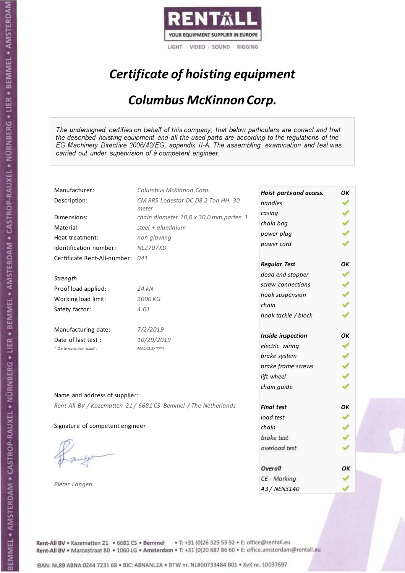

# Certificate of hoisting equipment

#### Columbus McKinnon Corp.

The undersigned certifies on behalf of this company, that below particulars are correct and that the described hoisting equipment and all the used parts are according to the regulations of the EG Machinery Directive 2006/42/EG, appendix II-A. The assembling, examination and test was carried out under supervision of à competent engineer.

| Manufacturer:                    | Columbus McKinnon Corp.                                        | Hoist parts and access. | OK |
|----------------------------------|----------------------------------------------------------------|-------------------------|----|
| Description:                     | CM RRS Lodestar DC D8 2 Ton HH. 30                             | handles                 |    |
| Dimensions:                      | meter<br>chain diameter 10,0 x 30,0 mm parten 1                | casing                  |    |
| Material:                        | steel + aluminium                                              | chain bag               |    |
| Heat treatment:                  | non glowing                                                    | power plug              |    |
| Identification number:           | <b>NL2707XD</b>                                                | power cord              |    |
|                                  |                                                                |                         |    |
| Certificate Rent-All-number: 041 |                                                                | <b>Regular Test</b>     | OK |
|                                  |                                                                | dead end stopper        |    |
| Strength                         |                                                                | screw connections       |    |
| Proof load applied:              | 24 kN                                                          | hook suspension         |    |
| Working load limit:              | 2000 KG                                                        | chain                   |    |
| Safety factor:                   | 4:01                                                           | hook tackle / block     |    |
|                                  |                                                                |                         |    |
| Manufacturing date:              | 7/2/2019                                                       | Inside inspection       | OK |
| Date of last test :              | 10/29/2019                                                     | electric wiring         |    |
| + Date notation used:            | MM/DD/YYYY                                                     |                         |    |
|                                  |                                                                | brake system            |    |
|                                  |                                                                | brake frame screws      |    |
|                                  |                                                                | lift wheel              |    |
|                                  |                                                                | chain guide             |    |
| Name and address of supplier:    |                                                                |                         |    |
|                                  | Rent-All BV / Kazematten 21 / 6681 CS Bemmel / The Netherlands | <b>Final test</b>       | OK |
|                                  |                                                                | load test               |    |
| Signature of competent engineer  |                                                                | chain                   |    |
|                                  |                                                                | brake test              |    |
|                                  |                                                                | overload test           |    |
|                                  |                                                                |                         |    |
|                                  |                                                                | Overall                 | ОΚ |
|                                  |                                                                | CE - Marking            |    |
| Pieter Langen                    |                                                                | A3 / NEN3140            |    |

Rent-All BV . Kazematten 21 . 6681 CS . Bemmel . T: +31 (0)26 325 53 92 . E: office@rentall.eu Rent-All BV · Maroastraat 80 · 1060 LG · Amsterdam · T: +31 (0)20 687 86 60 · E: office.amsterdam@rentall.eu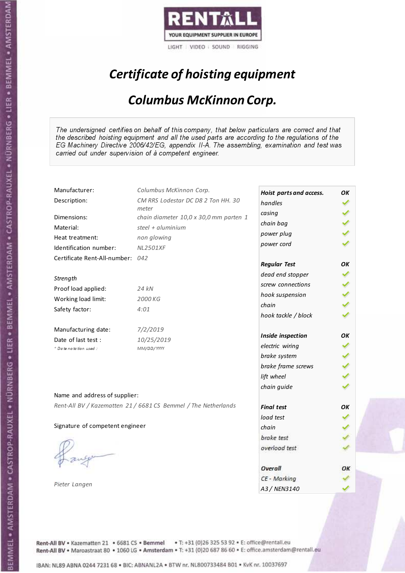

# Certificate of hoisting equipment

#### Columbus McKinnon Corp.

The undersigned certifies on behalf of this company, that below particulars are correct and that the described hoisting equipment and all the used parts are according to the regulations of the EG Machinery Directive 2006/42/EG, appendix II-A. The assembling, examination and test was carried out under supervision of à competent engineer.

| Manufacturer:                    | Columbus McKinnon Corp.                                        | Hoist parts and access. | OK |
|----------------------------------|----------------------------------------------------------------|-------------------------|----|
| Description:                     | CM RRS Lodestar DC D8 2 Ton HH. 30                             | handles                 |    |
| Dimensions:                      | meter<br>chain diameter 10,0 x 30,0 mm parten 1                | casing                  |    |
| Material:                        | steel + $aluminim$                                             | chain bag               |    |
| Heat treatment:                  | non glowing                                                    | power plug              |    |
| Identification number:           | <b>NL2501XF</b>                                                | power cord              |    |
| Certificate Rent-All-number: 042 |                                                                |                         |    |
|                                  |                                                                | <b>Regular Test</b>     | OK |
| Strength                         |                                                                | dead end stopper        |    |
|                                  | 24 kN                                                          | screw connections       |    |
| Proof load applied:              |                                                                | hook suspension         |    |
| Working load limit:              | 2000 KG                                                        | chain                   |    |
| Safety factor:                   | 4:01                                                           | hook tackle / block     |    |
| Manufacturing date:              | 7/2/2019                                                       |                         |    |
| Date of last test:               | 10/25/2019                                                     | Inside inspection       | OK |
| * Date notation used :           | MM/DD/YYYY                                                     | electric wiring         |    |
|                                  |                                                                | brake system            |    |
|                                  |                                                                | brake frame screws      |    |
|                                  |                                                                | lift wheel              |    |
|                                  |                                                                | chain guide             |    |
| Name and address of supplier:    |                                                                |                         |    |
|                                  | Rent-All BV / Kazematten 21 / 6681 CS Bemmel / The Netherlands | <b>Final test</b>       | OK |
|                                  |                                                                | load test               |    |
| Signature of competent engineer  |                                                                | chain                   |    |
|                                  |                                                                | brake test              |    |
|                                  |                                                                | overload test           |    |
|                                  |                                                                |                         |    |
|                                  |                                                                | Overall                 | ОΚ |
| Pieter Langen                    |                                                                | CE - Marking            |    |
|                                  |                                                                | A3 / NEN3140            |    |

Rent-All BV . Kazematten 21 . 6681 CS . Bemmel . T: +31 (0)26 325 53 92 . E: office@rentall.eu Rent-All BV · Maroastraat 80 · 1060 LG · Amsterdam · T: +31 (0)20 687 86 60 · E: office.amsterdam@rentall.eu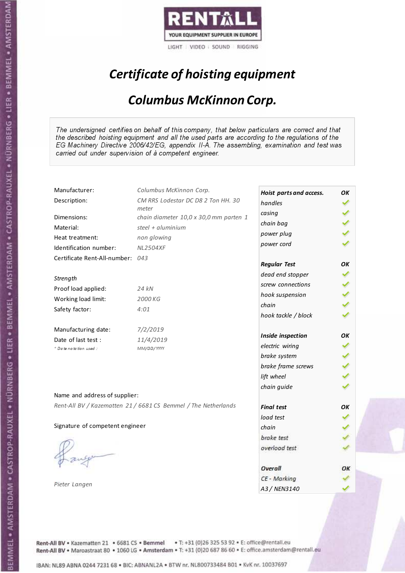

# Certificate of hoisting equipment

#### Columbus McKinnon Corp.

The undersigned certifies on behalf of this company, that below particulars are correct and that the described hoisting equipment and all the used parts are according to the regulations of the EG Machinery Directive 2006/42/EG, appendix II-A. The assembling, examination and test was carried out under supervision of à competent engineer.

| Manufacturer:                    | Columbus McKinnon Corp.                                        | Hoist parts and access. | OK |
|----------------------------------|----------------------------------------------------------------|-------------------------|----|
| Description:                     | CM RRS Lodestar DC D8 2 Ton HH. 30                             | handles                 |    |
| Dimensions:                      | meter<br>chain diameter 10,0 x 30,0 mm parten 1                | casing                  |    |
| Material:                        | steel + $aluminim$                                             | chain bag               |    |
| Heat treatment:                  | non glowing                                                    | power plug              |    |
| Identification number:           | <b>NL2504XF</b>                                                | power cord              |    |
| Certificate Rent-All-number: 043 |                                                                |                         |    |
|                                  |                                                                | <b>Regular Test</b>     | OК |
| Strength                         |                                                                | dead end stopper        |    |
| Proof load applied:              | 24 kN                                                          | screw connections       |    |
| Working load limit:              | 2000 KG                                                        | hook suspension         |    |
|                                  | 4:01                                                           | chain                   |    |
| Safety factor:                   |                                                                | hook tackle / block     |    |
| Manufacturing date:              | 7/2/2019                                                       |                         |    |
| Date of last test :              | 11/4/2019                                                      | Inside inspection       | OK |
| * Date notation used:            | MM/DD/YYYY                                                     | electric wiring         |    |
|                                  |                                                                | brake system            |    |
|                                  |                                                                | brake frame screws      |    |
|                                  |                                                                | lift wheel              |    |
|                                  |                                                                | chain guide             |    |
| Name and address of supplier:    |                                                                |                         |    |
|                                  | Rent-All BV / Kazematten 21 / 6681 CS Bemmel / The Netherlands | <b>Final test</b>       | OK |
|                                  |                                                                | load test               |    |
| Signature of competent engineer  |                                                                | chain                   |    |
|                                  |                                                                | brake test              |    |
|                                  |                                                                | overload test           |    |
|                                  |                                                                |                         |    |
|                                  |                                                                | Overall                 | ОΚ |
| Pieter Langen                    |                                                                | CE - Marking            |    |
|                                  |                                                                | A3 / NEN3140            |    |

Rent-All BV . Kazematten 21 . 6681 CS . Bemmel . T: +31 (0)26 325 53 92 . E: office@rentall.eu Rent-All BV · Maroastraat 80 · 1060 LG · Amsterdam · T: +31 (0)20 687 86 60 · E: office.amsterdam@rentall.eu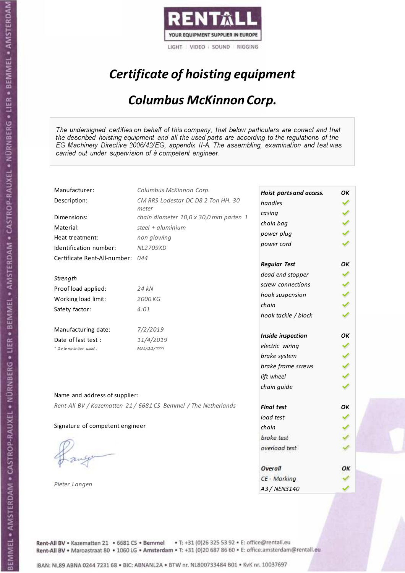

# Certificate of hoisting equipment

#### Columbus McKinnon Corp.

The undersigned certifies on behalf of this company, that below particulars are correct and that the described hoisting equipment and all the used parts are according to the regulations of the EG Machinery Directive 2006/42/EG, appendix II-A. The assembling, examination and test was carried out under supervision of à competent engineer.

| Manufacturer:                   | Columbus McKinnon Corp.                                        | Hoist parts and access. | OK |
|---------------------------------|----------------------------------------------------------------|-------------------------|----|
| Description:                    | CM RRS Lodestar DC D8 2 Ton HH. 30                             | handles                 |    |
| Dimensions:                     | meter<br>chain diameter 10,0 x 30,0 mm parten 1                | casing                  |    |
| Material:                       | steel + $aluminim$                                             | chain bag               |    |
|                                 |                                                                | power plug              |    |
| Heat treatment:                 | non glowing                                                    | power cord              |    |
| Identification number:          | NL2709XD                                                       |                         |    |
| Certificate Rent-All-number:    | 044                                                            | <b>Regular Test</b>     | OК |
| Strength                        |                                                                | dead end stopper        |    |
|                                 |                                                                | screw connections       |    |
| Proof load applied:             | 24 kN                                                          | hook suspension         |    |
| Working load limit:             | 2000 KG                                                        | chain                   |    |
| Safety factor:                  | 4:01                                                           | hook tackle / block     |    |
| Manufacturing date:             | 7/2/2019                                                       |                         |    |
| Date of last test :             | 11/4/2019                                                      | Inside inspection       | OK |
| * Date notation used:           | MM/DD/YYYY                                                     | electric wiring         |    |
|                                 |                                                                | brake system            |    |
|                                 |                                                                | brake frame screws      |    |
|                                 |                                                                | lift wheel              |    |
|                                 |                                                                | chain guide             |    |
| Name and address of supplier:   |                                                                |                         |    |
|                                 | Rent-All BV / Kazematten 21 / 6681 CS Bemmel / The Netherlands | <b>Final test</b>       | OK |
|                                 |                                                                | load test               |    |
| Signature of competent engineer |                                                                | chain                   |    |
|                                 |                                                                | brake test              |    |
|                                 |                                                                | overload test           |    |
|                                 |                                                                |                         |    |
|                                 |                                                                | Overall                 | ОΚ |
|                                 |                                                                | CE - Marking            |    |
| Pieter Langen                   |                                                                | A3 / NEN3140            |    |

Rent-All BV . Kazematten 21 . 6681 CS . Bemmel . T: +31 (0)26 325 53 92 . E: office@rentall.eu Rent-All BV · Maroastraat 80 · 1060 LG · Amsterdam · T: +31 (0)20 687 86 60 · E: office.amsterdam@rentall.eu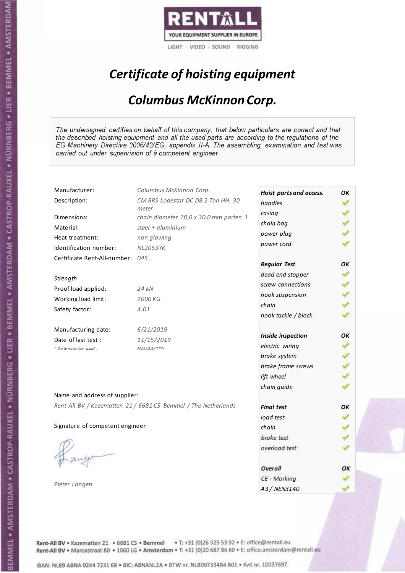

# Certificate of hoisting equipment

#### Columbus McKinnon Corp.

The undersigned certifies on behalf of this company, that below particulars are correct and that the described hoisting equipment and all the used parts are according to the regulations of the EG Machinery Directive 2006/42/EG, appendix II-A. The assembling, examination and test was carried out under supervision of à competent engineer.

| Manufacturer:                    | Columbus McKinnon Corp.                                        | Hoist parts and access. | OK |
|----------------------------------|----------------------------------------------------------------|-------------------------|----|
| Description:                     | CM RRS Lodestar DC D8 2 Ton HH. 30                             | handles                 |    |
| Dimensions:                      | meter<br>chain diameter 10,0 x 30,0 mm parten 1                | casing                  |    |
| Material:                        | steel + $aluminim$                                             | chain bag               |    |
| Heat treatment:                  | non glowing                                                    | power plug              |    |
| Identification number:           | <b>NL2053YK</b>                                                | power cord              |    |
| Certificate Rent-All-number: 045 |                                                                |                         |    |
|                                  |                                                                | <b>Regular Test</b>     | OK |
|                                  |                                                                | dead end stopper        |    |
| Strength                         |                                                                | screw connections       |    |
| Proof load applied:              | 24 kN                                                          | hook suspension         |    |
| Working load limit:              | 2000 KG                                                        | chain                   |    |
| Safety factor:                   | 4:01                                                           | hook tackle / block     |    |
| Manufacturing date:              | 6/21/2019                                                      |                         |    |
| Date of last test :              | 11/15/2019                                                     | Inside inspection       | OK |
| * Date notation used:            | MM/DD/YYYY                                                     | electric wiring         |    |
|                                  |                                                                | brake system            |    |
|                                  |                                                                | brake frame screws      |    |
|                                  |                                                                | lift wheel              |    |
|                                  |                                                                | chain guide             |    |
| Name and address of supplier:    |                                                                |                         |    |
|                                  | Rent-All BV / Kazematten 21 / 6681 CS Bemmel / The Netherlands | <b>Final test</b>       | OK |
|                                  |                                                                | load test               |    |
| Signature of competent engineer  |                                                                | chain                   |    |
|                                  |                                                                | brake test              |    |
|                                  |                                                                | overload test           |    |
|                                  |                                                                |                         |    |
|                                  |                                                                | Overall                 | ОΚ |
| Pieter Langen                    |                                                                | CE - Marking            |    |
|                                  |                                                                | A3 / NEN3140            |    |

Rent-All BV . Kazematten 21 . 6681 CS . Bemmel . T: +31 (0)26 325 53 92 . E: office@rentall.eu Rent-All BV · Maroastraat 80 · 1060 LG · Amsterdam · T: +31 (0)20 687 86 60 · E: office.amsterdam@rentall.eu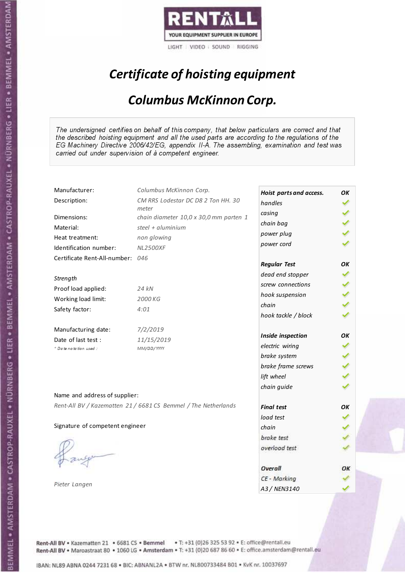

# Certificate of hoisting equipment

#### Columbus McKinnon Corp.

The undersigned certifies on behalf of this company, that below particulars are correct and that the described hoisting equipment and all the used parts are according to the regulations of the EG Machinery Directive 2006/42/EG, appendix II-A. The assembling, examination and test was carried out under supervision of à competent engineer.

| Manufacturer:                   | Columbus McKinnon Corp.                                        | Hoist parts and access. | OK |
|---------------------------------|----------------------------------------------------------------|-------------------------|----|
| Description:                    | CM RRS Lodestar DC D8 2 Ton HH. 30                             | handles                 |    |
| Dimensions:                     | meter<br>chain diameter 10,0 x 30,0 mm parten 1                | casing                  |    |
| Material:                       | steel + $aluminim$                                             | chain bag               |    |
| Heat treatment:                 | non glowing                                                    | power plug              |    |
| Identification number:          | <b>NL2500XF</b>                                                | power cord              |    |
| Certificate Rent-All-number:    | 046                                                            |                         |    |
|                                 |                                                                | <b>Regular Test</b>     | OK |
| Strength                        |                                                                | dead end stopper        |    |
| Proof load applied:             | 24 kN                                                          | screw connections       |    |
| Working load limit:             | 2000 KG                                                        | hook suspension         |    |
|                                 | 4:01                                                           | chain                   |    |
| Safety factor:                  |                                                                | hook tackle / block     |    |
| Manufacturing date:             | 7/2/2019                                                       |                         |    |
| Date of last test:              | 11/15/2019                                                     | Inside inspection       | OK |
| * Date notation used :          | MM/DD/YYYY                                                     | electric wiring         |    |
|                                 |                                                                | brake system            |    |
|                                 |                                                                | brake frame screws      |    |
|                                 |                                                                | lift wheel              |    |
|                                 |                                                                | chain guide             |    |
| Name and address of supplier:   |                                                                |                         |    |
|                                 | Rent-All BV / Kazematten 21 / 6681 CS Bemmel / The Netherlands | <b>Final test</b>       | OK |
|                                 |                                                                | load test               |    |
| Signature of competent engineer |                                                                | chain                   |    |
|                                 |                                                                | brake test              |    |
|                                 |                                                                | overload test           |    |
|                                 |                                                                |                         |    |
|                                 |                                                                | Overall                 | ОΚ |
| Pieter Langen                   |                                                                | CE - Marking            |    |
|                                 |                                                                | A3 / NEN3140            |    |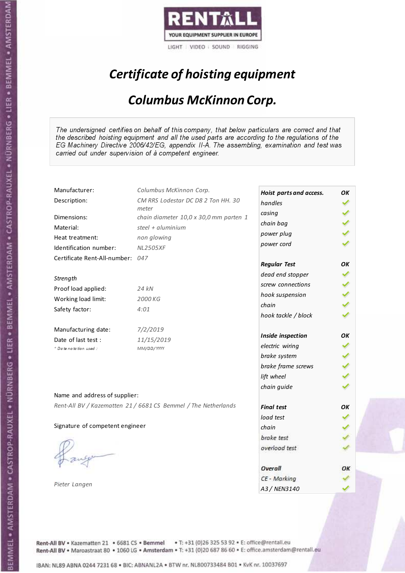

# Certificate of hoisting equipment

#### Columbus McKinnon Corp.

The undersigned certifies on behalf of this company, that below particulars are correct and that the described hoisting equipment and all the used parts are according to the regulations of the EG Machinery Directive 2006/42/EG, appendix II-A. The assembling, examination and test was carried out under supervision of à competent engineer.

| Manufacturer:                    | Columbus McKinnon Corp.                                        | Hoist parts and access. | OK |
|----------------------------------|----------------------------------------------------------------|-------------------------|----|
| Description:                     | CM RRS Lodestar DC D8 2 Ton HH. 30                             | handles                 |    |
| Dimensions:                      | meter<br>chain diameter 10,0 x 30,0 mm parten 1                | casing                  |    |
| Material:                        | steel + $aluminim$                                             | chain bag               |    |
| Heat treatment:                  | non glowing                                                    | power plug              |    |
| Identification number:           | <b>NL2505XF</b>                                                | power cord              |    |
|                                  |                                                                |                         |    |
| Certificate Rent-All-number: 047 |                                                                | <b>Regular Test</b>     | OK |
|                                  |                                                                | dead end stopper        |    |
| Strength                         |                                                                | screw connections       |    |
| Proof load applied:              | 24 kN                                                          | hook suspension         |    |
| Working load limit:              | 2000 KG                                                        | chain                   |    |
| Safety factor:                   | 4:01                                                           | hook tackle / block     |    |
|                                  |                                                                |                         |    |
| Manufacturing date:              | 7/2/2019                                                       |                         |    |
| Date of last test:               | 11/15/2019                                                     | Inside inspection       | OK |
| * Date notation used :           | MM/DD/YYYY                                                     | electric wiring         |    |
|                                  |                                                                | brake system            |    |
|                                  |                                                                | brake frame screws      |    |
|                                  |                                                                | lift wheel              |    |
|                                  |                                                                | chain guide             |    |
| Name and address of supplier:    |                                                                |                         |    |
|                                  | Rent-All BV / Kazematten 21 / 6681 CS Bemmel / The Netherlands | <b>Final test</b>       | OK |
|                                  |                                                                | load test               |    |
| Signature of competent engineer  |                                                                | chain                   |    |
|                                  |                                                                | brake test              |    |
|                                  |                                                                | overload test           |    |
|                                  |                                                                |                         |    |
|                                  |                                                                | Overall                 | ОΚ |
|                                  |                                                                | CE - Marking            |    |
| Pieter Langen                    |                                                                | A3 / NEN3140            |    |
|                                  |                                                                |                         |    |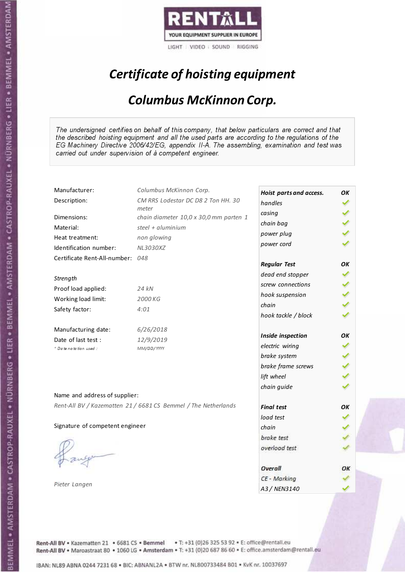

# Certificate of hoisting equipment

#### Columbus McKinnon Corp.

The undersigned certifies on behalf of this company, that below particulars are correct and that the described hoisting equipment and all the used parts are according to the regulations of the EG Machinery Directive 2006/42/EG, appendix II-A. The assembling, examination and test was carried out under supervision of à competent engineer.

| Manufacturer:                    | Columbus McKinnon Corp.                                        | Hoist parts and access. | OK |
|----------------------------------|----------------------------------------------------------------|-------------------------|----|
| Description:                     | CM RRS Lodestar DC D8 2 Ton HH. 30                             | handles                 |    |
| Dimensions:                      | meter<br>chain diameter 10,0 x 30,0 mm parten 1                | casing                  |    |
| Material:                        | steel + $aluminim$                                             | chain bag               |    |
|                                  |                                                                | power plug              |    |
| Heat treatment:                  | non glowing                                                    | power cord              |    |
| Identification number:           | NL3030XZ                                                       |                         |    |
| Certificate Rent-All-number: 048 |                                                                | <b>Regular Test</b>     | OK |
| Strength                         |                                                                | dead end stopper        |    |
| Proof load applied:              | 24 kN                                                          | screw connections       |    |
|                                  |                                                                | hook suspension         |    |
| Working load limit:              | 2000 KG                                                        | chain                   |    |
| Safety factor:                   | 4:01                                                           | hook tackle / block     |    |
| Manufacturing date:              | 6/26/2018                                                      |                         |    |
| Date of last test :              | 12/9/2019                                                      | Inside inspection       | OK |
| + Date notation used:            | MM/DD/YYYY                                                     | electric wiring         |    |
|                                  |                                                                | brake system            |    |
|                                  |                                                                | brake frame screws      |    |
|                                  |                                                                | lift wheel              |    |
|                                  |                                                                | chain guide             |    |
| Name and address of supplier:    |                                                                |                         |    |
|                                  | Rent-All BV / Kazematten 21 / 6681 CS Bemmel / The Netherlands | <b>Final test</b>       | OK |
|                                  |                                                                | load test               |    |
| Signature of competent engineer  |                                                                | chain                   |    |
|                                  |                                                                | brake test              |    |
|                                  |                                                                | overload test           |    |
|                                  |                                                                |                         |    |
|                                  |                                                                | Overall                 | ОΚ |
|                                  |                                                                | CE - Marking            |    |
| Pieter Langen                    |                                                                | A3 / NEN3140            |    |

Rent-All BV . Kazematten 21 . 6681 CS . Bemmel . T: +31 (0)26 325 53 92 . E: office@rentall.eu Rent-All BV · Maroastraat 80 · 1060 LG · Amsterdam · T: +31 (0)20 687 86 60 · E: office.amsterdam@rentall.eu

IBAN: NL89 ABNA 0244 7231 68 . BIC: ABNANL2A . BTW nr. NL800733484 B01 . KvK nr. 10037697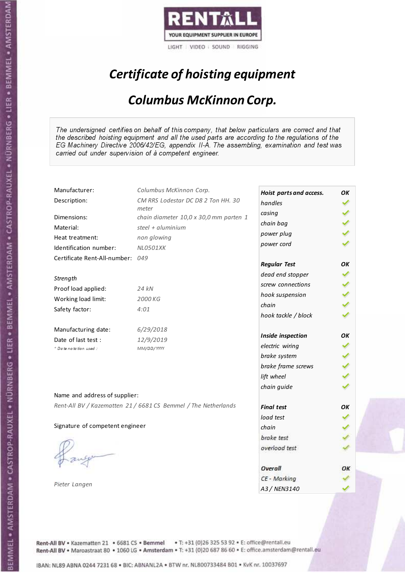

# Certificate of hoisting equipment

#### Columbus McKinnon Corp.

The undersigned certifies on behalf of this company, that below particulars are correct and that the described hoisting equipment and all the used parts are according to the regulations of the EG Machinery Directive 2006/42/EG, appendix II-A. The assembling, examination and test was carried out under supervision of à competent engineer.

| Manufacturer:                   | Columbus McKinnon Corp.                                        | Hoist parts and access. | OK |
|---------------------------------|----------------------------------------------------------------|-------------------------|----|
| Description:                    | CM RRS Lodestar DC D8 2 Ton HH. 30                             | handles                 |    |
| Dimensions:                     | meter                                                          | casing                  |    |
|                                 | chain diameter 10,0 x 30,0 mm parten 1<br>steel + $aluminim$   | chain bag               |    |
| Material:                       |                                                                | power plug              |    |
| Heat treatment:                 | non glowing                                                    | power cord              |    |
| Identification number:          | <b>NL0501XK</b>                                                |                         |    |
| Certificate Rent-All-number:    | 049                                                            | <b>Regular Test</b>     | OK |
|                                 |                                                                | dead end stopper        |    |
| Strength                        |                                                                | screw connections       |    |
| Proof load applied:             | 24 kN                                                          | hook suspension         |    |
| Working load limit:             | 2000 KG                                                        | chain                   |    |
| Safety factor:                  | 4:01                                                           | hook tackle / block     |    |
| Manufacturing date:             | 6/29/2018                                                      |                         |    |
| Date of last test :             | 12/9/2019                                                      | Inside inspection       | OK |
| + Date notation used:           | MM/DD/YYYY                                                     | electric wiring         |    |
|                                 |                                                                | brake system            |    |
|                                 |                                                                | brake frame screws      |    |
|                                 |                                                                | lift wheel              |    |
|                                 |                                                                | chain guide             |    |
| Name and address of supplier:   |                                                                |                         |    |
|                                 | Rent-All BV / Kazematten 21 / 6681 CS Bemmel / The Netherlands | <b>Final test</b>       | OK |
|                                 |                                                                | load test               |    |
| Signature of competent engineer |                                                                | chain                   |    |
|                                 |                                                                | brake test              |    |
|                                 |                                                                | overload test           |    |
|                                 |                                                                |                         |    |
|                                 |                                                                | Overall                 | ОΚ |
|                                 |                                                                | CE - Marking            |    |
| Pieter Langen                   |                                                                | A3 / NEN3140            |    |

Rent-All BV . Kazematten 21 . 6681 CS . Bemmel . T: +31 (0)26 325 53 92 . E: office@rentall.eu Rent-All BV · Maroastraat 80 · 1060 LG · Amsterdam · T: +31 (0)20 687 86 60 · E: office.amsterdam@rentall.eu

IBAN: NL89 ABNA 0244 7231 68 . BIC: ABNANL2A . BTW nr. NL800733484 B01 . KvK nr. 10037697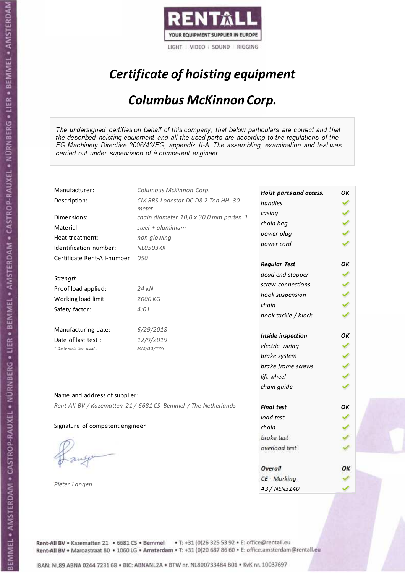

# Certificate of hoisting equipment

#### Columbus McKinnon Corp.

The undersigned certifies on behalf of this company, that below particulars are correct and that the described hoisting equipment and all the used parts are according to the regulations of the EG Machinery Directive 2006/42/EG, appendix II-A. The assembling, examination and test was carried out under supervision of à competent engineer.

| Manufacturer:                    | Columbus McKinnon Corp.                                        | Hoist parts and access. | OK |
|----------------------------------|----------------------------------------------------------------|-------------------------|----|
| Description:                     | CM RRS Lodestar DC D8 2 Ton HH. 30                             | handles                 |    |
| Dimensions:                      | meter<br>chain diameter 10,0 x 30,0 mm parten 1                | casing                  |    |
| Material:                        | steel + $aluminim$                                             | chain bag               |    |
|                                  |                                                                | power plug              |    |
| Heat treatment:                  | non glowing                                                    | power cord              |    |
| Identification number:           | <b>NL0503XK</b>                                                |                         |    |
| Certificate Rent-All-number: 050 |                                                                | <b>Regular Test</b>     | OK |
| Strength                         |                                                                | dead end stopper        |    |
| Proof load applied:              | 24 kN                                                          | screw connections       |    |
|                                  |                                                                | hook suspension         |    |
| Working load limit:              | 2000 KG                                                        | chain                   |    |
| Safety factor:                   | 4:01                                                           | hook tackle / block     |    |
| Manufacturing date:              | 6/29/2018                                                      |                         |    |
| Date of last test :              | 12/9/2019                                                      | Inside inspection       | OK |
| + Date notation used:            | MM/DD/YYYY                                                     | electric wiring         |    |
|                                  |                                                                | brake system            |    |
|                                  |                                                                | brake frame screws      |    |
|                                  |                                                                | lift wheel              |    |
|                                  |                                                                | chain guide             |    |
| Name and address of supplier:    |                                                                |                         |    |
|                                  | Rent-All BV / Kazematten 21 / 6681 CS Bemmel / The Netherlands | <b>Final test</b>       | OK |
|                                  |                                                                | load test               |    |
| Signature of competent engineer  |                                                                | chain                   |    |
|                                  |                                                                | brake test              |    |
|                                  |                                                                | overload test           |    |
|                                  |                                                                |                         |    |
|                                  |                                                                | Overall                 | ОΚ |
|                                  |                                                                | CE - Marking            |    |
| Pieter Langen                    |                                                                | A3 / NEN3140            |    |

Rent-All BV . Kazematten 21 . 6681 CS . Bemmel . T: +31 (0)26 325 53 92 . E: office@rentall.eu Rent-All BV · Maroastraat 80 · 1060 LG · Amsterdam · T: +31 (0)20 687 86 60 · E: office.amsterdam@rentall.eu

IBAN: NL89 ABNA 0244 7231 68 . BIC: ABNANL2A . BTW nr. NL800733484 B01 . KvK nr. 10037697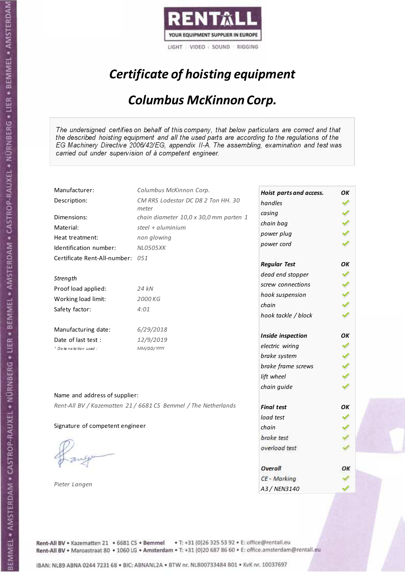

# Certificate of hoisting equipment

#### Columbus McKinnon Corp.

The undersigned certifies on behalf of this company, that below particulars are correct and that the described hoisting equipment and all the used parts are according to the regulations of the EG Machinery Directive 2006/42/EG, appendix II-A. The assembling, examination and test was carried out under supervision of à competent engineer.

| Manufacturer:                    | Columbus McKinnon Corp.                                        | Hoist parts and access. | OK |
|----------------------------------|----------------------------------------------------------------|-------------------------|----|
| Description:                     | CM RRS Lodestar DC D8 2 Ton HH. 30                             | handles                 |    |
|                                  | meter                                                          | casing                  |    |
| Dimensions:                      | chain diameter 10,0 x 30,0 mm parten 1                         | chain bag               |    |
| Material:                        | steel + aluminium                                              | power plug              |    |
| Heat treatment:                  | non glowing                                                    | power cord              |    |
| Identification number:           | <b>NL0505XK</b>                                                |                         |    |
| Certificate Rent-All-number: 051 |                                                                | <b>Regular Test</b>     | OК |
| Strength                         |                                                                | dead end stopper        |    |
| Proof load applied:              | 24 kN                                                          | screw connections       |    |
| Working load limit:              | 2000 KG                                                        | hook suspension         |    |
|                                  |                                                                | chain                   |    |
| Safety factor:                   | 4:01                                                           | hook tackle / block     |    |
| Manufacturing date:              | 6/29/2018                                                      |                         |    |
| Date of last test :              | 12/9/2019                                                      | Inside inspection       | OК |
| * Date notation used :           | MM/DD/YYYY                                                     | electric wiring         |    |
|                                  |                                                                | brake system            |    |
|                                  |                                                                | brake frame screws      |    |
|                                  |                                                                | lift wheel              |    |
| Name and address of supplier:    |                                                                | chain guide             |    |
|                                  | Rent-All BV / Kazematten 21 / 6681 CS Bemmel / The Netherlands |                         |    |
|                                  |                                                                | <b>Final test</b>       | OK |
|                                  |                                                                | load test               |    |
| Signature of competent engineer  |                                                                | chain                   |    |
|                                  |                                                                | brake test              |    |
|                                  |                                                                | overload test           |    |
|                                  |                                                                | Overall                 | ОΚ |
|                                  |                                                                | CE - Marking            |    |
| Pieter Langen                    |                                                                | A3 / NEN3140            |    |

Rent-All BV . Kazematten 21 . 6681 CS . Bemmel . T: +31 (0)26 325 53 92 . E: office@rentall.eu Rent-All BV · Maroastraat 80 · 1060 LG · Amsterdam · T: +31 (0)20 687 86 60 · E: office.amsterdam@rentall.eu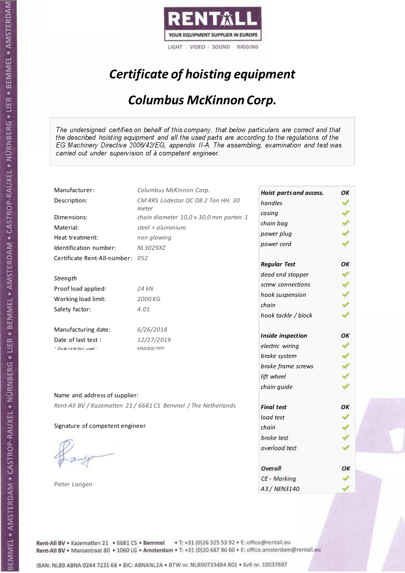

# Certificate of hoisting equipment

#### Columbus McKinnon Corp.

The undersigned certifies on behalf of this company, that below particulars are correct and that the described hoisting equipment and all the used parts are according to the regulations of the EG Machinery Directive 2006/42/EG, appendix II-A. The assembling, examination and test was carried out under supervision of à competent engineer.

| Manufacturer:                    | Columbus McKinnon Corp.                                        | Hoist parts and access. | OK |
|----------------------------------|----------------------------------------------------------------|-------------------------|----|
| Description:                     | CM RRS Lodestar DC D8 2 Ton HH. 30                             | handles                 |    |
| Dimensions:                      | meter                                                          | casing                  |    |
|                                  | chain diameter 10,0 x 30,0 mm parten 1<br>steel + $aluminim$   | chain bag               |    |
| Material:                        |                                                                | power plug              |    |
| Heat treatment:                  | non glowing                                                    | power cord              |    |
| Identification number:           | NL3029XZ                                                       |                         |    |
| Certificate Rent-All-number: 052 |                                                                | <b>Regular Test</b>     | OK |
| Strength                         |                                                                | dead end stopper        |    |
|                                  |                                                                | screw connections       |    |
| Proof load applied:              | 24 kN                                                          | hook suspension         |    |
| Working load limit:              | 2000 KG                                                        | chain                   |    |
| Safety factor:                   | 4:01                                                           | hook tackle / block     |    |
| Manufacturing date:              | 6/26/2018                                                      |                         |    |
| Date of last test :              | 12/27/2019                                                     | Inside inspection       | OK |
| + Date notation used:            | MM/DD/YYYY                                                     | electric wiring         |    |
|                                  |                                                                | brake system            |    |
|                                  |                                                                | brake frame screws      |    |
|                                  |                                                                | lift wheel              |    |
|                                  |                                                                | chain guide             |    |
| Name and address of supplier:    |                                                                |                         |    |
|                                  | Rent-All BV / Kazematten 21 / 6681 CS Bemmel / The Netherlands | <b>Final test</b>       | OK |
|                                  |                                                                | load test               |    |
| Signature of competent engineer  |                                                                | chain                   |    |
|                                  |                                                                | brake test              |    |
|                                  |                                                                | overload test           |    |
|                                  |                                                                |                         |    |
|                                  |                                                                | Overall                 | ОΚ |
|                                  |                                                                | CE - Marking            |    |
| Pieter Langen                    |                                                                | A3 / NEN3140            |    |

Rent-All BV . Kazematten 21 . 6681 CS . Bemmel . T: +31 (0)26 325 53 92 . E: office@rentall.eu Rent-All BV · Maroastraat 80 · 1060 LG · Amsterdam · T: +31 (0)20 687 86 60 · E: office.amsterdam@rentall.eu

IBAN: NL89 ABNA 0244 7231 68 . BIC: ABNANL2A . BTW nr. NL800733484 B01 . KvK nr. 10037697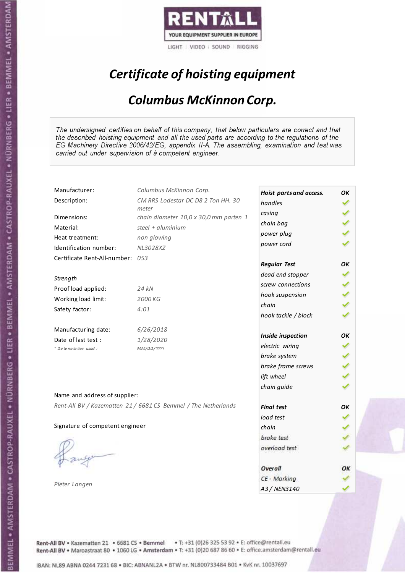

# Certificate of hoisting equipment

#### Columbus McKinnon Corp.

The undersigned certifies on behalf of this company, that below particulars are correct and that the described hoisting equipment and all the used parts are according to the regulations of the EG Machinery Directive 2006/42/EG, appendix II-A. The assembling, examination and test was carried out under supervision of à competent engineer.

| Manufacturer:                    | Columbus McKinnon Corp.                                        | Hoist parts and access. | OK |
|----------------------------------|----------------------------------------------------------------|-------------------------|----|
| Description:                     | CM RRS Lodestar DC D8 2 Ton HH. 30                             | handles                 |    |
| Dimensions:                      | meter                                                          | casing                  |    |
|                                  | chain diameter 10,0 x 30,0 mm parten 1<br>steel + $aluminim$   | chain bag               |    |
| Material:                        |                                                                | power plug              |    |
| Heat treatment:                  | non glowing                                                    | power cord              |    |
| Identification number:           | NL3028XZ                                                       |                         |    |
| Certificate Rent-All-number: 053 |                                                                | <b>Regular Test</b>     | OK |
|                                  |                                                                | dead end stopper        |    |
| Strength                         |                                                                | screw connections       |    |
| Proof load applied:              | 24 kN                                                          | hook suspension         |    |
| Working load limit:              | 2000 KG                                                        | chain                   |    |
| Safety factor:                   | 4:01                                                           | hook tackle / block     |    |
| Manufacturing date:              | 6/26/2018                                                      |                         |    |
| Date of last test :              | 1/28/2020                                                      | Inside inspection       | OK |
| + Date notation used:            | MM/DD/YYYY                                                     | electric wiring         |    |
|                                  |                                                                | brake system            |    |
|                                  |                                                                | brake frame screws      |    |
|                                  |                                                                | lift wheel              |    |
|                                  |                                                                | chain guide             |    |
| Name and address of supplier:    |                                                                |                         |    |
|                                  | Rent-All BV / Kazematten 21 / 6681 CS Bemmel / The Netherlands | <b>Final test</b>       | OK |
|                                  |                                                                | load test               |    |
| Signature of competent engineer  |                                                                | chain                   |    |
|                                  |                                                                | brake test              |    |
|                                  |                                                                | overload test           |    |
|                                  |                                                                |                         |    |
|                                  |                                                                | Overall                 | ОΚ |
|                                  |                                                                | CE - Marking            |    |
| Pieter Langen                    |                                                                | A3 / NEN3140            |    |

Rent-All BV . Kazematten 21 . 6681 CS . Bemmel . T: +31 (0)26 325 53 92 . E: office@rentall.eu Rent-All BV · Maroastraat 80 · 1060 LG · Amsterdam · T: +31 (0)20 687 86 60 · E: office.amsterdam@rentall.eu

IBAN: NL89 ABNA 0244 7231 68 . BIC: ABNANL2A . BTW nr. NL800733484 B01 . KvK nr. 10037697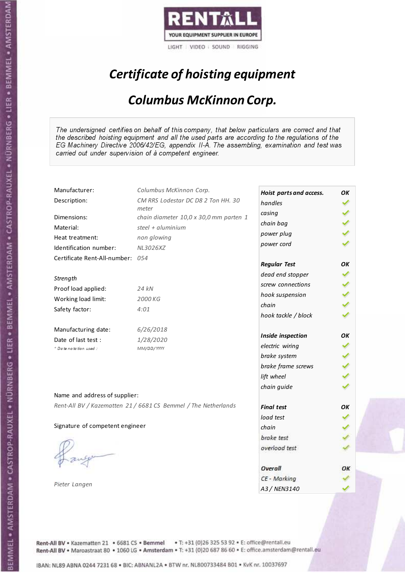

# Certificate of hoisting equipment

#### Columbus McKinnon Corp.

The undersigned certifies on behalf of this company, that below particulars are correct and that the described hoisting equipment and all the used parts are according to the regulations of the EG Machinery Directive 2006/42/EG, appendix II-A. The assembling, examination and test was carried out under supervision of à competent engineer.

| Manufacturer:                    | Columbus McKinnon Corp.                                        | Hoist parts and access. | OK |
|----------------------------------|----------------------------------------------------------------|-------------------------|----|
| Description:                     | CM RRS Lodestar DC D8 2 Ton HH. 30                             | handles                 |    |
| Dimensions:                      | meter<br>chain diameter 10,0 x 30,0 mm parten 1                | casing                  |    |
| Material:                        | steel + $aluminim$                                             | chain bag               |    |
| Heat treatment:                  | non glowing                                                    | power plug              |    |
| Identification number:           | NL3026XZ                                                       | power cord              |    |
| Certificate Rent-All-number: 054 |                                                                |                         |    |
|                                  |                                                                | <b>Regular Test</b>     | OК |
| Strength                         |                                                                | dead end stopper        |    |
| Proof load applied:              | 24 kN                                                          | screw connections       |    |
| Working load limit:              | 2000 KG                                                        | hook suspension         |    |
| Safety factor:                   | 4:01                                                           | chain                   |    |
|                                  |                                                                | hook tackle / block     |    |
| Manufacturing date:              | 6/26/2018                                                      |                         |    |
| Date of last test :              | 1/28/2020                                                      | Inside inspection       | OK |
| * Date notation used:            | MM/DD/YYYY                                                     | electric wiring         |    |
|                                  |                                                                | brake system            |    |
|                                  |                                                                | brake frame screws      |    |
|                                  |                                                                | lift wheel              |    |
|                                  |                                                                | chain guide             |    |
| Name and address of supplier:    |                                                                |                         |    |
|                                  | Rent-All BV / Kazematten 21 / 6681 CS Bemmel / The Netherlands | <b>Final test</b>       | OK |
|                                  |                                                                | load test               |    |
| Signature of competent engineer  |                                                                | chain                   |    |
|                                  |                                                                | brake test              |    |
|                                  |                                                                | overload test           |    |
|                                  |                                                                |                         |    |
|                                  |                                                                | Overall                 | ОΚ |
|                                  |                                                                | CE - Marking            |    |
| Pieter Langen                    |                                                                | A3 / NEN3140            |    |

Rent-All BV . Kazematten 21 . 6681 CS . Bemmel . T: +31 (0)26 325 53 92 . E: office@rentall.eu Rent-All BV · Maroastraat 80 · 1060 LG · Amsterdam · T: +31 (0)20 687 86 60 · E: office.amsterdam@rentall.eu

IBAN: NL89 ABNA 0244 7231 68 . BIC: ABNANL2A . BTW nr. NL800733484 B01 . KvK nr. 10037697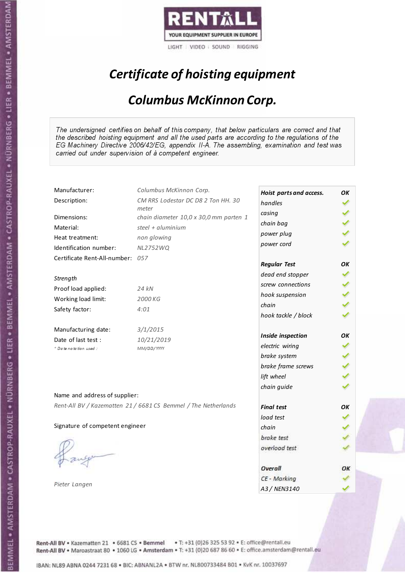

# Certificate of hoisting equipment

#### Columbus McKinnon Corp.

The undersigned certifies on behalf of this company, that below particulars are correct and that the described hoisting equipment and all the used parts are according to the regulations of the EG Machinery Directive 2006/42/EG, appendix II-A. The assembling, examination and test was carried out under supervision of à competent engineer.

| Hoist parts and access.<br>CM RRS Lodestar DC D8 2 Ton HH. 30<br>Description:<br>handles<br>meter<br>casing<br>Dimensions:<br>chain diameter 10,0 x 30,0 mm parten 1<br>chain bag<br>Material:<br>steel + aluminium |    |
|---------------------------------------------------------------------------------------------------------------------------------------------------------------------------------------------------------------------|----|
|                                                                                                                                                                                                                     |    |
|                                                                                                                                                                                                                     |    |
|                                                                                                                                                                                                                     |    |
| power plug                                                                                                                                                                                                          |    |
| non glowing<br>Heat treatment:<br>power cord                                                                                                                                                                        |    |
| Identification number:<br><b>NL2752WQ</b>                                                                                                                                                                           |    |
| Certificate Rent-All-number: 057<br><b>Regular Test</b>                                                                                                                                                             | OK |
| dead end stopper                                                                                                                                                                                                    |    |
| Strength<br>screw connections                                                                                                                                                                                       |    |
| Proof load applied:<br>24 kN<br>hook suspension                                                                                                                                                                     |    |
| Working load limit:<br>2000 KG<br>chain                                                                                                                                                                             |    |
| Safety factor:<br>4:01                                                                                                                                                                                              |    |
| hook tackle / block                                                                                                                                                                                                 |    |
| Manufacturing date:<br>3/1/2015                                                                                                                                                                                     |    |
| Inside inspection<br>Date of last test :<br>10/21/2019                                                                                                                                                              | OK |
| electric wiring<br>+ Date notation used:<br>MM/DD/YYYY                                                                                                                                                              |    |
| brake system                                                                                                                                                                                                        |    |
| brake frame screws                                                                                                                                                                                                  |    |
| lift wheel                                                                                                                                                                                                          |    |
| chain guide                                                                                                                                                                                                         |    |
| Name and address of supplier:                                                                                                                                                                                       |    |
| Rent-All BV / Kazematten 21 / 6681 CS Bemmel / The Netherlands<br><b>Final test</b>                                                                                                                                 | OK |
| load test                                                                                                                                                                                                           |    |
| Signature of competent engineer<br>chain                                                                                                                                                                            |    |
| brake test                                                                                                                                                                                                          |    |
| overload test                                                                                                                                                                                                       |    |
|                                                                                                                                                                                                                     |    |
| Overall                                                                                                                                                                                                             | ОΚ |
| CE - Marking                                                                                                                                                                                                        |    |
| Pieter Langen<br>A3 / NEN3140                                                                                                                                                                                       |    |

Rent-All BV . Kazematten 21 . 6681 CS . Bemmel . T: +31 (0)26 325 53 92 . E: office@rentall.eu Rent-All BV · Maroastraat 80 · 1060 LG · Amsterdam · T: +31 (0)20 687 86 60 · E: office.amsterdam@rentall.eu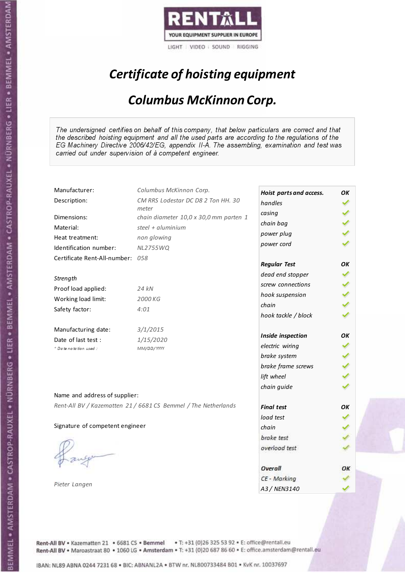

# Certificate of hoisting equipment

#### Columbus McKinnon Corp.

The undersigned certifies on behalf of this company, that below particulars are correct and that the described hoisting equipment and all the used parts are according to the regulations of the EG Machinery Directive 2006/42/EG, appendix II-A. The assembling, examination and test was carried out under supervision of à competent engineer.

| Manufacturer:                    | Columbus McKinnon Corp.                                        | Hoist parts and access. | OK |
|----------------------------------|----------------------------------------------------------------|-------------------------|----|
| Description:                     | CM RRS Lodestar DC D8 2 Ton HH. 30                             | handles                 |    |
| Dimensions:                      | meter<br>chain diameter 10,0 x 30,0 mm parten 1                | casing                  |    |
| Material:                        | steel + aluminium                                              | chain bag               |    |
|                                  |                                                                | power plug              |    |
| Heat treatment:                  | non glowing                                                    | power cord              |    |
| Identification number:           | <b>NL2755WQ</b>                                                |                         |    |
| Certificate Rent-All-number: 058 |                                                                | <b>Regular Test</b>     | OK |
|                                  |                                                                | dead end stopper        |    |
| Strength                         |                                                                | screw connections       |    |
| Proof load applied:              | 24 kN                                                          | hook suspension         |    |
| Working load limit:              | 2000 KG                                                        | chain                   |    |
| Safety factor:                   | 4:01                                                           | hook tackle / block     |    |
|                                  |                                                                |                         |    |
| Manufacturing date:              | 3/1/2015                                                       |                         |    |
| Date of last test :              | 1/15/2020                                                      | Inside inspection       | OK |
| + Date notation used:            | MM/DD/YYYY                                                     | electric wiring         |    |
|                                  |                                                                | brake system            |    |
|                                  |                                                                | brake frame screws      |    |
|                                  |                                                                | lift wheel              |    |
|                                  |                                                                | chain guide             |    |
| Name and address of supplier:    |                                                                |                         |    |
|                                  | Rent-All BV / Kazematten 21 / 6681 CS Bemmel / The Netherlands | <b>Final test</b>       | OK |
|                                  |                                                                | load test               |    |
| Signature of competent engineer  |                                                                | chain                   |    |
|                                  |                                                                | brake test              |    |
|                                  |                                                                | overload test           |    |
|                                  |                                                                |                         |    |
|                                  |                                                                | Overall                 | ОΚ |
|                                  |                                                                | CE - Marking            |    |
| Pieter Langen                    |                                                                | A3 / NEN3140            |    |

Rent-All BV . Kazematten 21 . 6681 CS . Bemmel . T: +31 (0)26 325 53 92 . E: office@rentall.eu Rent-All BV · Maroastraat 80 · 1060 LG · Amsterdam · T: +31 (0)20 687 86 60 · E: office.amsterdam@rentall.eu

IBAN: NL89 ABNA 0244 7231 68 . BIC: ABNANL2A . BTW nr. NL800733484 B01 . KvK nr. 10037697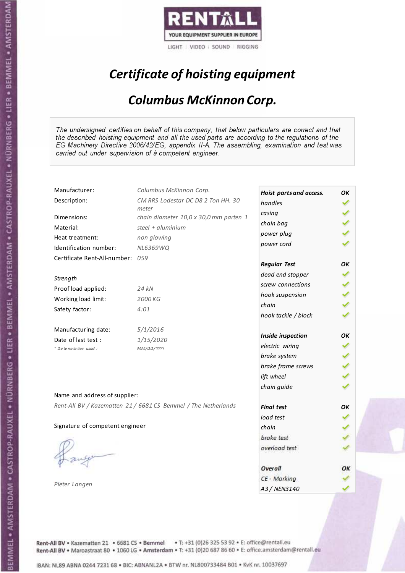

# Certificate of hoisting equipment

#### Columbus McKinnon Corp.

The undersigned certifies on behalf of this company, that below particulars are correct and that the described hoisting equipment and all the used parts are according to the regulations of the EG Machinery Directive 2006/42/EG, appendix II-A. The assembling, examination and test was carried out under supervision of à competent engineer.

| Manufacturer:                    | Columbus McKinnon Corp.                                        | Hoist parts and access. | OK |
|----------------------------------|----------------------------------------------------------------|-------------------------|----|
| Description:                     | CM RRS Lodestar DC D8 2 Ton HH. 30                             | handles                 |    |
| Dimensions:                      | meter<br>chain diameter 10,0 x 30,0 mm parten 1                | casing                  |    |
| Material:                        | steel + $aluminim$                                             | chain bag               |    |
|                                  |                                                                | power plug              |    |
| Heat treatment:                  | non glowing                                                    | power cord              |    |
| Identification number:           | NL6369WQ                                                       |                         |    |
| Certificate Rent-All-number: 059 |                                                                | <b>Regular Test</b>     | OK |
| Strength                         |                                                                | dead end stopper        |    |
| Proof load applied:              | 24 kN                                                          | screw connections       |    |
|                                  |                                                                | hook suspension         |    |
| Working load limit:              | 2000 KG                                                        | chain                   |    |
| Safety factor:                   | 4:01                                                           | hook tackle / block     |    |
| Manufacturing date:              | 5/1/2016                                                       |                         |    |
| Date of last test :              | 1/15/2020                                                      | Inside inspection       | OK |
| + Date notation used:            | MM/DD/YYYY                                                     | electric wiring         |    |
|                                  |                                                                | brake system            |    |
|                                  |                                                                | brake frame screws      |    |
|                                  |                                                                | lift wheel              |    |
|                                  |                                                                | chain guide             |    |
| Name and address of supplier:    |                                                                |                         |    |
|                                  | Rent-All BV / Kazematten 21 / 6681 CS Bemmel / The Netherlands | <b>Final test</b>       | OK |
|                                  |                                                                | load test               |    |
| Signature of competent engineer  |                                                                | chain                   |    |
|                                  |                                                                | brake test              |    |
|                                  |                                                                | overload test           |    |
|                                  |                                                                |                         |    |
|                                  |                                                                | Overall                 | ОΚ |
|                                  |                                                                | CE - Marking            |    |
| Pieter Langen                    |                                                                | A3 / NEN3140            |    |

Rent-All BV . Kazematten 21 . 6681 CS . Bemmel . T: +31 (0)26 325 53 92 . E: office@rentall.eu Rent-All BV · Maroastraat 80 · 1060 LG · Amsterdam · T: +31 (0)20 687 86 60 · E: office.amsterdam@rentall.eu

IBAN: NL89 ABNA 0244 7231 68 . BIC: ABNANL2A . BTW nr. NL800733484 B01 . KvK nr. 10037697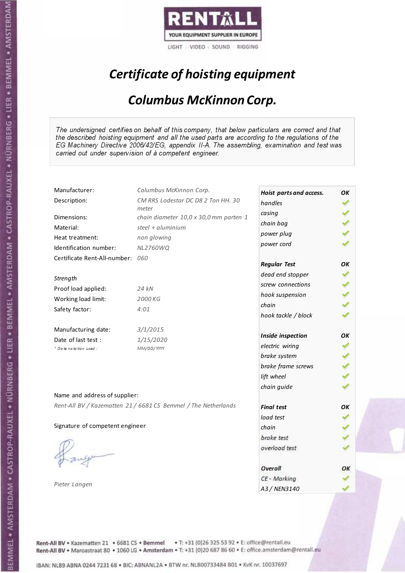

# Certificate of hoisting equipment

#### Columbus McKinnon Corp.

The undersigned certifies on behalf of this company, that below particulars are correct and that the described hoisting equipment and all the used parts are according to the regulations of the EG Machinery Directive 2006/42/EG, appendix II-A. The assembling, examination and test was carried out under supervision of à competent engineer.

| Manufacturer:                    | Columbus McKinnon Corp.                                        | Hoist parts and access. | OK |
|----------------------------------|----------------------------------------------------------------|-------------------------|----|
| Description:                     | CM RRS Lodestar DC D8 2 Ton HH. 30                             | handles                 |    |
| Dimensions:                      | meter<br>chain diameter 10,0 x 30,0 mm parten 1                | casing                  |    |
| Material:                        | steel + aluminium                                              | chain bag               |    |
| Heat treatment:                  | non glowing                                                    | power plug              |    |
| Identification number:           | <b>NL2760WQ</b>                                                | power cord              |    |
| Certificate Rent-All-number: 060 |                                                                |                         |    |
|                                  |                                                                | <b>Regular Test</b>     | OК |
|                                  |                                                                | dead end stopper        |    |
| Strength                         |                                                                | screw connections       |    |
| Proof load applied:              | 24 kN                                                          | hook suspension         |    |
| Working load limit:              | 2000 KG                                                        | chain                   |    |
| Safety factor:                   | 4:01                                                           | hook tackle / block     |    |
| Manufacturing date:              | 3/1/2015                                                       |                         |    |
| Date of last test :              | 1/15/2020                                                      | Inside inspection       | OK |
| + Date notation used:            | MM/DD/YYYY                                                     | electric wiring         |    |
|                                  |                                                                | brake system            |    |
|                                  |                                                                | brake frame screws      |    |
|                                  |                                                                | lift wheel              |    |
|                                  |                                                                | chain guide             |    |
| Name and address of supplier:    |                                                                |                         |    |
|                                  | Rent-All BV / Kazematten 21 / 6681 CS Bemmel / The Netherlands | <b>Final test</b>       | OK |
|                                  |                                                                | load test               |    |
| Signature of competent engineer  |                                                                | chain                   |    |
|                                  |                                                                | brake test              |    |
|                                  |                                                                | overload test           |    |
|                                  |                                                                |                         |    |
|                                  |                                                                | Overall                 | ОΚ |
| Pieter Langen                    |                                                                | CE - Marking            |    |
|                                  |                                                                | A3 / NEN3140            |    |

Rent-All BV . Kazematten 21 . 6681 CS . Bemmel . T: +31 (0)26 325 53 92 . E: office@rentall.eu Rent-All BV · Maroastraat 80 · 1060 LG · Amsterdam · T: +31 (0)20 687 86 60 · E: office.amsterdam@rentall.eu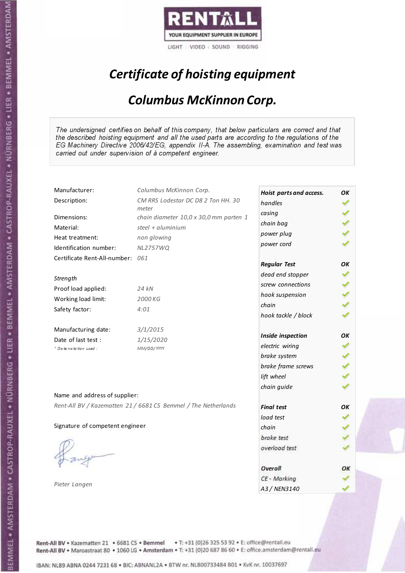

# Certificate of hoisting equipment

#### Columbus McKinnon Corp.

The undersigned certifies on behalf of this company, that below particulars are correct and that the described hoisting equipment and all the used parts are according to the regulations of the EG Machinery Directive 2006/42/EG, appendix II-A. The assembling, examination and test was carried out under supervision of à competent engineer.

| Manufacturer:                    | Columbus McKinnon Corp.                                        | Hoist parts and access. | OK |
|----------------------------------|----------------------------------------------------------------|-------------------------|----|
| Description:                     | CM RRS Lodestar DC D8 2 Ton HH. 30                             | handles                 |    |
| Dimensions:                      | meter<br>chain diameter 10,0 x 30,0 mm parten 1                | casing                  |    |
| Material:                        | steel + $aluminim$                                             | chain bag               |    |
| Heat treatment:                  | non glowing                                                    | power plug              |    |
| Identification number:           | <b>NL2757WQ</b>                                                | power cord              |    |
| Certificate Rent-All-number: 061 |                                                                |                         |    |
|                                  |                                                                | <b>Regular Test</b>     | OК |
| Strength                         |                                                                | dead end stopper        |    |
| Proof load applied:              | 24 kN                                                          | screw connections       |    |
| Working load limit:              | 2000 KG                                                        | hook suspension         |    |
| Safety factor:                   | 4:01                                                           | chain                   |    |
|                                  |                                                                | hook tackle / block     |    |
| Manufacturing date:              | 3/1/2015                                                       |                         |    |
| Date of last test :              | 1/15/2020                                                      | Inside inspection       | OK |
| * Date notation used:            | MM/DD/YYYY                                                     | electric wiring         |    |
|                                  |                                                                | brake system            |    |
|                                  |                                                                | brake frame screws      |    |
|                                  |                                                                | lift wheel              |    |
|                                  |                                                                | chain guide             |    |
| Name and address of supplier:    |                                                                |                         |    |
|                                  | Rent-All BV / Kazematten 21 / 6681 CS Bemmel / The Netherlands | <b>Final test</b>       | OK |
|                                  |                                                                | load test               |    |
| Signature of competent engineer  |                                                                | chain                   |    |
|                                  |                                                                | brake test              |    |
|                                  |                                                                | overload test           |    |
|                                  |                                                                |                         |    |
|                                  |                                                                | Overall                 | ОΚ |
|                                  |                                                                | CE - Marking            |    |
| Pieter Langen                    |                                                                | A3 / NEN3140            |    |

Rent-All BV . Kazematten 21 . 6681 CS . Bemmel . T: +31 (0)26 325 53 92 . E: office@rentall.eu Rent-All BV · Maroastraat 80 · 1060 LG · Amsterdam · T: +31 (0)20 687 86 60 · E: office.amsterdam@rentall.eu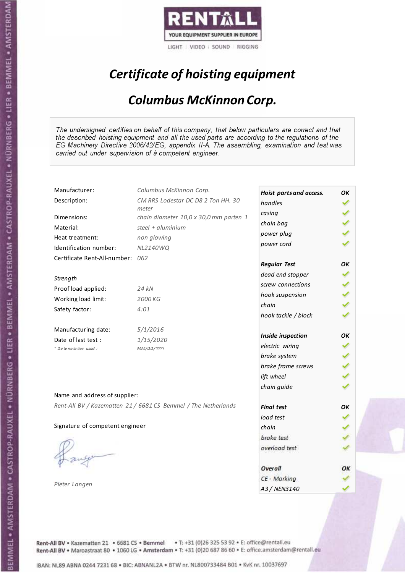

# Certificate of hoisting equipment

#### Columbus McKinnon Corp.

The undersigned certifies on behalf of this company, that below particulars are correct and that the described hoisting equipment and all the used parts are according to the regulations of the EG Machinery Directive 2006/42/EG, appendix II-A. The assembling, examination and test was carried out under supervision of à competent engineer.

| Manufacturer:                    | Columbus McKinnon Corp.                                        | Hoist parts and access. | OK |
|----------------------------------|----------------------------------------------------------------|-------------------------|----|
| Description:                     | CM RRS Lodestar DC D8 2 Ton HH. 30                             | handles                 |    |
| Dimensions:                      | meter<br>chain diameter 10,0 x 30,0 mm parten 1                | casing                  |    |
| Material:                        | steel + $aluminim$                                             | chain bag               |    |
|                                  |                                                                | power plug              |    |
| Heat treatment:                  | non glowing                                                    | power cord              |    |
| Identification number:           | <b>NL2140WQ</b>                                                |                         |    |
| Certificate Rent-All-number: 062 |                                                                | <b>Regular Test</b>     | OK |
| Strength                         |                                                                | dead end stopper        |    |
| Proof load applied:              | 24 kN                                                          | screw connections       |    |
|                                  |                                                                | hook suspension         |    |
| Working load limit:              | 2000 KG                                                        | chain                   |    |
| Safety factor:                   | 4:01                                                           | hook tackle / block     |    |
| Manufacturing date:              | 5/1/2016                                                       |                         |    |
| Date of last test :              | 1/15/2020                                                      | Inside inspection       | OK |
| + Date notation used:            | MM/DD/YYYY                                                     | electric wiring         |    |
|                                  |                                                                | brake system            |    |
|                                  |                                                                | brake frame screws      |    |
|                                  |                                                                | lift wheel              |    |
|                                  |                                                                | chain guide             |    |
| Name and address of supplier:    |                                                                |                         |    |
|                                  | Rent-All BV / Kazematten 21 / 6681 CS Bemmel / The Netherlands | <b>Final test</b>       | OK |
|                                  |                                                                | load test               |    |
| Signature of competent engineer  |                                                                | chain                   |    |
|                                  |                                                                | brake test              |    |
|                                  |                                                                | overload test           |    |
|                                  |                                                                |                         |    |
|                                  |                                                                | Overall                 | ОΚ |
|                                  |                                                                | CE - Marking            |    |
| Pieter Langen                    |                                                                | A3 / NEN3140            |    |

Rent-All BV . Kazematten 21 . 6681 CS . Bemmel . T: +31 (0)26 325 53 92 . E: office@rentall.eu Rent-All BV · Maroastraat 80 · 1060 LG · Amsterdam · T: +31 (0)20 687 86 60 · E: office.amsterdam@rentall.eu

IBAN: NL89 ABNA 0244 7231 68 . BIC: ABNANL2A . BTW nr. NL800733484 B01 . KvK nr. 10037697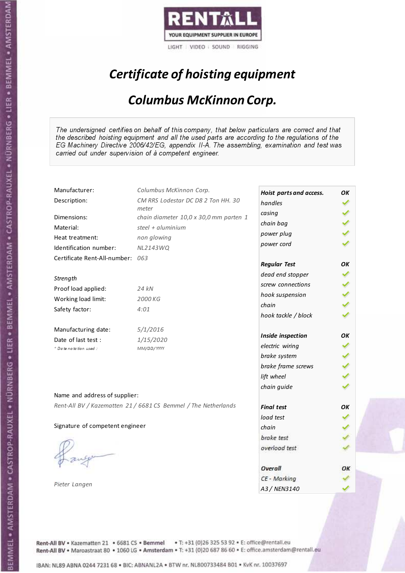

# Certificate of hoisting equipment

#### Columbus McKinnon Corp.

The undersigned certifies on behalf of this company, that below particulars are correct and that the described hoisting equipment and all the used parts are according to the regulations of the EG Machinery Directive 2006/42/EG, appendix II-A. The assembling, examination and test was carried out under supervision of à competent engineer.

| Manufacturer:                    | Columbus McKinnon Corp.                                        | Hoist parts and access. | OK |
|----------------------------------|----------------------------------------------------------------|-------------------------|----|
| Description:                     | CM RRS Lodestar DC D8 2 Ton HH. 30                             | handles                 |    |
| Dimensions:                      | meter<br>chain diameter 10,0 x 30,0 mm parten 1                | casing                  |    |
| Material:                        | steel + aluminium                                              | chain bag               |    |
| Heat treatment:                  | non glowing                                                    | power plug              |    |
| Identification number:           | <b>NL2143WQ</b>                                                | power cord              |    |
| Certificate Rent-All-number: 063 |                                                                |                         |    |
|                                  |                                                                | <b>Regular Test</b>     | OК |
| Strength                         |                                                                | dead end stopper        |    |
| Proof load applied:              | 24 kN                                                          | screw connections       |    |
| Working load limit:              | 2000 KG                                                        | hook suspension         |    |
| Safety factor:                   | 4:01                                                           | chain                   |    |
|                                  |                                                                | hook tackle / block     |    |
| Manufacturing date:              | 5/1/2016                                                       |                         |    |
| Date of last test :              | 1/15/2020                                                      | Inside inspection       | OK |
| + Date notation used:            | MM/DD/YYYY                                                     | electric wiring         |    |
|                                  |                                                                | brake system            |    |
|                                  |                                                                | brake frame screws      |    |
|                                  |                                                                | lift wheel              |    |
|                                  |                                                                | chain guide             |    |
| Name and address of supplier:    |                                                                |                         |    |
|                                  | Rent-All BV / Kazematten 21 / 6681 CS Bemmel / The Netherlands | <b>Final test</b>       | OK |
|                                  |                                                                | load test               |    |
| Signature of competent engineer  |                                                                | chain                   |    |
|                                  |                                                                | brake test              |    |
|                                  |                                                                | overload test           |    |
|                                  |                                                                |                         |    |
|                                  |                                                                | Overall                 | ОΚ |
| Pieter Langen                    |                                                                | CE - Marking            |    |
|                                  |                                                                | A3 / NEN3140            |    |

Rent-All BV . Kazematten 21 . 6681 CS . Bemmel . T: +31 (0)26 325 53 92 . E: office@rentall.eu Rent-All BV · Maroastraat 80 · 1060 LG · Amsterdam · T: +31 (0)20 687 86 60 · E: office.amsterdam@rentall.eu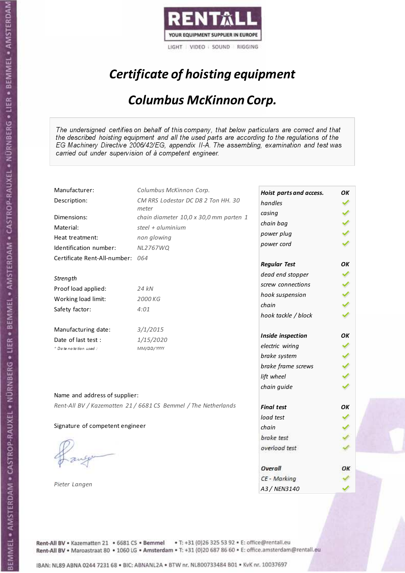

# Certificate of hoisting equipment

#### Columbus McKinnon Corp.

The undersigned certifies on behalf of this company, that below particulars are correct and that the described hoisting equipment and all the used parts are according to the regulations of the EG Machinery Directive 2006/42/EG, appendix II-A. The assembling, examination and test was carried out under supervision of à competent engineer.

| Manufacturer:                                                  | Columbus McKinnon Corp.                         | Hoist parts and access. | OK |
|----------------------------------------------------------------|-------------------------------------------------|-------------------------|----|
| Description:                                                   | CM RRS Lodestar DC D8 2 Ton HH. 30              | handles                 |    |
| Dimensions:                                                    | meter<br>chain diameter 10,0 x 30,0 mm parten 1 | casing                  |    |
| Material:                                                      | steel + aluminium                               | chain bag               |    |
| Heat treatment:                                                | non glowing                                     | power plug              |    |
| Identification number:                                         | <b>NL2767WQ</b>                                 | power cord              |    |
| Certificate Rent-All-number: 064                               |                                                 |                         |    |
|                                                                |                                                 | <b>Regular Test</b>     | OК |
| Strength                                                       |                                                 | dead end stopper        |    |
| Proof load applied:                                            | 24 kN                                           | screw connections       |    |
| Working load limit:                                            | 2000 KG                                         | hook suspension         |    |
| Safety factor:                                                 | 4:01                                            | chain                   |    |
|                                                                |                                                 | hook tackle / block     |    |
| Manufacturing date:                                            | 3/1/2015                                        |                         |    |
| Date of last test :                                            | 1/15/2020                                       | Inside inspection       | OK |
| + Date notation used:                                          | MM/DD/YYYY                                      | electric wiring         |    |
|                                                                |                                                 | brake system            |    |
|                                                                |                                                 | brake frame screws      |    |
|                                                                |                                                 | lift wheel              |    |
|                                                                |                                                 | chain guide             |    |
| Name and address of supplier:                                  |                                                 |                         |    |
| Rent-All BV / Kazematten 21 / 6681 CS Bemmel / The Netherlands |                                                 | <b>Final test</b>       | OK |
|                                                                |                                                 | load test               |    |
| Signature of competent engineer                                |                                                 | chain                   |    |
|                                                                |                                                 | brake test              |    |
|                                                                |                                                 | overload test           |    |
|                                                                |                                                 |                         |    |
|                                                                |                                                 | Overall                 | ОΚ |
|                                                                |                                                 | CE - Marking            |    |
| Pieter Langen                                                  |                                                 | A3 / NEN3140            |    |

Rent-All BV . Kazematten 21 . 6681 CS . Bemmel . T: +31 (0)26 325 53 92 . E: office@rentall.eu Rent-All BV · Maroastraat 80 · 1060 LG · Amsterdam · T: +31 (0)20 687 86 60 · E: office.amsterdam@rentall.eu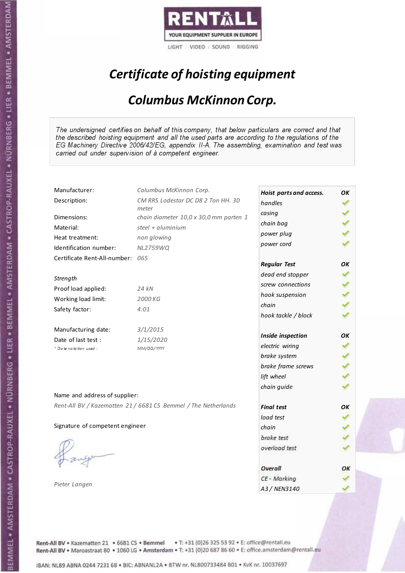

# Certificate of hoisting equipment

#### Columbus McKinnon Corp.

The undersigned certifies on behalf of this company, that below particulars are correct and that the described hoisting equipment and all the used parts are according to the regulations of the EG Machinery Directive 2006/42/EG, appendix II-A. The assembling, examination and test was carried out under supervision of à competent engineer.

| Manufacturer:                    | Columbus McKinnon Corp.                                        | Hoist parts and access. | OK |
|----------------------------------|----------------------------------------------------------------|-------------------------|----|
| Description:                     | CM RRS Lodestar DC D8 2 Ton HH. 30                             | handles                 |    |
| Dimensions:                      | meter<br>chain diameter 10,0 x 30,0 mm parten 1                | casing                  |    |
| Material:                        | steel + $aluminim$                                             | chain bag               |    |
| Heat treatment:                  | non glowing                                                    | power plug              |    |
| Identification number:           | NL2759WQ                                                       | power cord              |    |
| Certificate Rent-All-number: 065 |                                                                |                         |    |
|                                  |                                                                | <b>Regular Test</b>     | OК |
| Strength                         |                                                                | dead end stopper        |    |
| Proof load applied:              | 24 kN                                                          | screw connections       |    |
| Working load limit:              | 2000 KG                                                        | hook suspension         |    |
|                                  | 4:01                                                           | chain                   |    |
| Safety factor:                   |                                                                | hook tackle / block     |    |
| Manufacturing date:              | 3/1/2015                                                       |                         |    |
| Date of last test :              | 1/15/2020                                                      | Inside inspection       | OK |
| * Date notation used:            | MM/DD/YYYY                                                     | electric wiring         |    |
|                                  |                                                                | brake system            |    |
|                                  |                                                                | brake frame screws      |    |
|                                  |                                                                | lift wheel              |    |
|                                  |                                                                | chain guide             |    |
| Name and address of supplier:    |                                                                |                         |    |
|                                  | Rent-All BV / Kazematten 21 / 6681 CS Bemmel / The Netherlands | <b>Final test</b>       | OK |
|                                  |                                                                | load test               |    |
| Signature of competent engineer  |                                                                | chain                   |    |
|                                  |                                                                | brake test              |    |
|                                  |                                                                | overload test           |    |
|                                  |                                                                |                         |    |
|                                  |                                                                | Overall                 | ОΚ |
| Pieter Langen                    |                                                                | CE - Marking            |    |
|                                  |                                                                | A3 / NEN3140            |    |

Rent-All BV . Kazematten 21 . 6681 CS . Bemmel . T: +31 (0)26 325 53 92 . E: office@rentall.eu Rent-All BV · Maroastraat 80 · 1060 LG · Amsterdam · T: +31 (0)20 687 86 60 · E: office.amsterdam@rentall.eu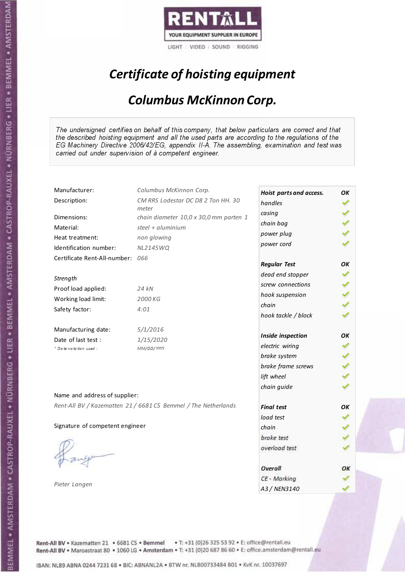

# Certificate of hoisting equipment

#### Columbus McKinnon Corp.

The undersigned certifies on behalf of this company, that below particulars are correct and that the described hoisting equipment and all the used parts are according to the regulations of the EG Machinery Directive 2006/42/EG, appendix II-A. The assembling, examination and test was carried out under supervision of à competent engineer.

| Manufacturer:                    | Columbus McKinnon Corp.                                        | Hoist parts and access. | OK |
|----------------------------------|----------------------------------------------------------------|-------------------------|----|
| Description:                     | CM RRS Lodestar DC D8 2 Ton HH. 30                             | handles                 |    |
| Dimensions:                      | meter<br>chain diameter 10,0 x 30,0 mm parten 1                | casing                  |    |
| Material:                        | steel + aluminium                                              | chain bag               |    |
|                                  |                                                                | power plug              |    |
| Heat treatment:                  | non glowing                                                    | power cord              |    |
| Identification number:           | <b>NL2145WQ</b>                                                |                         |    |
| Certificate Rent-All-number: 066 |                                                                | <b>Regular Test</b>     | OK |
|                                  |                                                                | dead end stopper        |    |
| Strength                         |                                                                | screw connections       |    |
| Proof load applied:              | 24 kN                                                          | hook suspension         |    |
| Working load limit:              | 2000 KG                                                        | chain                   |    |
| Safety factor:                   | 4:01                                                           | hook tackle / block     |    |
|                                  |                                                                |                         |    |
| Manufacturing date:              | 5/1/2016                                                       | Inside inspection       | OK |
| Date of last test :              | 1/15/2020                                                      |                         |    |
| + Date notation used:            | MM/DD/YYYY                                                     | electric wiring         |    |
|                                  |                                                                | brake system            |    |
|                                  |                                                                | brake frame screws      |    |
|                                  |                                                                | lift wheel              |    |
|                                  |                                                                | chain guide             |    |
| Name and address of supplier:    |                                                                |                         |    |
|                                  | Rent-All BV / Kazematten 21 / 6681 CS Bemmel / The Netherlands | <b>Final test</b>       | OK |
|                                  |                                                                | load test               |    |
| Signature of competent engineer  |                                                                | chain                   |    |
|                                  |                                                                | brake test              |    |
|                                  |                                                                | overload test           |    |
|                                  |                                                                |                         |    |
|                                  |                                                                | Overall                 | ОΚ |
|                                  |                                                                | CE - Marking            |    |
| Pieter Langen                    |                                                                | A3 / NEN3140            |    |

Rent-All BV . Kazematten 21 . 6681 CS . Bemmel . T: +31 (0)26 325 53 92 . E: office@rentall.eu Rent-All BV · Maroastraat 80 · 1060 LG · Amsterdam · T: +31 (0)20 687 86 60 · E: office.amsterdam@rentall.eu

IBAN: NL89 ABNA 0244 7231 68 . BIC: ABNANL2A . BTW nr. NL800733484 B01 . KvK nr. 10037697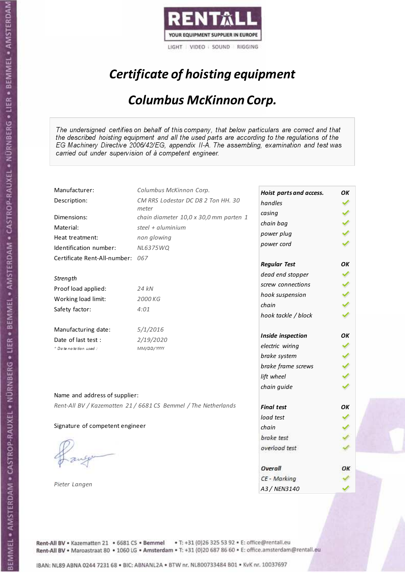

# Certificate of hoisting equipment

#### Columbus McKinnon Corp.

The undersigned certifies on behalf of this company, that below particulars are correct and that the described hoisting equipment and all the used parts are according to the regulations of the EG Machinery Directive 2006/42/EG, appendix II-A. The assembling, examination and test was carried out under supervision of à competent engineer.

| Manufacturer:                    | Columbus McKinnon Corp.                                        | Hoist parts and access. | OK |
|----------------------------------|----------------------------------------------------------------|-------------------------|----|
| Description:                     | CM RRS Lodestar DC D8 2 Ton HH. 30                             | handles                 |    |
| Dimensions:                      | meter<br>chain diameter 10,0 x 30,0 mm parten 1                | casing                  |    |
| Material:                        | steel + $aluminim$                                             | chain bag               |    |
|                                  |                                                                | power plug              |    |
| Heat treatment:                  | non glowing                                                    | power cord              |    |
| Identification number:           | <b>NL6375WQ</b>                                                |                         |    |
| Certificate Rent-All-number: 067 |                                                                | <b>Regular Test</b>     | OK |
| Strength                         |                                                                | dead end stopper        |    |
| Proof load applied:              | 24 kN                                                          | screw connections       |    |
|                                  |                                                                | hook suspension         |    |
| Working load limit:              | 2000 KG                                                        | chain                   |    |
| Safety factor:                   | 4:01                                                           | hook tackle / block     |    |
| Manufacturing date:              | 5/1/2016                                                       |                         |    |
| Date of last test :              | 2/19/2020                                                      | Inside inspection       | OK |
| + Date notation used:            | MM/DD/YYYY                                                     | electric wiring         |    |
|                                  |                                                                | brake system            |    |
|                                  |                                                                | brake frame screws      |    |
|                                  |                                                                | lift wheel              |    |
|                                  |                                                                | chain guide             |    |
| Name and address of supplier:    |                                                                |                         |    |
|                                  | Rent-All BV / Kazematten 21 / 6681 CS Bemmel / The Netherlands | <b>Final test</b>       | OK |
|                                  |                                                                | load test               |    |
| Signature of competent engineer  |                                                                | chain                   |    |
|                                  |                                                                | brake test              |    |
|                                  |                                                                | overload test           |    |
|                                  |                                                                |                         |    |
|                                  |                                                                | Overall                 | ОΚ |
|                                  |                                                                | CE - Marking            |    |
| Pieter Langen                    |                                                                | A3 / NEN3140            |    |

Rent-All BV . Kazematten 21 . 6681 CS . Bemmel . T: +31 (0)26 325 53 92 . E: office@rentall.eu Rent-All BV · Maroastraat 80 · 1060 LG · Amsterdam · T: +31 (0)20 687 86 60 · E: office.amsterdam@rentall.eu

IBAN: NL89 ABNA 0244 7231 68 . BIC: ABNANL2A . BTW nr. NL800733484 B01 . KvK nr. 10037697